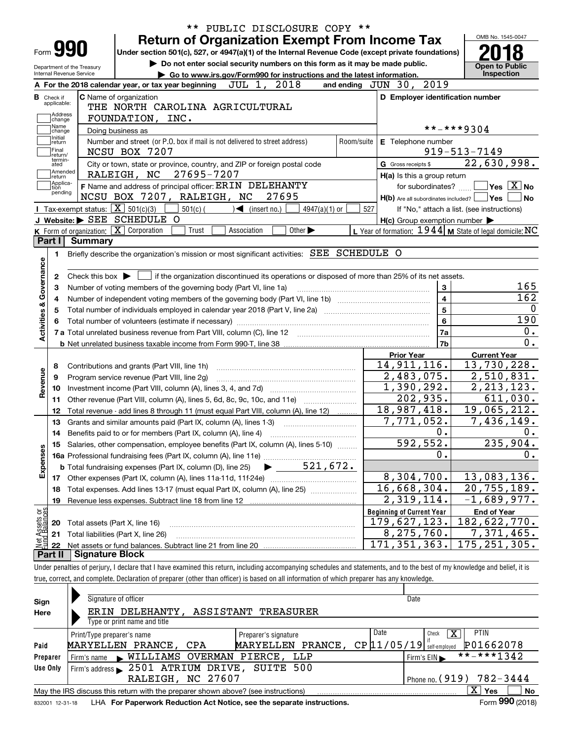|                                      |                        | ** PUBLIC DISCLOSURE COPY **                                                                                                                                               |                                                           |                         |                                            |                  |
|--------------------------------------|------------------------|----------------------------------------------------------------------------------------------------------------------------------------------------------------------------|-----------------------------------------------------------|-------------------------|--------------------------------------------|------------------|
|                                      |                        | <b>Return of Organization Exempt From Income Tax</b>                                                                                                                       |                                                           |                         | OMB No. 1545-0047                          |                  |
| Form <b>990</b>                      |                        | Under section 501(c), 527, or 4947(a)(1) of the Internal Revenue Code (except private foundations)                                                                         |                                                           |                         |                                            |                  |
| Department of the Treasury           |                        | <b>Open to Public</b>                                                                                                                                                      |                                                           |                         |                                            |                  |
| Internal Revenue Service             |                        | Go to www.irs.gov/Form990 for instructions and the latest information.                                                                                                     |                                                           |                         | Inspection                                 |                  |
|                                      |                        | JUL 1, 2018<br>A For the 2018 calendar year, or tax year beginning                                                                                                         | and ending JUN 30, 2019                                   |                         |                                            |                  |
| <b>B</b> Check if<br>applicable:     |                        | C Name of organization                                                                                                                                                     | D Employer identification number                          |                         |                                            |                  |
|                                      |                        | THE NORTH CAROLINA AGRICULTURAL                                                                                                                                            |                                                           |                         |                                            |                  |
| Address<br>change                    |                        | FOUNDATION, INC.                                                                                                                                                           |                                                           |                         |                                            |                  |
| Name<br>change                       |                        | Doing business as                                                                                                                                                          |                                                           |                         | **-***9304                                 |                  |
| Initial<br>return                    |                        | Number and street (or P.O. box if mail is not delivered to street address)<br>Room/suite                                                                                   | E Telephone number                                        |                         |                                            |                  |
| Final<br>return/                     |                        | NCSU BOX 7207                                                                                                                                                              |                                                           |                         | $919 - 513 - 7149$                         |                  |
| termin-<br>ated                      |                        | City or town, state or province, country, and ZIP or foreign postal code                                                                                                   | G Gross receipts \$                                       |                         | 22,630,998.                                |                  |
| Amended<br> return                   |                        | 27695-7207<br>RALEIGH, NC                                                                                                                                                  | H(a) Is this a group return                               |                         |                                            |                  |
| Applica-<br>tion<br>pending          |                        | F Name and address of principal officer: ERIN DELEHANTY                                                                                                                    | for subordinates?                                         |                         | $\sqrt{}$ Yes $\sqrt{}$ X $\sqrt{}$ No     |                  |
|                                      |                        | 27695<br>NCSU BOX 7207, RALEIGH, NC                                                                                                                                        | $H(b)$ Are all subordinates included? $\Box$ Yes          |                         |                                            | ∣No              |
|                                      |                        | <b>I</b> Tax-exempt status: $\boxed{\mathbf{X}}$ 501(c)(3)<br>$\blacktriangleleft$ (insert no.)<br>4947(a)(1) or<br>$501(c)$ (                                             | 527                                                       |                         | If "No," attach a list. (see instructions) |                  |
|                                      |                        | J Website: SEE SCHEDULE O                                                                                                                                                  | $H(c)$ Group exemption number $\blacktriangleright$       |                         |                                            |                  |
|                                      |                        | $K$ Form of organization: $X$ Corporation<br>Trust<br>Association<br>Other $\blacktriangleright$                                                                           | L Year of formation: $1944$ M State of legal domicile: NC |                         |                                            |                  |
| Part I                               | <b>Summary</b>         |                                                                                                                                                                            |                                                           |                         |                                            |                  |
| 1.                                   |                        | Briefly describe the organization's mission or most significant activities: SEE SCHEDULE O                                                                                 |                                                           |                         |                                            |                  |
|                                      |                        |                                                                                                                                                                            |                                                           |                         |                                            |                  |
| 2                                    |                        | Check this box $\triangleright$ $\blacksquare$ if the organization discontinued its operations or disposed of more than 25% of its net assets.                             |                                                           |                         |                                            |                  |
| з                                    |                        | Number of voting members of the governing body (Part VI, line 1a)                                                                                                          |                                                           | $\mathbf{3}$            |                                            | 165              |
| 4                                    |                        |                                                                                                                                                                            |                                                           | $\overline{\mathbf{4}}$ |                                            | 162              |
|                                      |                        |                                                                                                                                                                            |                                                           | $\overline{5}$          |                                            |                  |
|                                      |                        |                                                                                                                                                                            |                                                           | $6\phantom{a}$          |                                            | 190              |
| Activities & Governance              |                        |                                                                                                                                                                            |                                                           | 7a                      |                                            | 0.               |
|                                      |                        |                                                                                                                                                                            |                                                           | 7b                      |                                            | $\overline{0}$ . |
|                                      |                        |                                                                                                                                                                            | <b>Prior Year</b>                                         |                         | <b>Current Year</b>                        |                  |
| 8                                    |                        | Contributions and grants (Part VIII, line 1h)                                                                                                                              | 14, 911, 116.                                             |                         | 13,730,228.                                |                  |
| 9                                    |                        | Program service revenue (Part VIII, line 2g)                                                                                                                               | $\overline{2}$ , 483, 075.                                |                         | 2,510,831.                                 |                  |
| Revenue<br>10                        |                        |                                                                                                                                                                            | 1,390,292.                                                |                         | $\overline{2}$ , 213, 123.                 |                  |
| 11                                   |                        | Other revenue (Part VIII, column (A), lines 5, 6d, 8c, 9c, 10c, and 11e) <i>mummumm</i>                                                                                    | 202,935.                                                  |                         | 611,030.                                   |                  |
| 12                                   |                        | Total revenue - add lines 8 through 11 (must equal Part VIII, column (A), line 12)                                                                                         | 18,987,418.                                               |                         | 19,065,212.                                |                  |
| 13                                   |                        | Grants and similar amounts paid (Part IX, column (A), lines 1-3)                                                                                                           | 7,771,052.                                                |                         | $\overline{7,436},149.$                    |                  |
| 14                                   |                        | Benefits paid to or for members (Part IX, column (A), line 4)                                                                                                              |                                                           | 0.                      |                                            | 0.               |
|                                      |                        | 15 Salaries, other compensation, employee benefits (Part IX, column (A), lines 5-10)                                                                                       | 592,552.                                                  |                         | 235,904.                                   |                  |
|                                      |                        |                                                                                                                                                                            |                                                           | Ο.                      |                                            | 0.               |
| Expenses                             |                        |                                                                                                                                                                            |                                                           |                         |                                            |                  |
| 17                                   |                        |                                                                                                                                                                            | 8,304,700.                                                |                         | 13,083,136.                                |                  |
| 18                                   |                        | Total expenses. Add lines 13-17 (must equal Part IX, column (A), line 25)                                                                                                  | $\overline{16}$ , 668, 304.                               |                         | $\overline{20}$ , 755, 189.                |                  |
| 19                                   |                        | Revenue less expenses. Subtract line 18 from line 12                                                                                                                       | 2,319,114.                                                |                         | $-1,689,977.$                              |                  |
|                                      |                        |                                                                                                                                                                            | <b>Beginning of Current Year</b>                          |                         | <b>End of Year</b>                         |                  |
| 20                                   |                        | Total assets (Part X, line 16)                                                                                                                                             | 179,627,123.                                              |                         | 182,622,770.                               |                  |
| Net Assets or<br>Fund Balances<br>21 |                        | Total liabilities (Part X, line 26)                                                                                                                                        | 8,275,760.                                                |                         | 7,371,465.                                 |                  |
| 22                                   |                        |                                                                                                                                                                            | 171, 351, 363.                                            |                         | 175, 251, 305.                             |                  |
| Part II                              | <b>Signature Block</b> |                                                                                                                                                                            |                                                           |                         |                                            |                  |
|                                      |                        | Under penalties of perjury, I declare that I have examined this return, including accompanying schedules and statements, and to the best of my knowledge and belief, it is |                                                           |                         |                                            |                  |
|                                      |                        | true, correct, and complete. Declaration of preparer (other than officer) is based on all information of which preparer has any knowledge.                                 |                                                           |                         |                                            |                  |
|                                      |                        |                                                                                                                                                                            |                                                           |                         |                                            |                  |

| Sign     | Signature of officer                                                              | Date                                       |  |  |  |  |  |  |  |  |  |  |
|----------|-----------------------------------------------------------------------------------|--------------------------------------------|--|--|--|--|--|--|--|--|--|--|
| Here     | ERIN DELEHANTY,<br>ASSISTANT TREASURER                                            |                                            |  |  |  |  |  |  |  |  |  |  |
|          | Type or print name and title                                                      |                                            |  |  |  |  |  |  |  |  |  |  |
|          | Print/Type preparer's name<br>Preparer's signature                                | <b>PTIN</b><br>Date<br>х<br>Check          |  |  |  |  |  |  |  |  |  |  |
| Paid     | MARYELLEN PRANCE,<br>MARYELLEN PRANCE, CPA                                        | P01662078<br>$CP$ $11/05/19$ self-employed |  |  |  |  |  |  |  |  |  |  |
| Preparer | Firm's name WILLIAMS OVERMAN PIERCE,<br>LLP                                       | **-***1342<br>Firm's EIN                   |  |  |  |  |  |  |  |  |  |  |
| Use Only | 2501 ATRIUM DRIVE, SUITE 500<br>Firm's address $\blacktriangleright$              |                                            |  |  |  |  |  |  |  |  |  |  |
|          | RALEIGH, NC 27607<br>Phone no. (919) 782-3444                                     |                                            |  |  |  |  |  |  |  |  |  |  |
|          | May the IRS discuss this return with the preparer shown above? (see instructions) | $\mathbf{X}$<br>No<br>Yes                  |  |  |  |  |  |  |  |  |  |  |
|          |                                                                                   | $000 \div 100$                             |  |  |  |  |  |  |  |  |  |  |

832001\_12-31-18 LHA **For Paperwork Reduction Act Notice, see the separate instructions.** Form 990 (2018)

**990**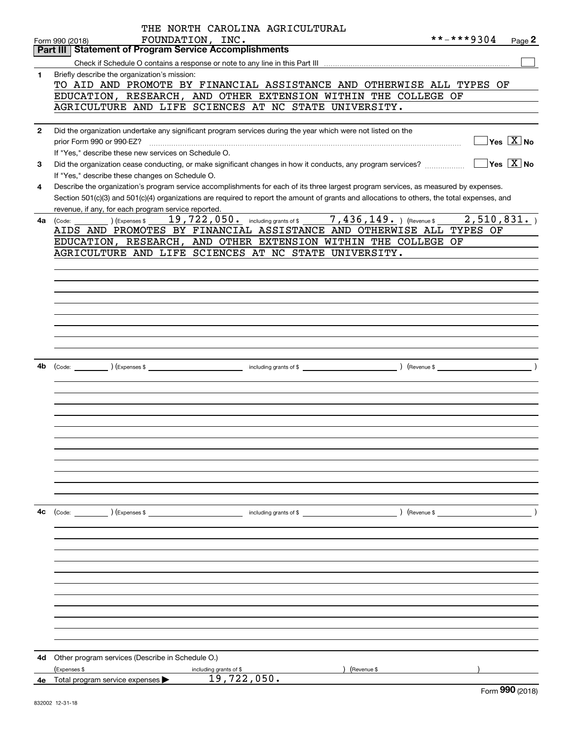|              | THE NORTH CAROLINA AGRICULTURAL                                                                                                                                                                                                                                                      |            |                                           |
|--------------|--------------------------------------------------------------------------------------------------------------------------------------------------------------------------------------------------------------------------------------------------------------------------------------|------------|-------------------------------------------|
|              | FOUNDATION, INC.<br>Form 990 (2018)                                                                                                                                                                                                                                                  | **-***9304 | Page 2                                    |
|              | <b>Statement of Program Service Accomplishments</b><br>Part III                                                                                                                                                                                                                      |            |                                           |
|              |                                                                                                                                                                                                                                                                                      |            |                                           |
| 1            | Briefly describe the organization's mission:<br>TO AID AND PROMOTE BY FINANCIAL ASSISTANCE AND OTHERWISE ALL TYPES OF<br>EDUCATION, RESEARCH, AND OTHER EXTENSION WITHIN THE COLLEGE OF<br>AGRICULTURE AND LIFE SCIENCES AT NC STATE UNIVERSITY.                                     |            |                                           |
| $\mathbf{2}$ |                                                                                                                                                                                                                                                                                      |            |                                           |
|              | Did the organization undertake any significant program services during the year which were not listed on the<br>If "Yes," describe these new services on Schedule O.                                                                                                                 |            | $\overline{\ }$ Yes $\overline{\rm X}$ No |
| 3            | Did the organization cease conducting, or make significant changes in how it conducts, any program services?<br>If "Yes," describe these changes on Schedule O.                                                                                                                      |            | $\sqrt{}$ Yes $\sqrt{}$ X $\sqrt{}$ No    |
| 4            | Describe the organization's program service accomplishments for each of its three largest program services, as measured by expenses.<br>Section 501(c)(3) and 501(c)(4) organizations are required to report the amount of grants and allocations to others, the total expenses, and |            |                                           |
|              | revenue, if any, for each program service reported.                                                                                                                                                                                                                                  |            |                                           |
| 4a           | 19,722,050. including grants of \$ 7,436,149. ) (Revenue \$<br>(Expenses \$<br>(Code:<br>AIDS AND PROMOTES BY FINANCIAL ASSISTANCE AND OTHERWISE ALL TYPES OF<br>EDUCATION, RESEARCH, AND OTHER EXTENSION WITHIN THE COLLEGE OF                                                      | 2,510,831. |                                           |
|              | AGRICULTURE AND LIFE SCIENCES AT NC STATE UNIVERSITY.                                                                                                                                                                                                                                |            |                                           |
|              |                                                                                                                                                                                                                                                                                      |            |                                           |
|              |                                                                                                                                                                                                                                                                                      |            |                                           |
|              |                                                                                                                                                                                                                                                                                      |            |                                           |
|              |                                                                                                                                                                                                                                                                                      |            |                                           |
|              |                                                                                                                                                                                                                                                                                      |            |                                           |
|              |                                                                                                                                                                                                                                                                                      |            |                                           |
|              |                                                                                                                                                                                                                                                                                      |            |                                           |
|              |                                                                                                                                                                                                                                                                                      |            |                                           |
| 4b           |                                                                                                                                                                                                                                                                                      |            |                                           |
|              |                                                                                                                                                                                                                                                                                      |            |                                           |
|              |                                                                                                                                                                                                                                                                                      |            |                                           |
|              |                                                                                                                                                                                                                                                                                      |            |                                           |
|              |                                                                                                                                                                                                                                                                                      |            |                                           |
|              |                                                                                                                                                                                                                                                                                      |            |                                           |
|              |                                                                                                                                                                                                                                                                                      |            |                                           |
|              |                                                                                                                                                                                                                                                                                      |            |                                           |
|              |                                                                                                                                                                                                                                                                                      |            |                                           |
|              |                                                                                                                                                                                                                                                                                      |            |                                           |
|              |                                                                                                                                                                                                                                                                                      |            |                                           |
| 4с           |                                                                                                                                                                                                                                                                                      |            |                                           |
|              |                                                                                                                                                                                                                                                                                      |            |                                           |
|              |                                                                                                                                                                                                                                                                                      |            |                                           |
|              |                                                                                                                                                                                                                                                                                      |            |                                           |
|              |                                                                                                                                                                                                                                                                                      |            |                                           |
|              |                                                                                                                                                                                                                                                                                      |            |                                           |
|              |                                                                                                                                                                                                                                                                                      |            |                                           |
|              |                                                                                                                                                                                                                                                                                      |            |                                           |
|              |                                                                                                                                                                                                                                                                                      |            |                                           |
|              |                                                                                                                                                                                                                                                                                      |            |                                           |
|              |                                                                                                                                                                                                                                                                                      |            |                                           |
|              |                                                                                                                                                                                                                                                                                      |            |                                           |
| 4d -         | Other program services (Describe in Schedule O.)                                                                                                                                                                                                                                     |            |                                           |
|              | (Expenses \$<br>) (Revenue \$<br>including grants of \$<br>19,722,050.                                                                                                                                                                                                               |            |                                           |
| 4e -         | Total program service expenses                                                                                                                                                                                                                                                       |            | $\Omega$                                  |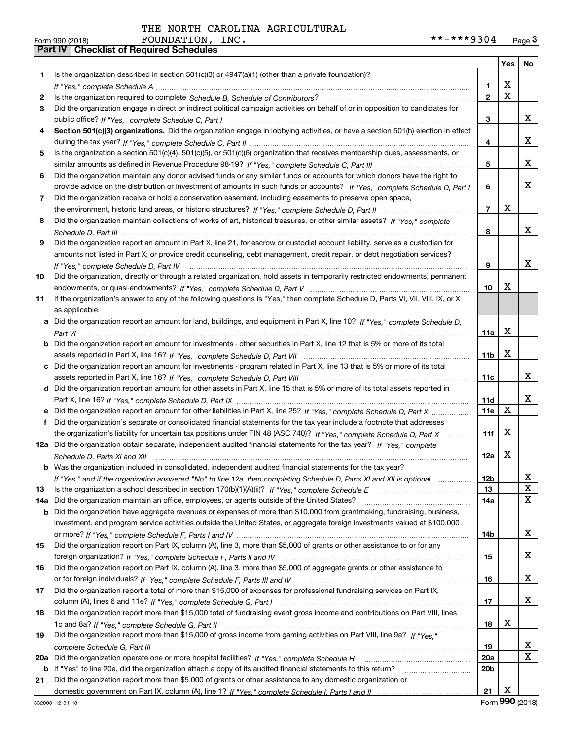|     |                                                                                                                                      |                 | Yes                     | No                      |
|-----|--------------------------------------------------------------------------------------------------------------------------------------|-----------------|-------------------------|-------------------------|
| 1   | Is the organization described in section $501(c)(3)$ or $4947(a)(1)$ (other than a private foundation)?                              |                 |                         |                         |
|     |                                                                                                                                      | 1               | X                       |                         |
| 2   |                                                                                                                                      | $\overline{2}$  | $\overline{\mathbf{x}}$ |                         |
| 3   | Did the organization engage in direct or indirect political campaign activities on behalf of or in opposition to candidates for      |                 |                         |                         |
|     |                                                                                                                                      | 3               |                         | x                       |
| 4   | Section 501(c)(3) organizations. Did the organization engage in lobbying activities, or have a section 501(h) election in effect     |                 |                         |                         |
|     |                                                                                                                                      | 4               |                         | x                       |
| 5   | Is the organization a section 501(c)(4), 501(c)(5), or 501(c)(6) organization that receives membership dues, assessments, or         |                 |                         |                         |
|     |                                                                                                                                      | 5               |                         | x                       |
| 6   | Did the organization maintain any donor advised funds or any similar funds or accounts for which donors have the right to            |                 |                         |                         |
|     | provide advice on the distribution or investment of amounts in such funds or accounts? If "Yes," complete Schedule D, Part I         | 6               |                         | x                       |
| 7   | Did the organization receive or hold a conservation easement, including easements to preserve open space,                            |                 |                         |                         |
|     |                                                                                                                                      | $\overline{7}$  | X                       |                         |
| 8   | Did the organization maintain collections of works of art, historical treasures, or other similar assets? If "Yes," complete         |                 |                         |                         |
|     |                                                                                                                                      | 8               |                         | X                       |
| 9   | Did the organization report an amount in Part X, line 21, for escrow or custodial account liability, serve as a custodian for        |                 |                         |                         |
|     | amounts not listed in Part X; or provide credit counseling, debt management, credit repair, or debt negotiation services?            |                 |                         |                         |
|     | If "Yes," complete Schedule D, Part IV                                                                                               | 9               |                         | x                       |
| 10  | Did the organization, directly or through a related organization, hold assets in temporarily restricted endowments, permanent        |                 |                         |                         |
|     |                                                                                                                                      | 10              | х                       |                         |
| 11  | If the organization's answer to any of the following questions is "Yes," then complete Schedule D, Parts VI, VIII, VIII, IX, or X    |                 |                         |                         |
|     | as applicable.                                                                                                                       |                 |                         |                         |
|     | a Did the organization report an amount for land, buildings, and equipment in Part X, line 10? If "Yes," complete Schedule D.        |                 |                         |                         |
|     |                                                                                                                                      | 11a             | X                       |                         |
|     | <b>b</b> Did the organization report an amount for investments - other securities in Part X, line 12 that is 5% or more of its total |                 |                         |                         |
|     |                                                                                                                                      | 11 <sub>b</sub> | X                       |                         |
|     | Did the organization report an amount for investments - program related in Part X, line 13 that is 5% or more of its total           |                 |                         |                         |
|     |                                                                                                                                      | 11c             |                         | x                       |
|     | d Did the organization report an amount for other assets in Part X, line 15 that is 5% or more of its total assets reported in       |                 |                         |                         |
|     |                                                                                                                                      | 11d             |                         | x                       |
|     | e Did the organization report an amount for other liabilities in Part X, line 25? If "Yes," complete Schedule D, Part X              | 11e             | X                       |                         |
| f   | Did the organization's separate or consolidated financial statements for the tax year include a footnote that addresses              |                 |                         |                         |
|     | the organization's liability for uncertain tax positions under FIN 48 (ASC 740)? If "Yes," complete Schedule D, Part X               | 11f             | X                       |                         |
|     | 12a Did the organization obtain separate, independent audited financial statements for the tax year? If "Yes," complete              |                 |                         |                         |
|     | Schedule D, Parts XI and XII                                                                                                         | 12a             | х                       |                         |
|     | <b>b</b> Was the organization included in consolidated, independent audited financial statements for the tax year?                   |                 |                         |                         |
|     | If "Yes," and if the organization answered "No" to line 12a, then completing Schedule D, Parts XI and XII is optional                | 12b             |                         | Δ.                      |
| 13  |                                                                                                                                      | 13              |                         | X                       |
| 14a | Did the organization maintain an office, employees, or agents outside of the United States?                                          | 14a             |                         | $\mathbf X$             |
| b   | Did the organization have aggregate revenues or expenses of more than \$10,000 from grantmaking, fundraising, business,              |                 |                         |                         |
|     | investment, and program service activities outside the United States, or aggregate foreign investments valued at \$100,000           |                 |                         |                         |
|     |                                                                                                                                      | 14b             |                         | X                       |
| 15  | Did the organization report on Part IX, column (A), line 3, more than \$5,000 of grants or other assistance to or for any            |                 |                         |                         |
|     |                                                                                                                                      | 15              |                         | X                       |
| 16  | Did the organization report on Part IX, column (A), line 3, more than \$5,000 of aggregate grants or other assistance to             |                 |                         |                         |
|     |                                                                                                                                      | 16              |                         | X                       |
| 17  | Did the organization report a total of more than \$15,000 of expenses for professional fundraising services on Part IX,              |                 |                         |                         |
|     |                                                                                                                                      | 17              |                         | x                       |
| 18  | Did the organization report more than \$15,000 total of fundraising event gross income and contributions on Part VIII, lines         |                 |                         |                         |
|     |                                                                                                                                      | 18              | х                       |                         |
| 19  | Did the organization report more than \$15,000 of gross income from gaming activities on Part VIII, line 9a? If "Yes."               |                 |                         |                         |
|     |                                                                                                                                      | 19              |                         | X                       |
| 20a |                                                                                                                                      | 20a             |                         | $\overline{\mathbf{x}}$ |
|     | b If "Yes" to line 20a, did the organization attach a copy of its audited financial statements to this return?                       | 20 <sub>b</sub> |                         |                         |
| 21  | Did the organization report more than \$5,000 of grants or other assistance to any domestic organization or                          |                 |                         |                         |
|     |                                                                                                                                      | 21              | X                       |                         |

Form (2018) **990**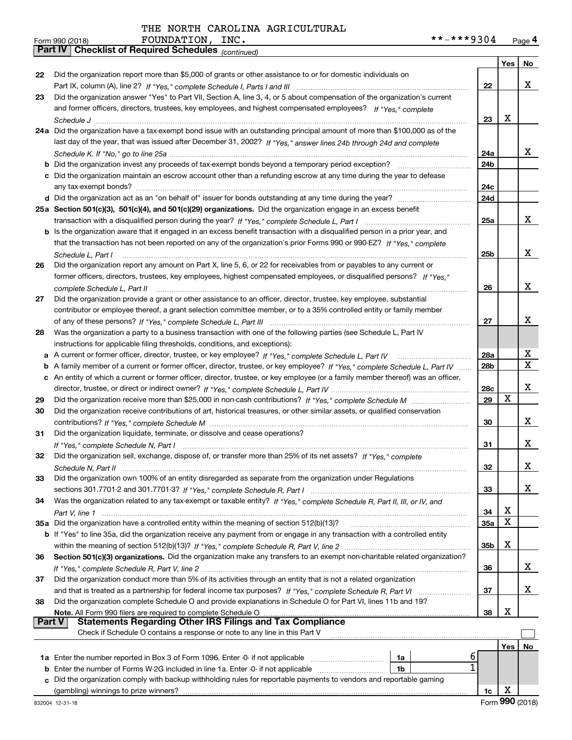| Form 990 (2018) |                                                            | FOUNDATION, | INC. | **-***9304 | Page 4 |
|-----------------|------------------------------------------------------------|-------------|------|------------|--------|
|                 | <b>Part IV Checklist of Required Schedules</b> (continued) |             |      |            |        |

|    | <b>Part IV</b>   Checklist of Required Schedules $_{(continued)}$                                                                                                                                                                               |                 |     |    |
|----|-------------------------------------------------------------------------------------------------------------------------------------------------------------------------------------------------------------------------------------------------|-----------------|-----|----|
|    |                                                                                                                                                                                                                                                 |                 | Yes | No |
| 22 | Did the organization report more than \$5,000 of grants or other assistance to or for domestic individuals on                                                                                                                                   |                 |     |    |
|    |                                                                                                                                                                                                                                                 | 22              |     | x  |
| 23 | Did the organization answer "Yes" to Part VII, Section A, line 3, 4, or 5 about compensation of the organization's current                                                                                                                      |                 |     |    |
|    | and former officers, directors, trustees, key employees, and highest compensated employees? If "Yes," complete                                                                                                                                  |                 |     |    |
|    |                                                                                                                                                                                                                                                 | 23              | x   |    |
|    | 24a Did the organization have a tax-exempt bond issue with an outstanding principal amount of more than \$100,000 as of the                                                                                                                     |                 |     |    |
|    | last day of the year, that was issued after December 31, 2002? If "Yes," answer lines 24b through 24d and complete                                                                                                                              |                 |     |    |
|    |                                                                                                                                                                                                                                                 | 24a             |     | X. |
|    | <b>b</b> Did the organization invest any proceeds of tax-exempt bonds beyond a temporary period exception?                                                                                                                                      | 24b             |     |    |
|    | c Did the organization maintain an escrow account other than a refunding escrow at any time during the year to defease                                                                                                                          |                 |     |    |
|    |                                                                                                                                                                                                                                                 | 24c             |     |    |
|    |                                                                                                                                                                                                                                                 | 24d             |     |    |
|    | 25a Section 501(c)(3), 501(c)(4), and 501(c)(29) organizations. Did the organization engage in an excess benefit                                                                                                                                |                 |     | x  |
|    |                                                                                                                                                                                                                                                 | 25a             |     |    |
|    | b Is the organization aware that it engaged in an excess benefit transaction with a disqualified person in a prior year, and                                                                                                                    |                 |     |    |
|    | that the transaction has not been reported on any of the organization's prior Forms 990 or 990-EZ? If "Yes," complete                                                                                                                           |                 |     | x  |
|    | Schedule L, Part I                                                                                                                                                                                                                              | 25b             |     |    |
| 26 | Did the organization report any amount on Part X, line 5, 6, or 22 for receivables from or payables to any current or<br>former officers, directors, trustees, key employees, highest compensated employees, or disqualified persons? If "Yes " |                 |     |    |
|    |                                                                                                                                                                                                                                                 | 26              |     | x  |
| 27 | Did the organization provide a grant or other assistance to an officer, director, trustee, key employee, substantial                                                                                                                            |                 |     |    |
|    | contributor or employee thereof, a grant selection committee member, or to a 35% controlled entity or family member                                                                                                                             |                 |     |    |
|    |                                                                                                                                                                                                                                                 | 27              |     | x  |
| 28 | Was the organization a party to a business transaction with one of the following parties (see Schedule L, Part IV                                                                                                                               |                 |     |    |
|    | instructions for applicable filing thresholds, conditions, and exceptions):                                                                                                                                                                     |                 |     |    |
|    |                                                                                                                                                                                                                                                 | 28a             |     | x  |
|    | b A family member of a current or former officer, director, trustee, or key employee? If "Yes," complete Schedule L, Part IV                                                                                                                    | 28 <sub>b</sub> |     | X  |
|    | c An entity of which a current or former officer, director, trustee, or key employee (or a family member thereof) was an officer,                                                                                                               |                 |     |    |
|    |                                                                                                                                                                                                                                                 | 28c             |     | x  |
| 29 |                                                                                                                                                                                                                                                 | 29              | х   |    |
| 30 | Did the organization receive contributions of art, historical treasures, or other similar assets, or qualified conservation                                                                                                                     |                 |     |    |
|    |                                                                                                                                                                                                                                                 | 30              |     | x  |
| 31 | Did the organization liquidate, terminate, or dissolve and cease operations?                                                                                                                                                                    |                 |     |    |
|    |                                                                                                                                                                                                                                                 | 31              |     | x  |
| 32 | Did the organization sell, exchange, dispose of, or transfer more than 25% of its net assets? If "Yes," complete                                                                                                                                |                 |     |    |
|    | Schedule N. Part II                                                                                                                                                                                                                             | 32              |     | х  |
| 33 | Did the organization own 100% of an entity disregarded as separate from the organization under Regulations                                                                                                                                      |                 |     |    |
|    |                                                                                                                                                                                                                                                 | 33              |     | x  |
| 34 | Was the organization related to any tax-exempt or taxable entity? If "Yes," complete Schedule R, Part II, III, or IV, and                                                                                                                       |                 |     |    |
|    |                                                                                                                                                                                                                                                 | 34              | Χ   |    |
|    | 35a Did the organization have a controlled entity within the meaning of section 512(b)(13)?                                                                                                                                                     | <b>35a</b>      | Χ   |    |
|    | <b>b</b> If "Yes" to line 35a, did the organization receive any payment from or engage in any transaction with a controlled entity                                                                                                              |                 |     |    |
|    |                                                                                                                                                                                                                                                 | 35b             | X   |    |
| 36 | Section 501(c)(3) organizations. Did the organization make any transfers to an exempt non-charitable related organization?                                                                                                                      |                 |     |    |
|    |                                                                                                                                                                                                                                                 | 36              |     | x  |
| 37 | Did the organization conduct more than 5% of its activities through an entity that is not a related organization                                                                                                                                |                 |     |    |
|    | and that is treated as a partnership for federal income tax purposes? If "Yes," complete Schedule R, Part VI                                                                                                                                    | 37              |     | x  |
| 38 | Did the organization complete Schedule O and provide explanations in Schedule O for Part VI, lines 11b and 19?                                                                                                                                  |                 |     |    |
|    | Note. All Form 990 filers are required to complete Schedule O                                                                                                                                                                                   | 38              | X   |    |
|    | <b>Statements Regarding Other IRS Filings and Tax Compliance</b><br><b>Part V</b>                                                                                                                                                               |                 |     |    |
|    | Check if Schedule O contains a response or note to any line in this Part V                                                                                                                                                                      |                 |     |    |
|    |                                                                                                                                                                                                                                                 |                 | Yes | No |
|    | 6<br>1a                                                                                                                                                                                                                                         |                 |     |    |
|    | <b>b</b> Enter the number of Forms W-2G included in line 1a. Enter -0- if not applicable<br>1b                                                                                                                                                  |                 |     |    |
|    | c Did the organization comply with backup withholding rules for reportable payments to vendors and reportable gaming                                                                                                                            |                 |     |    |
|    | (gambling) winnings to prize winners?                                                                                                                                                                                                           | 1c              | х   |    |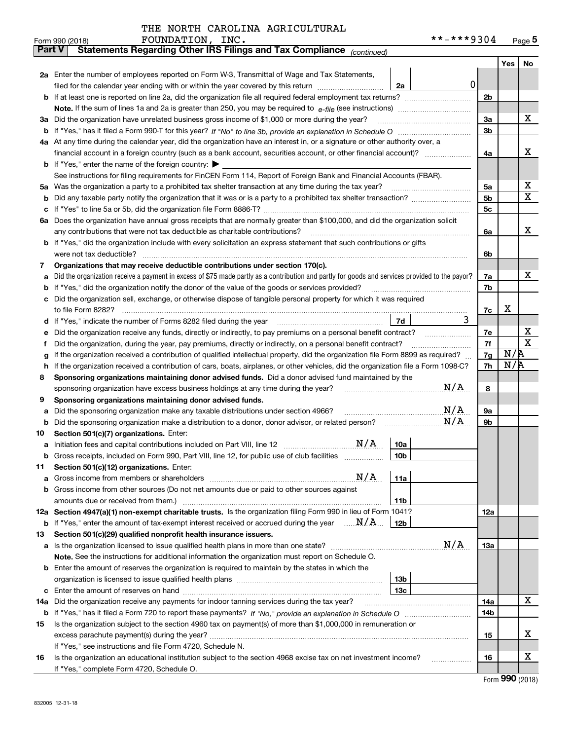|  | THE NORTH CAROLINA AGRICULTURAL |
|--|---------------------------------|
|  |                                 |

|        | FOUNDATION, INC.<br>Form 990 (2018)                                                                                                                                                                                                                |                 | **-***9304 |          |     | Page $5$    |
|--------|----------------------------------------------------------------------------------------------------------------------------------------------------------------------------------------------------------------------------------------------------|-----------------|------------|----------|-----|-------------|
| Part V | Statements Regarding Other IRS Filings and Tax Compliance (continued)                                                                                                                                                                              |                 |            |          |     |             |
|        |                                                                                                                                                                                                                                                    |                 |            |          | Yes | No          |
|        | 2a Enter the number of employees reported on Form W-3, Transmittal of Wage and Tax Statements,                                                                                                                                                     |                 |            |          |     |             |
|        | filed for the calendar year ending with or within the year covered by this return <i>manumumumum</i>                                                                                                                                               | 2a              | 0          |          |     |             |
| b      |                                                                                                                                                                                                                                                    |                 |            | 2b       |     |             |
|        |                                                                                                                                                                                                                                                    |                 |            |          |     |             |
| За     | Did the organization have unrelated business gross income of \$1,000 or more during the year?                                                                                                                                                      |                 |            | 3a       |     | х           |
| b      |                                                                                                                                                                                                                                                    |                 |            | 3b       |     |             |
|        | 4a At any time during the calendar year, did the organization have an interest in, or a signature or other authority over, a                                                                                                                       |                 |            |          |     |             |
|        |                                                                                                                                                                                                                                                    |                 |            | 4a       |     | х           |
|        | <b>b</b> If "Yes," enter the name of the foreign country: $\blacktriangleright$                                                                                                                                                                    |                 |            |          |     |             |
|        | See instructions for filing requirements for FinCEN Form 114, Report of Foreign Bank and Financial Accounts (FBAR).                                                                                                                                |                 |            |          |     |             |
| 5а     | Was the organization a party to a prohibited tax shelter transaction at any time during the tax year?                                                                                                                                              |                 |            | 5а       |     | х           |
| b      |                                                                                                                                                                                                                                                    |                 |            | 5b       |     | Χ           |
| c      |                                                                                                                                                                                                                                                    |                 |            | 5c       |     |             |
|        | 6a Does the organization have annual gross receipts that are normally greater than \$100,000, and did the organization solicit                                                                                                                     |                 |            |          |     |             |
|        | any contributions that were not tax deductible as charitable contributions?                                                                                                                                                                        |                 |            | 6a       |     | х           |
|        | <b>b</b> If "Yes," did the organization include with every solicitation an express statement that such contributions or gifts                                                                                                                      |                 |            |          |     |             |
|        | were not tax deductible?                                                                                                                                                                                                                           |                 |            | 6b       |     |             |
| 7      | Organizations that may receive deductible contributions under section 170(c).                                                                                                                                                                      |                 |            |          |     | х           |
| a      | Did the organization receive a payment in excess of \$75 made partly as a contribution and partly for goods and services provided to the payor?<br>If "Yes," did the organization notify the donor of the value of the goods or services provided? |                 |            | 7a<br>7b |     |             |
| b      | Did the organization sell, exchange, or otherwise dispose of tangible personal property for which it was required                                                                                                                                  |                 |            |          |     |             |
|        |                                                                                                                                                                                                                                                    |                 |            | 7c       | х   |             |
| d      |                                                                                                                                                                                                                                                    | 7d              | 3          |          |     |             |
| е      | Did the organization receive any funds, directly or indirectly, to pay premiums on a personal benefit contract?                                                                                                                                    |                 |            | 7е       |     | x           |
| f      | Did the organization, during the year, pay premiums, directly or indirectly, on a personal benefit contract?                                                                                                                                       |                 |            | 7f       |     | $\mathbf X$ |
| g      | If the organization received a contribution of qualified intellectual property, did the organization file Form 8899 as required?                                                                                                                   |                 |            | 7g       | N/R |             |
| h      | If the organization received a contribution of cars, boats, airplanes, or other vehicles, did the organization file a Form 1098-C?                                                                                                                 |                 |            | 7h       | N/R |             |
| 8      | Sponsoring organizations maintaining donor advised funds. Did a donor advised fund maintained by the                                                                                                                                               |                 |            |          |     |             |
|        | sponsoring organization have excess business holdings at any time during the year?                                                                                                                                                                 |                 | N/A        | 8        |     |             |
| 9      | Sponsoring organizations maintaining donor advised funds.                                                                                                                                                                                          |                 |            |          |     |             |
| a      | Did the sponsoring organization make any taxable distributions under section 4966?                                                                                                                                                                 |                 | N/A        | 9а       |     |             |
| b      | Did the sponsoring organization make a distribution to a donor, donor advisor, or related person?                                                                                                                                                  |                 | N/A        | 9b       |     |             |
| 10     | Section 501(c)(7) organizations. Enter:                                                                                                                                                                                                            |                 |            |          |     |             |
|        | N/A<br>a Initiation fees and capital contributions included on Part VIII, line 12 [111] [11] [11] Initiation fees and capital contributions included on Part VIII, line 12                                                                         | 10a             |            |          |     |             |
|        | Gross receipts, included on Form 990, Part VIII, line 12, for public use of club facilities                                                                                                                                                        | 10 <sub>b</sub> |            |          |     |             |
| 11     | Section 501(c)(12) organizations. Enter:                                                                                                                                                                                                           |                 |            |          |     |             |
| а      | N/A<br>Gross income from members or shareholders                                                                                                                                                                                                   | 11a             |            |          |     |             |
| b      | Gross income from other sources (Do not net amounts due or paid to other sources against                                                                                                                                                           |                 |            |          |     |             |
|        | amounts due or received from them.)                                                                                                                                                                                                                | 11 <sub>b</sub> |            |          |     |             |
|        | 12a Section 4947(a)(1) non-exempt charitable trusts. Is the organization filing Form 990 in lieu of Form 1041?                                                                                                                                     |                 |            | 12a      |     |             |
|        | <b>b</b> If "Yes," enter the amount of tax-exempt interest received or accrued during the year $\ldots \mathbf{N}/\mathbf{A}$                                                                                                                      | 12b             |            |          |     |             |
| 13     | Section 501(c)(29) qualified nonprofit health insurance issuers.                                                                                                                                                                                   |                 |            |          |     |             |
|        | <b>a</b> Is the organization licensed to issue qualified health plans in more than one state?                                                                                                                                                      |                 | N/A        | 13a      |     |             |
|        | Note. See the instructions for additional information the organization must report on Schedule O.                                                                                                                                                  |                 |            |          |     |             |
|        | <b>b</b> Enter the amount of reserves the organization is required to maintain by the states in which the                                                                                                                                          |                 |            |          |     |             |
|        |                                                                                                                                                                                                                                                    | 13 <sub>b</sub> |            |          |     |             |
| c      |                                                                                                                                                                                                                                                    | 13с             |            |          |     |             |
| 14a    | Did the organization receive any payments for indoor tanning services during the tax year?                                                                                                                                                         |                 |            | 14a      |     | х           |
|        |                                                                                                                                                                                                                                                    |                 |            | 14b      |     |             |
| 15     | Is the organization subject to the section 4960 tax on payment(s) of more than \$1,000,000 in remuneration or                                                                                                                                      |                 |            |          |     | x           |
|        |                                                                                                                                                                                                                                                    |                 |            | 15       |     |             |
| 16     | If "Yes," see instructions and file Form 4720, Schedule N.<br>Is the organization an educational institution subject to the section 4968 excise tax on net investment income?                                                                      |                 |            | 16       |     | X           |
|        | If "Yes," complete Form 4720, Schedule O.                                                                                                                                                                                                          |                 |            |          |     |             |
|        |                                                                                                                                                                                                                                                    |                 |            |          |     |             |

Form (2018) **990**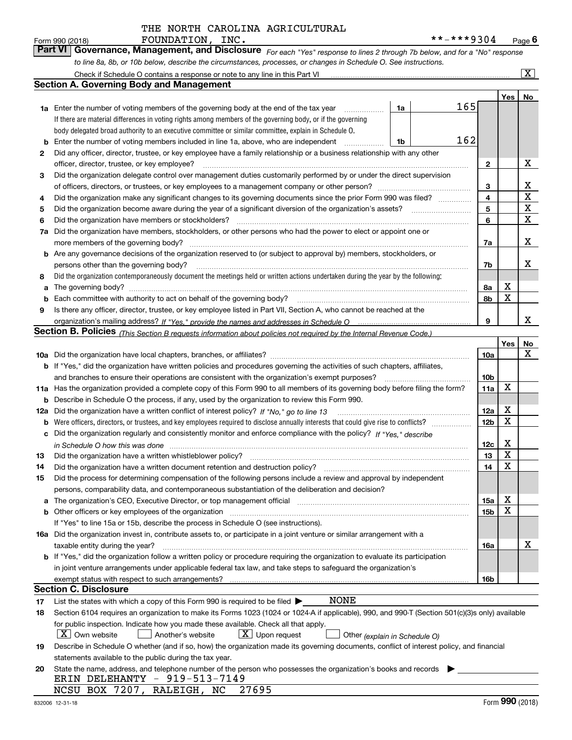*For each "Yes" response to lines 2 through 7b below, and for a "No" response to line 8a, 8b, or 10b below, describe the circumstances, processes, or changes in Schedule O. See instructions.* Form 990 (2018) **FOUNDATION, INC.**<br>**Part VI Governance, Management, and Disclosure** For each "Yes" response to lines 2 through 7b below, and for a "No" response

|     | Check if Schedule O contains a response or note to any line in this Part VI                                                                                           |    |     |                 |     | $\mathbf{X}$   |  |  |  |  |  |
|-----|-----------------------------------------------------------------------------------------------------------------------------------------------------------------------|----|-----|-----------------|-----|----------------|--|--|--|--|--|
|     | Section A. Governing Body and Management                                                                                                                              |    |     |                 |     |                |  |  |  |  |  |
|     |                                                                                                                                                                       |    |     |                 | Yes | N <sub>o</sub> |  |  |  |  |  |
|     | <b>1a</b> Enter the number of voting members of the governing body at the end of the tax year                                                                         | 1a | 165 |                 |     |                |  |  |  |  |  |
|     | If there are material differences in voting rights among members of the governing body, or if the governing                                                           |    |     |                 |     |                |  |  |  |  |  |
|     | body delegated broad authority to an executive committee or similar committee, explain in Schedule O.                                                                 |    |     |                 |     |                |  |  |  |  |  |
| b   | 162<br>Enter the number of voting members included in line 1a, above, who are independent<br>1b                                                                       |    |     |                 |     |                |  |  |  |  |  |
| 2   | Did any officer, director, trustee, or key employee have a family relationship or a business relationship with any other                                              |    |     |                 |     |                |  |  |  |  |  |
|     | officer, director, trustee, or key employee?<br>.                                                                                                                     |    |     |                 |     |                |  |  |  |  |  |
| 3   | Did the organization delegate control over management duties customarily performed by or under the direct supervision                                                 |    |     |                 |     |                |  |  |  |  |  |
|     |                                                                                                                                                                       |    |     |                 |     |                |  |  |  |  |  |
| 4   | Did the organization make any significant changes to its governing documents since the prior Form 990 was filed?                                                      |    |     |                 |     |                |  |  |  |  |  |
| 5   |                                                                                                                                                                       |    |     | 5               |     | X              |  |  |  |  |  |
| 6   | Did the organization have members or stockholders?                                                                                                                    |    |     | 6               |     | X              |  |  |  |  |  |
| 7a  | Did the organization have members, stockholders, or other persons who had the power to elect or appoint one or                                                        |    |     |                 |     |                |  |  |  |  |  |
|     | more members of the governing body?                                                                                                                                   |    |     | 7a              |     | Х              |  |  |  |  |  |
|     | <b>b</b> Are any governance decisions of the organization reserved to (or subject to approval by) members, stockholders, or                                           |    |     |                 |     |                |  |  |  |  |  |
|     | persons other than the governing body?                                                                                                                                |    |     | 7b              |     | x              |  |  |  |  |  |
| 8   | Did the organization contemporaneously document the meetings held or written actions undertaken during the vear by the following:                                     |    |     |                 |     |                |  |  |  |  |  |
| a   |                                                                                                                                                                       |    |     | 8а              | X   |                |  |  |  |  |  |
| b   |                                                                                                                                                                       |    |     | 8b              | X   |                |  |  |  |  |  |
| 9   | Is there any officer, director, trustee, or key employee listed in Part VII, Section A, who cannot be reached at the                                                  |    |     |                 |     |                |  |  |  |  |  |
|     |                                                                                                                                                                       |    |     | 9               |     | x              |  |  |  |  |  |
|     | <b>Section B. Policies</b> (This Section B requests information about policies not required by the Internal Revenue Code.)                                            |    |     |                 |     |                |  |  |  |  |  |
|     |                                                                                                                                                                       |    |     |                 | Yes | No             |  |  |  |  |  |
|     |                                                                                                                                                                       |    |     | 10a             |     | x              |  |  |  |  |  |
|     | <b>b</b> If "Yes," did the organization have written policies and procedures governing the activities of such chapters, affiliates,                                   |    |     |                 |     |                |  |  |  |  |  |
|     | and branches to ensure their operations are consistent with the organization's exempt purposes?                                                                       |    |     | 10 <sub>b</sub> |     |                |  |  |  |  |  |
|     | 11a Has the organization provided a complete copy of this Form 990 to all members of its governing body before filing the form?                                       |    |     | 11a             | X   |                |  |  |  |  |  |
| b   | Describe in Schedule O the process, if any, used by the organization to review this Form 990.                                                                         |    |     |                 |     |                |  |  |  |  |  |
| 12a | Did the organization have a written conflict of interest policy? If "No," go to line 13                                                                               |    |     | 12a             | X   |                |  |  |  |  |  |
| b   |                                                                                                                                                                       |    |     | 12 <sub>b</sub> | X   |                |  |  |  |  |  |
|     | c Did the organization regularly and consistently monitor and enforce compliance with the policy? If "Yes." describe                                                  |    |     |                 |     |                |  |  |  |  |  |
|     | in Schedule O how this was done www.communication.com/www.communications.com/www.communications.com/                                                                  |    |     | 12c             | X   |                |  |  |  |  |  |
| 13  | Did the organization have a written whistleblower policy?                                                                                                             |    |     | 13              | X   |                |  |  |  |  |  |
| 14  | Did the organization have a written document retention and destruction policy?                                                                                        |    |     | 14              | X   |                |  |  |  |  |  |
| 15  | Did the process for determining compensation of the following persons include a review and approval by independent                                                    |    |     |                 |     |                |  |  |  |  |  |
|     | persons, comparability data, and contemporaneous substantiation of the deliberation and decision?                                                                     |    |     |                 |     |                |  |  |  |  |  |
| a   | The organization's CEO, Executive Director, or top management official manufactured content of the organization's CEO, Executive Director, or top management official |    |     | 15a             | х   |                |  |  |  |  |  |
|     | <b>b</b> Other officers or key employees of the organization                                                                                                          |    |     | 15 <sub>b</sub> | х   |                |  |  |  |  |  |
|     | If "Yes" to line 15a or 15b, describe the process in Schedule O (see instructions).                                                                                   |    |     |                 |     |                |  |  |  |  |  |
|     | 16a Did the organization invest in, contribute assets to, or participate in a joint venture or similar arrangement with a                                             |    |     |                 |     |                |  |  |  |  |  |
|     | taxable entity during the year?                                                                                                                                       |    |     | 16a             |     | х              |  |  |  |  |  |
|     | b If "Yes," did the organization follow a written policy or procedure requiring the organization to evaluate its participation                                        |    |     |                 |     |                |  |  |  |  |  |
|     | in joint venture arrangements under applicable federal tax law, and take steps to safeguard the organization's                                                        |    |     |                 |     |                |  |  |  |  |  |
|     | exempt status with respect to such arrangements?                                                                                                                      |    |     | 16b             |     |                |  |  |  |  |  |
|     | Section C. Disclosure                                                                                                                                                 |    |     |                 |     |                |  |  |  |  |  |
| 17  | <b>NONE</b><br>List the states with which a copy of this Form 990 is required to be filed $\blacktriangleright$                                                       |    |     |                 |     |                |  |  |  |  |  |
| 18  | Section 6104 requires an organization to make its Forms 1023 (1024 or 1024-A if applicable), 990, and 990-T (Section 501(c)(3)s only) available                       |    |     |                 |     |                |  |  |  |  |  |
|     | for public inspection. Indicate how you made these available. Check all that apply.                                                                                   |    |     |                 |     |                |  |  |  |  |  |
|     | $X$ Own website<br>$\lfloor x \rfloor$ Upon request<br>Another's website<br>Other (explain in Schedule O)                                                             |    |     |                 |     |                |  |  |  |  |  |
| 19  | Describe in Schedule O whether (and if so, how) the organization made its governing documents, conflict of interest policy, and financial                             |    |     |                 |     |                |  |  |  |  |  |
|     | statements available to the public during the tax year.                                                                                                               |    |     |                 |     |                |  |  |  |  |  |
| 20  | State the name, address, and telephone number of the person who possesses the organization's books and records                                                        |    |     |                 |     |                |  |  |  |  |  |
|     | ERIN DELEHANTY - 919-513-7149                                                                                                                                         |    |     |                 |     |                |  |  |  |  |  |
|     | NCSU BOX 7207, RALEIGH, NC 27695                                                                                                                                      |    |     |                 |     |                |  |  |  |  |  |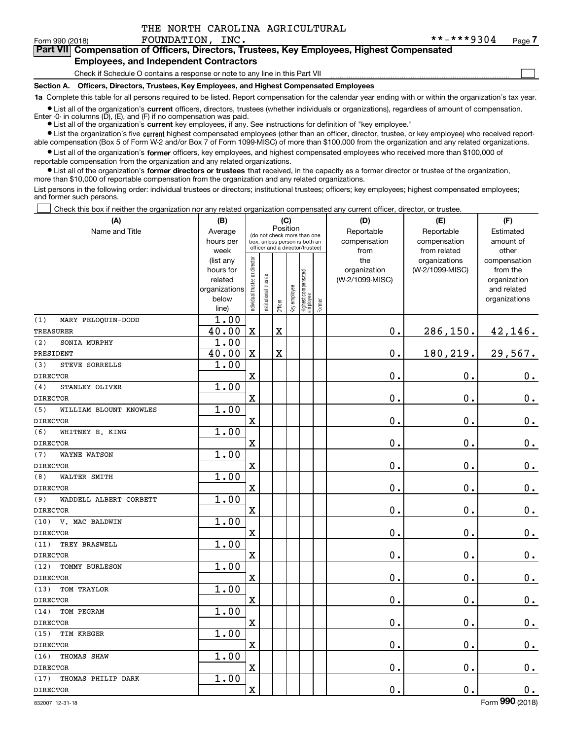$\mathcal{L}^{\text{max}}$ 

# Form 990 (2018) **FOUNDATION, INC.** \* \* - \* \* \* 9 3 0 4 <sub>Page</sub> **7Part VII Compensation of Officers, Directors, Trustees, Key Employees, Highest Compensated**

# **Employees, and Independent Contractors**

Check if Schedule O contains a response or note to any line in this Part VII

**Section A. Officers, Directors, Trustees, Key Employees, and Highest Compensated Employees**

**1a**  Complete this table for all persons required to be listed. Report compensation for the calendar year ending with or within the organization's tax year.

**•** List all of the organization's current officers, directors, trustees (whether individuals or organizations), regardless of amount of compensation. Enter -0- in columns  $(D)$ ,  $(E)$ , and  $(F)$  if no compensation was paid.

● List all of the organization's **current** key employees, if any. See instructions for definition of "key employee."

**•** List the organization's five current highest compensated employees (other than an officer, director, trustee, or key employee) who received reportable compensation (Box 5 of Form W-2 and/or Box 7 of Form 1099-MISC) of more than \$100,000 from the organization and any related organizations.

 $\bullet$  List all of the organization's **former** officers, key employees, and highest compensated employees who received more than \$100,000 of reportable compensation from the organization and any related organizations.

**•** List all of the organization's former directors or trustees that received, in the capacity as a former director or trustee of the organization, more than \$10,000 of reportable compensation from the organization and any related organizations.

List persons in the following order: individual trustees or directors; institutional trustees; officers; key employees; highest compensated employees; and former such persons.

Check this box if neither the organization nor any related organization compensated any current officer, director, or trustee.  $\mathcal{L}^{\text{max}}$ 

| (A)                           | (B)                      |                                         |                                                                  | (C)                     |              |                                   |        | (D)                             | (E)             | (F)                         |
|-------------------------------|--------------------------|-----------------------------------------|------------------------------------------------------------------|-------------------------|--------------|-----------------------------------|--------|---------------------------------|-----------------|-----------------------------|
| Name and Title                | Average                  | Position<br>(do not check more than one |                                                                  |                         |              |                                   |        | Reportable                      | Reportable      | Estimated                   |
|                               | hours per                |                                         | box, unless person is both an<br>officer and a director/trustee) |                         |              |                                   |        | compensation                    | compensation    | amount of                   |
|                               | week                     |                                         |                                                                  |                         |              |                                   |        | from                            | from related    | other                       |
|                               | (list any                |                                         |                                                                  |                         |              |                                   |        | the                             | organizations   | compensation                |
|                               | hours for                |                                         |                                                                  |                         |              |                                   |        | organization<br>(W-2/1099-MISC) | (W-2/1099-MISC) | from the                    |
|                               | related<br>organizations |                                         |                                                                  |                         |              |                                   |        |                                 |                 | organization<br>and related |
|                               | below                    |                                         |                                                                  |                         |              |                                   |        |                                 |                 | organizations               |
|                               | line)                    | ndividual trustee or director           | nstitutional trustee                                             | Officer                 | Key employee | Highest compensated<br>  employee | Former |                                 |                 |                             |
| (1)<br>MARY PELOQUIN-DODD     | 1.00                     |                                         |                                                                  |                         |              |                                   |        |                                 |                 |                             |
| <b>TREASURER</b>              | 40.00                    | $\mathbf X$                             |                                                                  | $\overline{\textbf{X}}$ |              |                                   |        | 0.                              | 286, 150.       | 42,146.                     |
| (2)<br>SONIA MURPHY           | 1.00                     |                                         |                                                                  |                         |              |                                   |        |                                 |                 |                             |
| PRESIDENT                     | 40.00                    | $\mathbf X$                             |                                                                  | $\overline{\textbf{X}}$ |              |                                   |        | 0.                              | 180,219.        | 29,567.                     |
| (3)<br>STEVE SORRELLS         | 1.00                     |                                         |                                                                  |                         |              |                                   |        |                                 |                 |                             |
| <b>DIRECTOR</b>               |                          | X                                       |                                                                  |                         |              |                                   |        | $\mathbf 0$ .                   | $\mathbf 0$ .   | $0_{.}$                     |
| STANLEY OLIVER<br>(4)         | 1.00                     |                                         |                                                                  |                         |              |                                   |        |                                 |                 |                             |
| <b>DIRECTOR</b>               |                          | X                                       |                                                                  |                         |              |                                   |        | 0.                              | 0.              | $0_{.}$                     |
| (5)<br>WILLIAM BLOUNT KNOWLES | 1.00                     |                                         |                                                                  |                         |              |                                   |        |                                 |                 |                             |
| <b>DIRECTOR</b>               |                          | $\overline{\text{X}}$                   |                                                                  |                         |              |                                   |        | 0.                              | 0.              | $0_{.}$                     |
| (6)<br>WHITNEY E. KING        | 1.00                     |                                         |                                                                  |                         |              |                                   |        |                                 |                 |                             |
| DIRECTOR                      |                          | $\mathbf x$                             |                                                                  |                         |              |                                   |        | $\mathbf 0$ .                   | 0.              | $0_{.}$                     |
| <b>WAYNE WATSON</b><br>(7)    | 1.00                     |                                         |                                                                  |                         |              |                                   |        |                                 |                 |                             |
| <b>DIRECTOR</b>               |                          | $\mathbf X$                             |                                                                  |                         |              |                                   |        | 0.                              | 0.              | $0_{.}$                     |
| (8)<br>WALTER SMITH           | 1.00                     |                                         |                                                                  |                         |              |                                   |        |                                 |                 |                             |
| <b>DIRECTOR</b>               |                          | $\overline{\textbf{X}}$                 |                                                                  |                         |              |                                   |        | 0.                              | $\mathbf 0$ .   | $0_{.}$                     |
| (9)<br>WADDELL ALBERT CORBETT | 1.00                     |                                         |                                                                  |                         |              |                                   |        |                                 |                 |                             |
| <b>DIRECTOR</b>               |                          | $\overline{\textbf{X}}$                 |                                                                  |                         |              |                                   |        | 0.                              | 0.              | $\mathbf 0$ .               |
| (10)<br>V. MAC BALDWIN        | 1.00                     |                                         |                                                                  |                         |              |                                   |        |                                 |                 |                             |
| <b>DIRECTOR</b>               |                          | $\overline{\textbf{X}}$                 |                                                                  |                         |              |                                   |        | 0.                              | $\mathbf 0$ .   | $0_{.}$                     |
| TREY BRASWELL<br>(11)         | 1.00                     |                                         |                                                                  |                         |              |                                   |        |                                 |                 |                             |
| <b>DIRECTOR</b>               |                          | $\rm X$                                 |                                                                  |                         |              |                                   |        | 0.                              | $\mathbf 0$ .   | $0_{.}$                     |
| (12)<br>TOMMY BURLESON        | 1.00                     |                                         |                                                                  |                         |              |                                   |        |                                 |                 |                             |
| <b>DIRECTOR</b>               |                          | $\mathbf x$                             |                                                                  |                         |              |                                   |        | 0.                              | $\mathbf 0$ .   | $\mathbf 0$ .               |
| TOM TRAYLOR<br>(13)           | 1.00                     |                                         |                                                                  |                         |              |                                   |        |                                 |                 |                             |
| <b>DIRECTOR</b>               |                          | $\mathbf X$                             |                                                                  |                         |              |                                   |        | 0.                              | $\mathbf 0$ .   | $0_{.}$                     |
| (14)<br>TOM PEGRAM            | 1.00                     |                                         |                                                                  |                         |              |                                   |        |                                 |                 |                             |
| <b>DIRECTOR</b>               |                          | X                                       |                                                                  |                         |              |                                   |        | 0.                              | 0.              | $\mathbf 0$ .               |
| (15)<br>TIM KREGER            | 1.00                     |                                         |                                                                  |                         |              |                                   |        |                                 |                 |                             |
| <b>DIRECTOR</b>               |                          | $\mathbf X$                             |                                                                  |                         |              |                                   |        | 0.                              | 0.              | $0_{.}$                     |
| (16)<br>THOMAS SHAW           | 1.00                     |                                         |                                                                  |                         |              |                                   |        |                                 |                 |                             |
| <b>DIRECTOR</b>               |                          | $\overline{\textbf{X}}$                 |                                                                  |                         |              |                                   |        | 0.                              | 0.              | $0_{.}$                     |
| (17)<br>THOMAS PHILIP DARK    | 1.00                     |                                         |                                                                  |                         |              |                                   |        |                                 |                 |                             |
| <b>DIRECTOR</b>               |                          | $\rm X$                                 |                                                                  |                         |              |                                   |        | 0.                              | 0.              | $0_{.}$                     |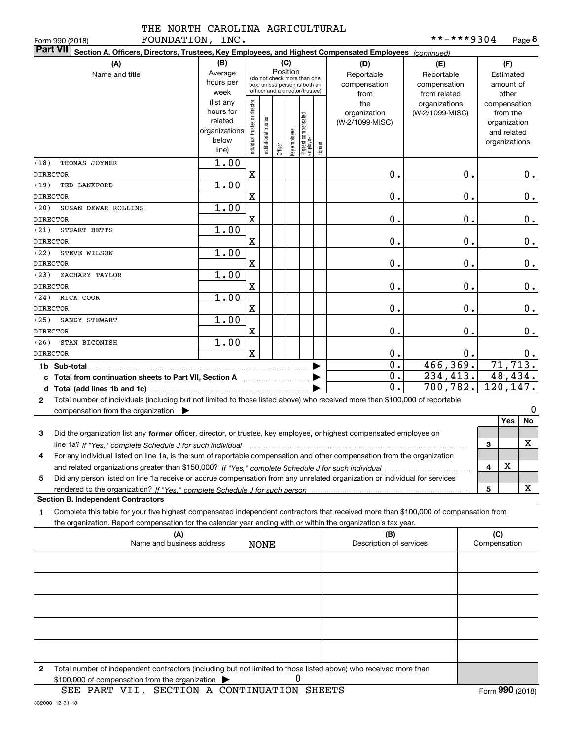| TUD MOVI   |  |  |
|------------|--|--|
| ---------- |  |  |

| FOUNDATION, INC.<br>Form 990 (2018)                                                                                                                                                                                                                                             |                                                                                                                                                           |                                |                      |         |              |                                  |        |                                           | **-***9304                                        |    |                                               |                                        | Page 8        |
|---------------------------------------------------------------------------------------------------------------------------------------------------------------------------------------------------------------------------------------------------------------------------------|-----------------------------------------------------------------------------------------------------------------------------------------------------------|--------------------------------|----------------------|---------|--------------|----------------------------------|--------|-------------------------------------------|---------------------------------------------------|----|-----------------------------------------------|----------------------------------------|---------------|
| <b>Part VII</b><br>Section A. Officers, Directors, Trustees, Key Employees, and Highest Compensated Employees (continued)                                                                                                                                                       |                                                                                                                                                           |                                |                      |         |              |                                  |        |                                           |                                                   |    |                                               |                                        |               |
| (A)<br>Name and title                                                                                                                                                                                                                                                           | (B)<br>(C)<br>Position<br>Average<br>(do not check more than one<br>hours per<br>box, unless person is both an<br>officer and a director/trustee)<br>week |                                |                      |         |              |                                  |        | (D)<br>Reportable<br>compensation<br>from | (E)<br>Reportable<br>compensation<br>from related |    |                                               | (F)<br>Estimated<br>amount of<br>other |               |
|                                                                                                                                                                                                                                                                                 | (list any<br>hours for<br>related<br>organizations<br>below<br>line)                                                                                      | Individual trustee or director | nstitutional trustee | Officer | key employee | Highest compensated<br> employee | Former | the<br>organization<br>(W-2/1099-MISC)    | organizations<br>(W-2/1099-MISC)                  |    | compensation<br>organization<br>organizations | from the<br>and related                |               |
| THOMAS JOYNER<br>(18)<br><b>DIRECTOR</b>                                                                                                                                                                                                                                        | 1.00                                                                                                                                                      | X                              |                      |         |              |                                  |        | 0.                                        |                                                   | 0. |                                               |                                        | 0.            |
| (19)<br>TED LANKFORD<br><b>DIRECTOR</b>                                                                                                                                                                                                                                         | 1.00                                                                                                                                                      | $\mathbf X$                    |                      |         |              |                                  |        | 0.                                        |                                                   | 0. |                                               |                                        | 0.            |
| (20)<br>SUSAN DEWAR ROLLINS<br><b>DIRECTOR</b>                                                                                                                                                                                                                                  | 1.00                                                                                                                                                      | $\mathbf X$                    |                      |         |              |                                  |        | 0.                                        |                                                   | 0. |                                               |                                        | $\mathbf 0$ . |
| (21)<br>STUART BETTS<br><b>DIRECTOR</b>                                                                                                                                                                                                                                         | 1.00                                                                                                                                                      | $\mathbf X$                    |                      |         |              |                                  |        | 0.                                        |                                                   | 0. |                                               |                                        | 0.            |
| (22)<br>STEVE WILSON                                                                                                                                                                                                                                                            | 1.00                                                                                                                                                      |                                |                      |         |              |                                  |        | 0.                                        |                                                   | 0. |                                               |                                        |               |
| <b>DIRECTOR</b><br>(23)<br>ZACHARY TAYLOR                                                                                                                                                                                                                                       | 1.00                                                                                                                                                      | X                              |                      |         |              |                                  |        |                                           |                                                   |    |                                               |                                        | $\mathbf 0$ . |
| <b>DIRECTOR</b><br>RICK COOR<br>(24)                                                                                                                                                                                                                                            | 1.00                                                                                                                                                      | X                              |                      |         |              |                                  |        | 0.                                        |                                                   | 0. |                                               |                                        | 0.            |
| <b>DIRECTOR</b><br>(25)<br>SANDY STEWART                                                                                                                                                                                                                                        | 1.00                                                                                                                                                      | X                              |                      |         |              |                                  |        | 0.                                        |                                                   | 0. |                                               |                                        | 0.            |
| <b>DIRECTOR</b><br>(26)<br>STAN BICONISH                                                                                                                                                                                                                                        | 1.00                                                                                                                                                      | X                              |                      |         |              |                                  |        | 0.                                        |                                                   | 0. |                                               |                                        | 0.            |
| <b>DIRECTOR</b>                                                                                                                                                                                                                                                                 |                                                                                                                                                           | $\mathbf{x}$                   |                      |         |              |                                  |        | 0.                                        |                                                   | 0. |                                               |                                        | 0.            |
| 1b Sub-total                                                                                                                                                                                                                                                                    |                                                                                                                                                           |                                |                      |         |              |                                  |        | $\overline{0}$ .                          | 466,369.                                          |    |                                               |                                        | 71,713.       |
| c Total from continuation sheets to Part VII, Section A                                                                                                                                                                                                                         |                                                                                                                                                           |                                |                      |         |              |                                  |        | 0.                                        | 234,413.                                          |    |                                               |                                        | 48,434.       |
| d Total (add lines 1b and 1c)                                                                                                                                                                                                                                                   |                                                                                                                                                           |                                |                      |         |              |                                  |        | 0.                                        | 700,782.                                          |    | 120,147.                                      |                                        |               |
| Total number of individuals (including but not limited to those listed above) who received more than \$100,000 of reportable<br>2                                                                                                                                               |                                                                                                                                                           |                                |                      |         |              |                                  |        |                                           |                                                   |    |                                               |                                        |               |
| compensation from the organization $\blacktriangleright$                                                                                                                                                                                                                        |                                                                                                                                                           |                                |                      |         |              |                                  |        |                                           |                                                   |    |                                               | Yes                                    | 0<br>No       |
| Did the organization list any former officer, director, or trustee, key employee, or highest compensated employee on<br>3                                                                                                                                                       |                                                                                                                                                           |                                |                      |         |              |                                  |        |                                           |                                                   |    |                                               |                                        |               |
| line 1a? If "Yes," complete Schedule J for such individual manufactured contains and the 1a? If "Yes," complete Schedule J for such individual<br>For any individual listed on line 1a, is the sum of reportable compensation and other compensation from the organization<br>4 |                                                                                                                                                           |                                |                      |         |              |                                  |        |                                           |                                                   |    | 3                                             |                                        | x             |
|                                                                                                                                                                                                                                                                                 |                                                                                                                                                           |                                |                      |         |              |                                  |        |                                           |                                                   |    | 4                                             | х                                      |               |
| Did any person listed on line 1a receive or accrue compensation from any unrelated organization or individual for services<br>5                                                                                                                                                 |                                                                                                                                                           |                                |                      |         |              |                                  |        |                                           |                                                   |    |                                               |                                        |               |
| <b>Section B. Independent Contractors</b>                                                                                                                                                                                                                                       |                                                                                                                                                           |                                |                      |         |              |                                  |        |                                           |                                                   |    | 5                                             |                                        | x             |
| Complete this table for your five highest compensated independent contractors that received more than \$100,000 of compensation from<br>1                                                                                                                                       |                                                                                                                                                           |                                |                      |         |              |                                  |        |                                           |                                                   |    |                                               |                                        |               |
| the organization. Report compensation for the calendar year ending with or within the organization's tax year.                                                                                                                                                                  |                                                                                                                                                           |                                |                      |         |              |                                  |        |                                           |                                                   |    |                                               |                                        |               |
| (A)<br>Name and business address                                                                                                                                                                                                                                                |                                                                                                                                                           |                                | <b>NONE</b>          |         |              |                                  |        | (B)<br>Description of services            |                                                   |    | (C)<br>Compensation                           |                                        |               |
|                                                                                                                                                                                                                                                                                 |                                                                                                                                                           |                                |                      |         |              |                                  |        |                                           |                                                   |    |                                               |                                        |               |
|                                                                                                                                                                                                                                                                                 |                                                                                                                                                           |                                |                      |         |              |                                  |        |                                           |                                                   |    |                                               |                                        |               |
|                                                                                                                                                                                                                                                                                 |                                                                                                                                                           |                                |                      |         |              |                                  |        |                                           |                                                   |    |                                               |                                        |               |

**2**Total number of independent contractors (including but not limited to those listed above) who received more than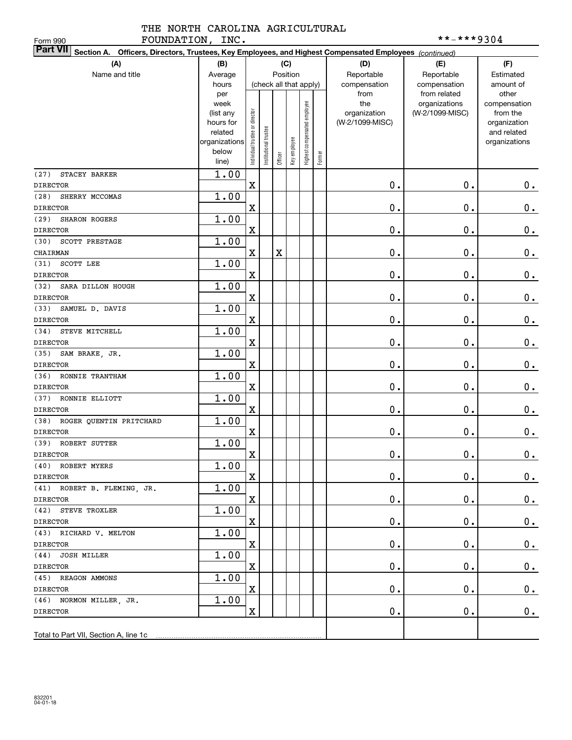# THE NORTH CAROLINA AGRICULTURAL FOUNDATION, INC. \*\*-\*\*\*9304

| FOUNDATION, INC.<br>Form 990                                                                                              |                        |                                |                        |         |              |                              |        |                 | **-***9304      |                              |
|---------------------------------------------------------------------------------------------------------------------------|------------------------|--------------------------------|------------------------|---------|--------------|------------------------------|--------|-----------------|-----------------|------------------------------|
| <b>Part VII</b><br>Section A. Officers, Directors, Trustees, Key Employees, and Highest Compensated Employees (continued) |                        |                                |                        |         |              |                              |        |                 |                 |                              |
| (A)                                                                                                                       | (B)                    |                                |                        |         | (C)          |                              |        | (D)             | (E)             | (F)                          |
| Name and title                                                                                                            | Average                |                                |                        |         | Position     |                              |        | Reportable      | Reportable      | Estimated                    |
|                                                                                                                           | hours                  |                                | (check all that apply) |         |              |                              |        | compensation    | compensation    | amount of                    |
|                                                                                                                           | per                    |                                |                        |         |              |                              |        | from            | from related    | other                        |
|                                                                                                                           | week                   |                                |                        |         |              |                              |        | the             | organizations   | compensation                 |
|                                                                                                                           | (list any              |                                |                        |         |              |                              |        | organization    | (W-2/1099-MISC) | from the                     |
|                                                                                                                           | hours for              |                                |                        |         |              |                              |        | (W-2/1099-MISC) |                 | organization                 |
|                                                                                                                           | related                |                                |                        |         |              |                              |        |                 |                 | and related<br>organizations |
|                                                                                                                           | organizations<br>below |                                |                        |         |              |                              |        |                 |                 |                              |
|                                                                                                                           | line)                  | Individual trustee or director | nstitutional trustee   | Officer | Key employee | Highest compensated employee | Former |                 |                 |                              |
| (27)<br>STACEY BARKER                                                                                                     | 1.00                   |                                |                        |         |              |                              |        |                 |                 |                              |
| <b>DIRECTOR</b>                                                                                                           |                        | $\mathbf X$                    |                        |         |              |                              |        | $\mathbf 0$ .   | $\mathbf 0$ .   | $0_{.}$                      |
| (28)<br>SHERRY MCCOMAS                                                                                                    | 1.00                   |                                |                        |         |              |                              |        |                 |                 |                              |
| <b>DIRECTOR</b>                                                                                                           |                        | $\mathbf X$                    |                        |         |              |                              |        | 0.              | $\mathbf 0$ .   | $\mathbf 0$ .                |
| (29)<br>SHARON ROGERS                                                                                                     | 1.00                   |                                |                        |         |              |                              |        |                 |                 |                              |
| <b>DIRECTOR</b>                                                                                                           |                        | X                              |                        |         |              |                              |        | 0.              | $\mathbf 0$ .   | $0$ .                        |
| (30)<br>SCOTT PRESTAGE                                                                                                    | 1.00                   |                                |                        |         |              |                              |        |                 |                 |                              |
| CHAIRMAN                                                                                                                  |                        | $\mathbf X$                    |                        | X       |              |                              |        | 0.              | $\mathbf 0$ .   | $\mathbf 0$ .                |
| SCOTT LEE<br>(31)                                                                                                         | 1.00                   |                                |                        |         |              |                              |        |                 |                 |                              |
| <b>DIRECTOR</b>                                                                                                           |                        | X                              |                        |         |              |                              |        | 0.              | $\mathbf 0$ .   | $\mathbf 0$ .                |
| (32)<br>SARA DILLON HOUGH                                                                                                 | 1.00                   |                                |                        |         |              |                              |        |                 |                 |                              |
| <b>DIRECTOR</b>                                                                                                           |                        | X                              |                        |         |              |                              |        | 0.              | $\mathbf 0$ .   | $\mathbf 0$ .                |
| (33)<br>SAMUEL D. DAVIS                                                                                                   | 1.00                   |                                |                        |         |              |                              |        |                 |                 |                              |
| <b>DIRECTOR</b>                                                                                                           |                        | $\mathbf X$                    |                        |         |              |                              |        | 0.              | $\mathbf 0$ .   | $0$ .                        |
| (34)<br>STEVE MITCHELL                                                                                                    | 1.00                   |                                |                        |         |              |                              |        |                 |                 |                              |
| <b>DIRECTOR</b>                                                                                                           |                        | X                              |                        |         |              |                              |        | 0.              | $\mathbf 0$ .   | $0$ .                        |
| (35)<br>SAM BRAKE, JR.                                                                                                    | 1.00                   |                                |                        |         |              |                              |        |                 |                 |                              |
| <b>DIRECTOR</b>                                                                                                           |                        | X                              |                        |         |              |                              |        | 0.              | $\mathbf 0$ .   | $0$ .                        |
| (36)<br>RONNIE TRANTHAM                                                                                                   | 1.00                   |                                |                        |         |              |                              |        |                 |                 |                              |
| <b>DIRECTOR</b>                                                                                                           |                        | X                              |                        |         |              |                              |        | 0.              | $\mathbf 0$ .   | $\mathbf 0$ .                |
| (37)<br>RONNIE ELLIOTT                                                                                                    | 1.00                   |                                |                        |         |              |                              |        |                 |                 |                              |
| <b>DIRECTOR</b>                                                                                                           |                        | $\mathbf X$                    |                        |         |              |                              |        | 0.              | $\mathbf 0$ .   | 0.                           |
| ROGER QUENTIN PRITCHARD<br>(38)                                                                                           | 1.00                   |                                |                        |         |              |                              |        |                 |                 |                              |
| <b>DIRECTOR</b>                                                                                                           |                        | $\mathbf X$                    |                        |         |              |                              |        | 0.              | $\mathbf 0$ .   | $0$ .                        |
| (39) ROBERT SUTTER                                                                                                        | 1.00                   |                                |                        |         |              |                              |        |                 |                 |                              |
| DIRECTOR                                                                                                                  |                        | $\mathbf x$                    |                        |         |              |                              |        | $\mathbf 0$ .   | $\mathbf 0$ .   | $\mathbf 0$ .                |
| (40) ROBERT MYERS                                                                                                         | 1.00                   |                                |                        |         |              |                              |        |                 |                 |                              |
| DIRECTOR                                                                                                                  |                        | $\mathbf X$                    |                        |         |              |                              |        | $\mathbf 0$ .   | $\mathbf 0$ .   | 0.                           |
| (41) ROBERT B. FLEMING, JR.                                                                                               | 1.00                   |                                |                        |         |              |                              |        |                 |                 |                              |
| DIRECTOR                                                                                                                  |                        | $\mathbf X$                    |                        |         |              |                              |        | 0.              | $\mathbf 0$ .   | 0.                           |
| (42) STEVE TROXLER                                                                                                        | 1.00                   |                                |                        |         |              |                              |        |                 |                 |                              |
| DIRECTOR                                                                                                                  |                        | $\mathbf X$                    |                        |         |              |                              |        | 0.              | $\mathbf 0$ .   | 0.                           |
| (43) RICHARD V. MELTON                                                                                                    | 1.00                   | $\mathbf X$                    |                        |         |              |                              |        |                 |                 |                              |
| DIRECTOR<br>(44) JOSH MILLER                                                                                              | 1.00                   |                                |                        |         |              |                              |        | 0.              | $\mathbf 0$ .   | 0.                           |
| DIRECTOR                                                                                                                  |                        | $\mathbf X$                    |                        |         |              |                              |        | 0.              | $\mathbf 0$ .   | $\mathbf 0$ .                |
| (45) REAGON AMMONS                                                                                                        | 1.00                   |                                |                        |         |              |                              |        |                 |                 |                              |
| DIRECTOR                                                                                                                  |                        | $\mathbf X$                    |                        |         |              |                              |        | 0.              | $\mathbf 0$ .   | $0_{.}$                      |
| (46) NORMON MILLER, JR.                                                                                                   | 1.00                   |                                |                        |         |              |                              |        |                 |                 |                              |
| DIRECTOR                                                                                                                  |                        | $\mathbf X$                    |                        |         |              |                              |        | $\mathbf 0$ .   | $\mathbf 0$ .   | $\mathbf 0$ .                |
|                                                                                                                           |                        |                                |                        |         |              |                              |        |                 |                 |                              |
|                                                                                                                           |                        |                                |                        |         |              |                              |        |                 |                 |                              |
|                                                                                                                           |                        |                                |                        |         |              |                              |        |                 |                 |                              |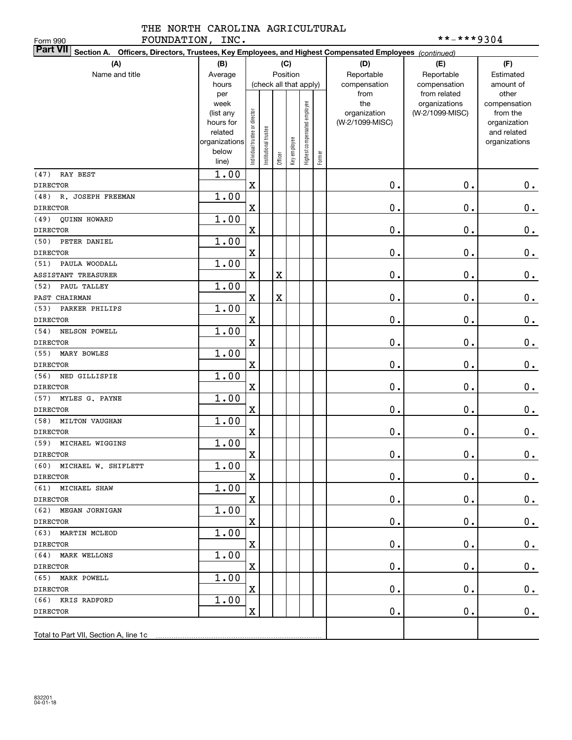# THE NORTH CAROLINA AGRICULTURAL FOUNDATION, INC.  $***-**9304$

| FOUNDATION, INC.<br>Form 990                                                                                              |                      |                                |                      |         |              |                              |        |                 | **-***9304      |                             |
|---------------------------------------------------------------------------------------------------------------------------|----------------------|--------------------------------|----------------------|---------|--------------|------------------------------|--------|-----------------|-----------------|-----------------------------|
| <b>Part VII</b><br>Section A. Officers, Directors, Trustees, Key Employees, and Highest Compensated Employees (continued) |                      |                                |                      |         |              |                              |        |                 |                 |                             |
| (A)                                                                                                                       | (B)                  |                                |                      |         | (C)          |                              |        | (D)             | (E)             | (F)                         |
| Name and title                                                                                                            | Average              |                                |                      |         | Position     |                              |        | Reportable      | Reportable      | Estimated                   |
|                                                                                                                           | hours                |                                |                      |         |              | (check all that apply)       |        | compensation    | compensation    | amount of                   |
|                                                                                                                           | per                  |                                |                      |         |              |                              |        | from            | from related    | other                       |
|                                                                                                                           | week                 |                                |                      |         |              |                              |        | the             | organizations   | compensation                |
|                                                                                                                           | (list any            |                                |                      |         |              |                              |        | organization    | (W-2/1099-MISC) | from the                    |
|                                                                                                                           | hours for<br>related |                                |                      |         |              |                              |        | (W-2/1099-MISC) |                 | organization<br>and related |
|                                                                                                                           | organizations        | Individual trustee or director | nstitutional trustee |         |              | Highest compensated employee |        |                 |                 | organizations               |
|                                                                                                                           | below                |                                |                      |         | Key employee |                              |        |                 |                 |                             |
|                                                                                                                           | line)                |                                |                      | Officer |              |                              | Former |                 |                 |                             |
| (47)<br>RAY BEST                                                                                                          | 1.00                 |                                |                      |         |              |                              |        |                 |                 |                             |
| <b>DIRECTOR</b>                                                                                                           |                      | $\mathbf X$                    |                      |         |              |                              |        | $\mathbf 0$ .   | $\mathbf 0$ .   | 0.                          |
| R. JOSEPH FREEMAN<br>(48)                                                                                                 | 1.00                 |                                |                      |         |              |                              |        |                 |                 |                             |
| <b>DIRECTOR</b>                                                                                                           |                      | $\mathbf X$                    |                      |         |              |                              |        | 0.              | $\mathbf 0$ .   | $\mathbf 0$ .               |
| QUINN HOWARD<br>(49)                                                                                                      | 1.00                 |                                |                      |         |              |                              |        |                 |                 |                             |
| <b>DIRECTOR</b>                                                                                                           |                      | $\mathbf X$                    |                      |         |              |                              |        | 0.              | $\mathbf 0$ .   | $\mathbf 0$ .               |
| PETER DANIEL<br>(50)                                                                                                      | 1.00                 |                                |                      |         |              |                              |        |                 |                 |                             |
| <b>DIRECTOR</b>                                                                                                           |                      | X                              |                      |         |              |                              |        | 0.              | $\mathbf 0$ .   | $\mathbf 0$ .               |
| PAULA WOODALL<br>(51)                                                                                                     | 1.00                 |                                |                      |         |              |                              |        |                 |                 |                             |
| <b>ASSISTANT TREASURER</b>                                                                                                |                      | $\mathbf X$                    |                      | X       |              |                              |        | 0.              | $\mathbf 0$ .   | $\mathbf 0$ .               |
| (52)<br>PAUL TALLEY                                                                                                       | 1.00                 |                                |                      |         |              |                              |        |                 |                 |                             |
| PAST CHAIRMAN                                                                                                             |                      | $\mathbf X$                    |                      | X       |              |                              |        | 0.              | $\mathbf 0$ .   | $\mathbf 0$ .               |
| (53)<br>PARKER PHILIPS                                                                                                    | 1.00                 |                                |                      |         |              |                              |        |                 |                 |                             |
| <b>DIRECTOR</b>                                                                                                           |                      | $\mathbf X$                    |                      |         |              |                              |        | 0.              | $\mathbf 0$ .   | $\mathbf 0$ .               |
| (54)<br>NELSON POWELL                                                                                                     | 1.00                 |                                |                      |         |              |                              |        |                 |                 |                             |
| <b>DIRECTOR</b>                                                                                                           |                      | $\mathbf X$                    |                      |         |              |                              |        | 0.              | $\mathbf 0$ .   | $0$ .                       |
| (55)<br>MARY BOWLES                                                                                                       | 1.00                 |                                |                      |         |              |                              |        |                 |                 |                             |
| <b>DIRECTOR</b>                                                                                                           |                      | X                              |                      |         |              |                              |        | 0.              | $\mathbf 0$ .   | $0$ .                       |
| (56)<br>NED GILLISPIE                                                                                                     | 1.00                 |                                |                      |         |              |                              |        |                 |                 |                             |
| <b>DIRECTOR</b>                                                                                                           |                      | $\mathbf X$                    |                      |         |              |                              |        | 0.              | $\mathbf 0$ .   | $0$ .                       |
| (57)<br>MYLES G. PAYNE                                                                                                    | 1.00                 |                                |                      |         |              |                              |        |                 |                 |                             |
| <b>DIRECTOR</b>                                                                                                           |                      | $\mathbf X$                    |                      |         |              |                              |        | 0.              | $\mathbf 0$ .   | $0$ .                       |
| (58)<br>MILTON VAUGHAN                                                                                                    | 1.00                 |                                |                      |         |              |                              |        |                 |                 |                             |
| <b>DIRECTOR</b>                                                                                                           |                      | $\mathbf X$                    |                      |         |              |                              |        | 0.              | $\mathbf 0$ .   | 0.                          |
| (59) MICHAEL WIGGINS                                                                                                      | 1.00                 |                                |                      |         |              |                              |        |                 |                 |                             |
| DIRECTOR                                                                                                                  |                      | $\mathbf X$                    |                      |         |              |                              |        | $\mathbf 0$ .   | $\mathbf 0$ .   | $\mathbf 0$ .               |
| (60) MICHAEL W. SHIFLETT                                                                                                  | 1.00                 |                                |                      |         |              |                              |        |                 |                 |                             |
| <b>DIRECTOR</b>                                                                                                           |                      | $\mathbf X$                    |                      |         |              |                              |        | 0.              | $\mathbf 0$ .   | 0.                          |
| (61) MICHAEL SHAW                                                                                                         | 1.00                 |                                |                      |         |              |                              |        |                 |                 |                             |
| DIRECTOR                                                                                                                  |                      | $\mathbf X$                    |                      |         |              |                              |        | $\mathbf 0$ .   | $\mathbf 0$ .   | 0.                          |
| (62) MEGAN JORNIGAN                                                                                                       | 1.00                 |                                |                      |         |              |                              |        |                 |                 |                             |
| DIRECTOR                                                                                                                  |                      | $\mathbf X$                    |                      |         |              |                              |        | $\mathbf 0$ .   | $\mathbf 0$ .   | 0.                          |
| (63) MARTIN MCLEOD                                                                                                        | 1.00                 |                                |                      |         |              |                              |        |                 |                 |                             |
| DIRECTOR                                                                                                                  |                      | $\mathbf X$                    |                      |         |              |                              |        | $\mathbf 0$ .   | $\mathbf 0$ .   | 0.                          |
| (64) MARK WELLONS                                                                                                         | 1.00                 |                                |                      |         |              |                              |        |                 |                 |                             |
| DIRECTOR                                                                                                                  |                      | $\mathbf X$                    |                      |         |              |                              |        | 0.              | $\mathbf 0$ .   | 0.                          |
| (65) MARK POWELL                                                                                                          | 1.00                 |                                |                      |         |              |                              |        |                 |                 |                             |
| DIRECTOR                                                                                                                  |                      | $\mathbf X$                    |                      |         |              |                              |        | 0.              | $\mathbf 0$ .   | $\mathbf 0$ .               |
| (66) KRIS RADFORD                                                                                                         | 1.00                 |                                |                      |         |              |                              |        |                 |                 |                             |
| DIRECTOR                                                                                                                  |                      | $\mathbf X$                    |                      |         |              |                              |        | $\mathbf 0$ .   | $\mathbf 0$ .   | $\mathbf 0$ .               |
|                                                                                                                           |                      |                                |                      |         |              |                              |        |                 |                 |                             |
| Total to Part VII, Section A, line 1c                                                                                     |                      |                                |                      |         |              |                              |        |                 |                 |                             |
|                                                                                                                           |                      |                                |                      |         |              |                              |        |                 |                 |                             |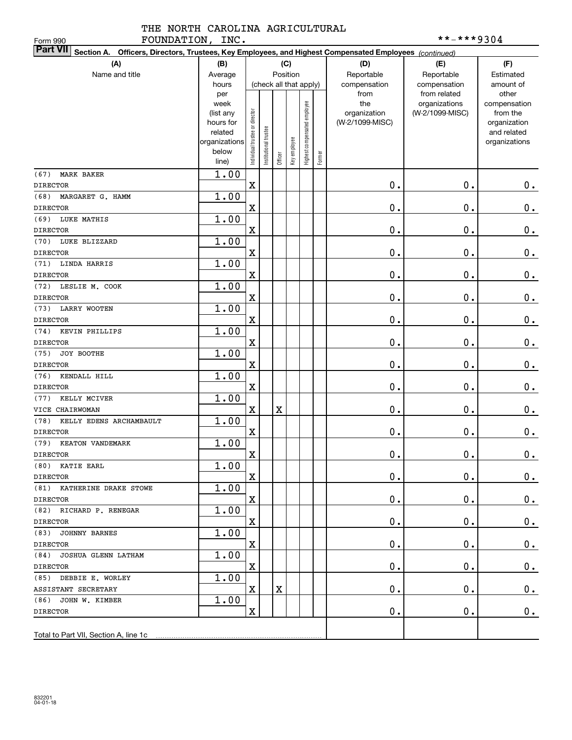#### THE NORTH CAROLINA AGRICULTURAL FOUNDATION, INC. \*\*-\*\*\*9304

| FOUNDATION, INC.<br>Form 990                                                                                              |                |                                |                        |         |              |                              |        |                 | **-***9304                       |                          |
|---------------------------------------------------------------------------------------------------------------------------|----------------|--------------------------------|------------------------|---------|--------------|------------------------------|--------|-----------------|----------------------------------|--------------------------|
| <b>Part VII</b><br>Section A. Officers, Directors, Trustees, Key Employees, and Highest Compensated Employees (continued) |                |                                |                        |         |              |                              |        |                 |                                  |                          |
| (A)                                                                                                                       | (B)            |                                |                        | (C)     |              |                              |        | (D)             | (E)                              | (F)                      |
| Name and title                                                                                                            | Average        |                                |                        |         | Position     |                              |        | Reportable      | Reportable                       | Estimated                |
|                                                                                                                           | hours          |                                | (check all that apply) |         |              |                              |        | compensation    | compensation                     | amount of                |
|                                                                                                                           | per<br>week    |                                |                        |         |              |                              |        | from<br>the     | from related                     | other                    |
|                                                                                                                           | (list any      |                                |                        |         |              |                              |        | organization    | organizations<br>(W-2/1099-MISC) | compensation<br>from the |
|                                                                                                                           | hours for      |                                |                        |         |              |                              |        | (W-2/1099-MISC) |                                  | organization             |
|                                                                                                                           | related        |                                |                        |         |              |                              |        |                 |                                  | and related              |
|                                                                                                                           | organizations  |                                |                        |         |              |                              |        |                 |                                  | organizations            |
|                                                                                                                           | below<br>line) | Individual trustee or director | Institutional trustee  | Officer | Key employee | Highest compensated employee | Former |                 |                                  |                          |
| MARK BAKER<br>(67)                                                                                                        | 1.00           |                                |                        |         |              |                              |        |                 |                                  |                          |
| <b>DIRECTOR</b>                                                                                                           |                | $\mathbf X$                    |                        |         |              |                              |        | 0.              | 0.                               | 0.                       |
| MARGARET G. HAMM<br>(68)                                                                                                  | 1.00           |                                |                        |         |              |                              |        |                 |                                  |                          |
| <b>DIRECTOR</b>                                                                                                           |                | $\mathbf X$                    |                        |         |              |                              |        | 0.              | $\mathbf 0$ .                    | $\mathbf 0$ .            |
| LUKE MATHIS<br>(69)                                                                                                       | 1.00           |                                |                        |         |              |                              |        |                 |                                  |                          |
| <b>DIRECTOR</b>                                                                                                           |                | $\mathbf X$                    |                        |         |              |                              |        | 0.              | $\mathbf 0$ .                    | $\mathbf 0$ .            |
| LUKE BLIZZARD<br>(70)                                                                                                     | 1.00           |                                |                        |         |              |                              |        |                 |                                  |                          |
| <b>DIRECTOR</b>                                                                                                           |                | X                              |                        |         |              |                              |        | $\mathbf 0$ .   | 0.                               | $\mathbf 0$ .            |
| LINDA HARRIS<br>(71)                                                                                                      | 1.00           |                                |                        |         |              |                              |        |                 |                                  |                          |
| <b>DIRECTOR</b>                                                                                                           |                | $\mathbf X$                    |                        |         |              |                              |        | $\mathbf 0$ .   | $\mathbf 0$ .                    | $\mathbf 0$ .            |
| (72)<br>LESLIE M. COOK                                                                                                    | 1.00           |                                |                        |         |              |                              |        |                 |                                  |                          |
| <b>DIRECTOR</b>                                                                                                           |                | $\mathbf X$                    |                        |         |              |                              |        | $\mathbf 0$ .   | $\mathbf 0$ .                    | $\mathbf 0$ .            |
| LARRY WOOTEN<br>(73)                                                                                                      | 1.00           |                                |                        |         |              |                              |        |                 |                                  |                          |
| <b>DIRECTOR</b>                                                                                                           |                | X                              |                        |         |              |                              |        | 0.              | $\mathbf 0$ .                    | $\mathbf 0$ .            |
| KEVIN PHILLIPS<br>(74)                                                                                                    | 1.00           |                                |                        |         |              |                              |        |                 |                                  |                          |
| <b>DIRECTOR</b>                                                                                                           |                | X                              |                        |         |              |                              |        | 0.              | $\mathbf 0$ .                    | $\mathbf 0$ .            |
| JOY BOOTHE<br>(75)                                                                                                        | 1.00           |                                |                        |         |              |                              |        |                 |                                  |                          |
| <b>DIRECTOR</b>                                                                                                           | 1.00           | X                              |                        |         |              |                              |        | $\mathbf 0$ .   | $\mathbf 0$ .                    | $0$ .                    |
| KENDALL HILL<br>(76)<br><b>DIRECTOR</b>                                                                                   |                | $\mathbf X$                    |                        |         |              |                              |        | $\mathbf 0$ .   | $\mathbf 0$ .                    | $0$ .                    |
| KELLY MCIVER<br>(77)                                                                                                      | 1.00           |                                |                        |         |              |                              |        |                 |                                  |                          |
| VICE CHAIRWOMAN                                                                                                           |                | $\mathbf X$                    |                        | X       |              |                              |        | $\mathbf 0$ .   | $\mathbf 0$ .                    | $0$ .                    |
| KELLY EDENS ARCHAMBAULT<br>(78)                                                                                           | 1.00           |                                |                        |         |              |                              |        |                 |                                  |                          |
| <b>DIRECTOR</b>                                                                                                           |                | $\mathbf X$                    |                        |         |              |                              |        | 0.              | $\mathbf 0$ .                    | $0$ .                    |
| (79) KEATON VANDEMARK                                                                                                     | 1.00           |                                |                        |         |              |                              |        |                 |                                  |                          |
| <b>DIRECTOR</b>                                                                                                           |                | $\mathbf X$                    |                        |         |              |                              |        | $\mathbf 0$ .   | $\mathbf 0$ .                    | 0.                       |
| (80) KATIE EARL                                                                                                           | 1.00           |                                |                        |         |              |                              |        |                 |                                  |                          |
| DIRECTOR                                                                                                                  |                | $\mathbf X$                    |                        |         |              |                              |        | 0.              | 0.                               | $0$ .                    |
| (81) KATHERINE DRAKE STOWE                                                                                                | 1.00           |                                |                        |         |              |                              |        |                 |                                  |                          |
| DIRECTOR                                                                                                                  |                | $\mathbf X$                    |                        |         |              |                              |        | $\mathbf 0$ .   | 0.                               | 0.                       |
| (82) RICHARD P. RENEGAR                                                                                                   | 1.00           |                                |                        |         |              |                              |        |                 |                                  |                          |
| DIRECTOR                                                                                                                  |                | $\mathbf X$                    |                        |         |              |                              |        | $\mathbf 0$ .   | 0.                               | 0.                       |
| (83) JOHNNY BARNES                                                                                                        | 1.00           |                                |                        |         |              |                              |        |                 |                                  |                          |
| DIRECTOR                                                                                                                  |                | $\mathbf X$                    |                        |         |              |                              |        | $\mathbf 0$ .   | 0.                               | 0.                       |
| (84) JOSHUA GLENN LATHAM                                                                                                  | 1.00           |                                |                        |         |              |                              |        |                 |                                  |                          |
| DIRECTOR                                                                                                                  |                | $\mathbf X$                    |                        |         |              |                              |        | $\mathbf 0$ .   | 0.                               | 0.                       |
| (85) DEBBIE E. WORLEY                                                                                                     | 1.00           | X                              |                        | X       |              |                              |        | $\mathbf 0$ .   | 0.                               |                          |
| ASSISTANT SECRETARY<br>(86) JOHN W. KIMBER                                                                                | 1.00           |                                |                        |         |              |                              |        |                 |                                  | $0$ .                    |
| DIRECTOR                                                                                                                  |                | $\mathbf X$                    |                        |         |              |                              |        | $\mathbf 0$ .   | 0.                               | 0.                       |
|                                                                                                                           |                |                                |                        |         |              |                              |        |                 |                                  |                          |
| Total to Part VII, Section A, line 1c                                                                                     |                |                                |                        |         |              |                              |        |                 |                                  |                          |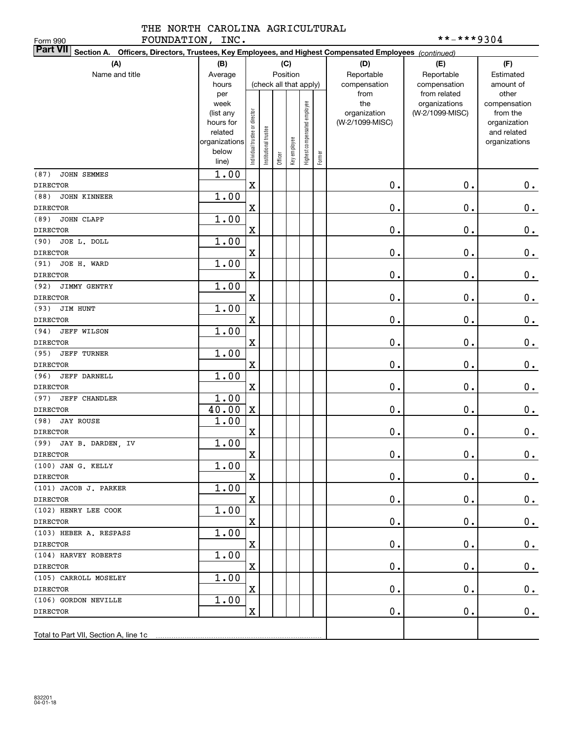# THE NORTH CAROLINA AGRICULTURAL FOUNDATION, INC. \*\*-\*\*\*9304

| FOUNDATION, INC.<br>Form 990                                                                                    |                      |                                |                       |                        |              |                              |        |                 | **-***9304      |                             |
|-----------------------------------------------------------------------------------------------------------------|----------------------|--------------------------------|-----------------------|------------------------|--------------|------------------------------|--------|-----------------|-----------------|-----------------------------|
| Part VII Section A. Officers, Directors, Trustees, Key Employees, and Highest Compensated Employees (continued) |                      |                                |                       |                        |              |                              |        |                 |                 |                             |
| (A)                                                                                                             | (B)                  |                                |                       |                        | (C)          |                              |        | (D)             | (E)             | (F)                         |
| Name and title                                                                                                  | Average              |                                |                       | Position               |              |                              |        | Reportable      | Reportable      | Estimated                   |
|                                                                                                                 | hours                |                                |                       | (check all that apply) |              |                              |        | compensation    | compensation    | amount of                   |
|                                                                                                                 | per                  |                                |                       |                        |              |                              |        | from            | from related    | other                       |
|                                                                                                                 | week                 |                                |                       |                        |              |                              |        | the             | organizations   | compensation                |
|                                                                                                                 | (list any            |                                |                       |                        |              |                              |        | organization    | (W-2/1099-MISC) | from the                    |
|                                                                                                                 | hours for<br>related |                                |                       |                        |              |                              |        | (W-2/1099-MISC) |                 | organization<br>and related |
|                                                                                                                 | organizations        | Individual trustee or director | Institutional trustee |                        |              | Highest compensated employee |        |                 |                 | organizations               |
|                                                                                                                 | below                |                                |                       |                        | Key employee |                              |        |                 |                 |                             |
|                                                                                                                 | line)                |                                |                       | Officer                |              |                              | Former |                 |                 |                             |
| (87)<br>JOHN SEMMES                                                                                             | 1.00                 |                                |                       |                        |              |                              |        |                 |                 |                             |
| <b>DIRECTOR</b>                                                                                                 |                      | $\mathbf X$                    |                       |                        |              |                              |        | 0.              | $\mathbf 0$ .   | $0_{.}$                     |
| (88)<br><b>JOHN KINNEER</b>                                                                                     | 1.00                 |                                |                       |                        |              |                              |        |                 |                 |                             |
| <b>DIRECTOR</b>                                                                                                 |                      | $\mathbf X$                    |                       |                        |              |                              |        | 0.              | $\mathbf 0$ .   | $\mathbf 0$ .               |
| JOHN CLAPP<br>(89)                                                                                              | 1.00                 |                                |                       |                        |              |                              |        |                 |                 |                             |
| <b>DIRECTOR</b>                                                                                                 |                      | $\mathbf X$                    |                       |                        |              |                              |        | 0.              | $\mathbf 0$ .   | $0_{.}$                     |
| JOE L. DOLL<br>(90)                                                                                             | 1.00                 |                                |                       |                        |              |                              |        |                 |                 |                             |
| <b>DIRECTOR</b>                                                                                                 |                      | $\mathbf X$                    |                       |                        |              |                              |        | 0.              | $\mathbf 0$ .   | $0_{.}$                     |
| JOE H. WARD<br>(91)                                                                                             | 1.00                 |                                |                       |                        |              |                              |        |                 |                 |                             |
| <b>DIRECTOR</b>                                                                                                 |                      | $\mathbf X$                    |                       |                        |              |                              |        | 0.              | $\mathbf 0$ .   | $0$ .                       |
| (92)<br>JIMMY GENTRY                                                                                            | 1.00                 |                                |                       |                        |              |                              |        |                 |                 |                             |
| <b>DIRECTOR</b>                                                                                                 |                      | $\mathbf X$                    |                       |                        |              |                              |        | 0.              | $\mathbf 0$ .   | $\mathbf 0$ .               |
| JIM HUNT<br>(93)                                                                                                | 1.00                 |                                |                       |                        |              |                              |        |                 |                 |                             |
| <b>DIRECTOR</b>                                                                                                 |                      | $\mathbf X$                    |                       |                        |              |                              |        | 0.              | $\mathbf 0$ .   | $\mathbf 0$ .               |
| (94)<br><b>JEFF WILSON</b>                                                                                      | 1.00                 |                                |                       |                        |              |                              |        |                 |                 |                             |
| <b>DIRECTOR</b>                                                                                                 |                      | $\mathbf X$                    |                       |                        |              |                              |        | 0.              | $\mathbf 0$ .   | $\mathbf 0$ .               |
| (95)<br><b>JEFF TURNER</b>                                                                                      | 1.00                 |                                |                       |                        |              |                              |        |                 |                 |                             |
| <b>DIRECTOR</b>                                                                                                 |                      | $\mathbf X$                    |                       |                        |              |                              |        | 0.              | $\mathbf 0$ .   | $\mathbf 0$ .               |
| (96)<br>JEFF DARNELL                                                                                            | 1.00                 |                                |                       |                        |              |                              |        |                 |                 |                             |
| <b>DIRECTOR</b>                                                                                                 |                      | $\mathbf X$                    |                       |                        |              |                              |        | 0.              | $\mathbf 0$ .   | $\mathbf 0$ .               |
| (97)<br><b>JEFF CHANDLER</b>                                                                                    | 1.00                 |                                |                       |                        |              |                              |        |                 |                 |                             |
| <b>DIRECTOR</b>                                                                                                 | 40.00                | $\mathbf X$                    |                       |                        |              |                              |        | 0.              | $\mathbf 0$ .   | $0$ .                       |
| <b>JAY ROUSE</b><br>(98)                                                                                        | 1.00                 |                                |                       |                        |              |                              |        |                 |                 |                             |
| <b>DIRECTOR</b>                                                                                                 |                      | $\mathbf X$                    |                       |                        |              |                              |        | 0.              | $\mathbf 0$ .   | $0$ .                       |
| (99) JAY B. DARDEN, IV                                                                                          | 1.00                 |                                |                       |                        |              |                              |        |                 |                 |                             |
| <b>DIRECTOR</b>                                                                                                 |                      | $\mathbf X$                    |                       |                        |              |                              |        | $\mathbf 0$ .   | $\mathbf 0$ .   | $\mathbf 0$ .               |
| $(100)$ JAN G. KELLY                                                                                            | 1.00                 |                                |                       |                        |              |                              |        |                 |                 |                             |
| DIRECTOR                                                                                                        |                      | X                              |                       |                        |              |                              |        | $\mathbf 0$ .   | 0.              | 0.                          |
| (101) JACOB J. PARKER                                                                                           | 1.00                 |                                |                       |                        |              |                              |        |                 |                 |                             |
| <b>DIRECTOR</b>                                                                                                 |                      | $\mathbf X$                    |                       |                        |              |                              |        | 0.              | О.              | 0.                          |
| (102) HENRY LEE COOK                                                                                            | 1.00                 |                                |                       |                        |              |                              |        |                 |                 |                             |
| DIRECTOR                                                                                                        |                      | $\mathbf X$                    |                       |                        |              |                              |        | $\mathbf 0$ .   | О.              | $0\cdot$                    |
| (103) HEBER A. RESPASS                                                                                          | 1.00                 |                                |                       |                        |              |                              |        |                 |                 |                             |
| DIRECTOR                                                                                                        |                      | $\mathbf X$                    |                       |                        |              |                              |        | $\mathbf 0$ .   | О.              | $0\cdot$                    |
| (104) HARVEY ROBERTS                                                                                            | 1.00                 |                                |                       |                        |              |                              |        |                 |                 |                             |
| <b>DIRECTOR</b>                                                                                                 |                      | $\mathbf X$                    |                       |                        |              |                              |        | $\mathbf 0$ .   | О.              | $0\cdot$                    |
| (105) CARROLL MOSELEY                                                                                           | 1.00                 |                                |                       |                        |              |                              |        |                 |                 |                             |
| DIRECTOR                                                                                                        |                      | $\mathbf X$                    |                       |                        |              |                              |        | $\mathbf 0$ .   | О.              | $0\cdot$                    |
| (106) GORDON NEVILLE                                                                                            | 1.00                 | $\mathbf X$                    |                       |                        |              |                              |        |                 |                 |                             |
| DIRECTOR                                                                                                        |                      |                                |                       |                        |              |                              |        | $\mathbf 0$ .   | О.              | 0.                          |
|                                                                                                                 |                      |                                |                       |                        |              |                              |        |                 |                 |                             |
|                                                                                                                 |                      |                                |                       |                        |              |                              |        |                 |                 |                             |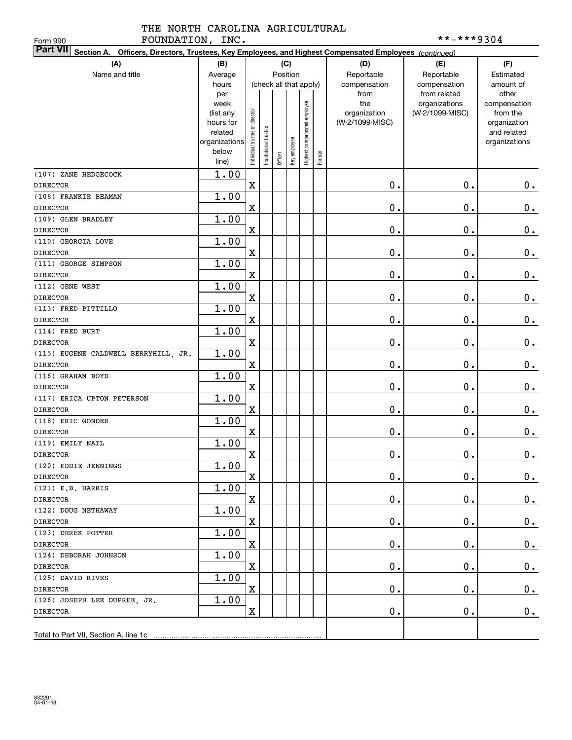THE NORTH CAROLINA AGRICULTURAL FOUNDATION, INC.  $***-**9304$ 

| FOUNDATION, INC.<br>Form 990             |                                                                                                        |                                |                        |         |              |                              |        |                 | **-***9304      |                             |  |
|------------------------------------------|--------------------------------------------------------------------------------------------------------|--------------------------------|------------------------|---------|--------------|------------------------------|--------|-----------------|-----------------|-----------------------------|--|
| <b>Part VII</b>                          | Section A. Officers, Directors, Trustees, Key Employees, and Highest Compensated Employees (continued) |                                |                        |         |              |                              |        |                 |                 |                             |  |
| (A)                                      | (B)                                                                                                    |                                |                        |         | (C)          |                              |        | (D)             | (E)             | (F)                         |  |
| Name and title                           | Average                                                                                                |                                |                        |         | Position     |                              |        | Reportable      | Reportable      | Estimated                   |  |
|                                          | hours                                                                                                  |                                | (check all that apply) |         |              |                              |        | compensation    | compensation    | amount of                   |  |
|                                          | per                                                                                                    |                                |                        |         |              |                              |        | from            | from related    | other                       |  |
|                                          | week                                                                                                   |                                |                        |         |              |                              |        | the             | organizations   | compensation                |  |
|                                          | (list any                                                                                              |                                |                        |         |              |                              |        | organization    | (W-2/1099-MISC) | from the                    |  |
|                                          | hours for<br>related                                                                                   |                                |                        |         |              |                              |        | (W-2/1099-MISC) |                 | organization<br>and related |  |
|                                          | organizations                                                                                          |                                |                        |         |              |                              |        |                 |                 | organizations               |  |
|                                          | below                                                                                                  | Individual trustee or director | nstitutional trustee   |         |              | Highest compensated employee |        |                 |                 |                             |  |
|                                          | line)                                                                                                  |                                |                        | Officer | Key employee |                              | Former |                 |                 |                             |  |
| (107) ZANE HEDGECOCK                     | 1.00                                                                                                   |                                |                        |         |              |                              |        |                 |                 |                             |  |
| <b>DIRECTOR</b>                          |                                                                                                        | $\mathbf X$                    |                        |         |              |                              |        | 0.              | $0$ .           | $0$ .                       |  |
| (108) FRANKIE BEAMAN                     | 1.00                                                                                                   |                                |                        |         |              |                              |        |                 |                 |                             |  |
| <b>DIRECTOR</b>                          |                                                                                                        | X                              |                        |         |              |                              |        | 0.              | $0$ .           | $\mathbf 0$ .               |  |
| (109) GLEN BRADLEY                       | 1.00                                                                                                   |                                |                        |         |              |                              |        |                 |                 |                             |  |
| <b>DIRECTOR</b>                          |                                                                                                        | X                              |                        |         |              |                              |        | 0.              | $0$ .           | $\mathbf 0$ .               |  |
| (110) GEORGIA LOVE                       | 1.00                                                                                                   |                                |                        |         |              |                              |        |                 |                 |                             |  |
| <b>DIRECTOR</b>                          |                                                                                                        | X                              |                        |         |              |                              |        | 0.              | $0$ .           | $\mathbf 0$ .               |  |
| (111) GEORGE SIMPSON                     | 1.00                                                                                                   |                                |                        |         |              |                              |        |                 |                 |                             |  |
| <b>DIRECTOR</b>                          |                                                                                                        | X                              |                        |         |              |                              |        | 0.              | $0$ .           | $\mathbf 0$ .               |  |
| (112) GENE WEST                          | 1.00                                                                                                   |                                |                        |         |              |                              |        |                 |                 |                             |  |
| <b>DIRECTOR</b>                          |                                                                                                        | X                              |                        |         |              |                              |        | 0.              | $0$ .           | $\mathbf 0$ .               |  |
| (113) FRED PITTILLO                      | 1.00                                                                                                   |                                |                        |         |              |                              |        |                 |                 |                             |  |
| <b>DIRECTOR</b>                          |                                                                                                        | X                              |                        |         |              |                              |        | 0.              | $0$ .           | $\mathbf 0$ .               |  |
| (114) FRED BURT                          | 1.00                                                                                                   |                                |                        |         |              |                              |        |                 |                 |                             |  |
| <b>DIRECTOR</b>                          |                                                                                                        | X                              |                        |         |              |                              |        | 0.              | $0$ .           | $\mathbf 0$ .               |  |
| (115) EUGENE CALDWELL BERRYHILL, JR.     | 1.00                                                                                                   |                                |                        |         |              |                              |        |                 |                 |                             |  |
| <b>DIRECTOR</b>                          |                                                                                                        | X                              |                        |         |              |                              |        | 0.              | $0$ .           | $0$ .                       |  |
| (116) GRAHAM BOYD                        | 1.00                                                                                                   |                                |                        |         |              |                              |        |                 |                 |                             |  |
| <b>DIRECTOR</b>                          |                                                                                                        | X                              |                        |         |              |                              |        | $\mathbf 0$ .   | 0.              | 0.                          |  |
| (117) ERICA UPTON PETERSON               | 1.00                                                                                                   |                                |                        |         |              |                              |        |                 |                 |                             |  |
| <b>DIRECTOR</b>                          |                                                                                                        | X                              |                        |         |              |                              |        | $\mathbf 0$ .   | 0.              | $0\,.$                      |  |
| (118) ERIC GONDER                        | 1.00                                                                                                   |                                |                        |         |              |                              |        |                 |                 |                             |  |
| <b>DIRECTOR</b>                          |                                                                                                        | X                              |                        |         |              |                              |        | $\mathbf 0$ .   | 0.              | $0\,.$                      |  |
| (119) EMILY NAIL                         | 1.00                                                                                                   |                                |                        |         |              |                              |        |                 |                 |                             |  |
| <b>DIRECTOR</b>                          |                                                                                                        | X                              |                        |         |              |                              |        | $\mathbf 0$ .   | $\mathbf 0$ .   | 0.                          |  |
| (120) EDDIE JENNINGS                     | 1.00                                                                                                   |                                |                        |         |              |                              |        |                 |                 |                             |  |
| DIRECTOR                                 |                                                                                                        | X                              |                        |         |              |                              |        | 0.              | 0.              | $0$ .                       |  |
| $(121)$ E.B. HARRIS                      | 1.00                                                                                                   |                                |                        |         |              |                              |        |                 |                 |                             |  |
| DIRECTOR                                 |                                                                                                        | X                              |                        |         |              |                              |        | $\mathbf 0$ .   | $\mathbf 0$ .   | $0$ .                       |  |
| (122) DOUG NETHAWAY                      | 1.00                                                                                                   |                                |                        |         |              |                              |        |                 |                 |                             |  |
| <b>DIRECTOR</b>                          |                                                                                                        | X                              |                        |         |              |                              |        | $\mathbf 0$ .   | $\mathbf 0$ .   | $0$ .                       |  |
| (123) DEREK POTTER                       | 1.00                                                                                                   |                                |                        |         |              |                              |        |                 |                 |                             |  |
| <b>DIRECTOR</b>                          |                                                                                                        | X                              |                        |         |              |                              |        | $\mathbf 0$ .   | $\mathbf 0$ .   | $0$ .                       |  |
| (124) DEBORAH JOHNSON                    | 1.00                                                                                                   |                                |                        |         |              |                              |        |                 |                 |                             |  |
| DIRECTOR                                 |                                                                                                        | X                              |                        |         |              |                              |        | $\mathbf 0$ .   | $\mathbf 0$ .   | $0$ .                       |  |
| (125) DAVID RIVES                        | 1.00                                                                                                   | X                              |                        |         |              |                              |        | $\mathbf 0$ .   | $\mathbf 0$ .   | $0$ .                       |  |
| DIRECTOR<br>(126) JOSEPH LEE DUPREE, JR. | 1.00                                                                                                   |                                |                        |         |              |                              |        |                 |                 |                             |  |
| DIRECTOR                                 |                                                                                                        | x                              |                        |         |              |                              |        | О.              | $\mathbf 0$ .   | $0$ .                       |  |
|                                          |                                                                                                        |                                |                        |         |              |                              |        |                 |                 |                             |  |
|                                          |                                                                                                        |                                |                        |         |              |                              |        |                 |                 |                             |  |
|                                          |                                                                                                        |                                |                        |         |              |                              |        |                 |                 |                             |  |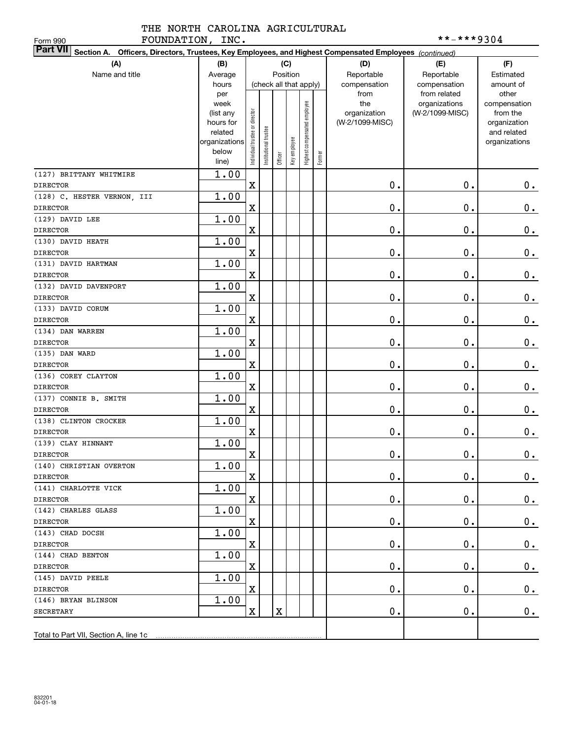# THE NORTH CAROLINA AGRICULTURAL FOUNDATION, INC. \*\*-\*\*\*9304

| FOUNDATION, INC.<br>Form 990                                                                                              |                      |                                |                      |          |              |                              |        |                 | **-***9304      |                             |
|---------------------------------------------------------------------------------------------------------------------------|----------------------|--------------------------------|----------------------|----------|--------------|------------------------------|--------|-----------------|-----------------|-----------------------------|
| <b>Part VII</b><br>Section A. Officers, Directors, Trustees, Key Employees, and Highest Compensated Employees (continued) |                      |                                |                      |          |              |                              |        |                 |                 |                             |
| (A)                                                                                                                       | (B)                  |                                |                      |          | (C)          |                              |        | (D)             | (E)             | (F)                         |
| Name and title                                                                                                            | Average              |                                |                      | Position |              |                              |        | Reportable      | Reportable      | Estimated                   |
|                                                                                                                           | hours                |                                |                      |          |              | (check all that apply)       |        | compensation    | compensation    | amount of                   |
|                                                                                                                           | per                  |                                |                      |          |              |                              |        | from            | from related    | other                       |
|                                                                                                                           | week                 |                                |                      |          |              |                              |        | the             | organizations   | compensation                |
|                                                                                                                           | (list any            |                                |                      |          |              |                              |        | organization    | (W-2/1099-MISC) | from the                    |
|                                                                                                                           | hours for<br>related |                                |                      |          |              |                              |        | (W-2/1099-MISC) |                 | organization<br>and related |
|                                                                                                                           | organizations        | Individual trustee or director | nstitutional trustee |          |              | Highest compensated employee |        |                 |                 | organizations               |
|                                                                                                                           | below                |                                |                      |          | Key employee |                              |        |                 |                 |                             |
|                                                                                                                           | line)                |                                |                      | Officer  |              |                              | Former |                 |                 |                             |
| (127) BRITTANY WHITMIRE                                                                                                   | 1.00                 |                                |                      |          |              |                              |        |                 |                 |                             |
| <b>DIRECTOR</b>                                                                                                           |                      | $\mathbf X$                    |                      |          |              |                              |        | 0.              | $\mathbf 0$ .   | 0.                          |
| (128) C. HESTER VERNON, III                                                                                               | 1.00                 |                                |                      |          |              |                              |        |                 |                 |                             |
| <b>DIRECTOR</b>                                                                                                           |                      | $\mathbf X$                    |                      |          |              |                              |        | 0.              | $\mathbf 0$ .   | $\mathbf 0$ .               |
| (129) DAVID LEE                                                                                                           | 1.00                 |                                |                      |          |              |                              |        |                 |                 |                             |
| <b>DIRECTOR</b>                                                                                                           |                      | $\mathbf X$                    |                      |          |              |                              |        | 0.              | $\mathbf 0$ .   | $\mathbf 0$ .               |
| (130) DAVID HEATH                                                                                                         | 1.00                 |                                |                      |          |              |                              |        |                 |                 |                             |
| <b>DIRECTOR</b>                                                                                                           |                      | $\mathbf X$                    |                      |          |              |                              |        | 0.              | $\mathbf 0$ .   | $\mathbf 0$ .               |
| (131) DAVID HARTMAN                                                                                                       | 1.00                 |                                |                      |          |              |                              |        |                 |                 |                             |
| <b>DIRECTOR</b>                                                                                                           |                      | X                              |                      |          |              |                              |        | 0.              | $\mathbf 0$ .   | $0_{.}$                     |
| (132) DAVID DAVENPORT                                                                                                     | 1.00                 |                                |                      |          |              |                              |        |                 |                 |                             |
| <b>DIRECTOR</b>                                                                                                           |                      | $\mathbf X$                    |                      |          |              |                              |        | 0.              | $\mathbf 0$ .   | $\mathbf 0$ .               |
| (133) DAVID CORUM                                                                                                         | 1.00                 |                                |                      |          |              |                              |        |                 |                 |                             |
| <b>DIRECTOR</b>                                                                                                           |                      | $\mathbf X$                    |                      |          |              |                              |        | 0.              | $\mathbf 0$ .   | $\mathbf 0$ .               |
| (134) DAN WARREN                                                                                                          | 1.00                 |                                |                      |          |              |                              |        |                 |                 |                             |
| <b>DIRECTOR</b>                                                                                                           |                      | $\mathbf X$                    |                      |          |              |                              |        | 0.              | $\mathbf 0$ .   | $\mathbf 0$ .               |
| (135) DAN WARD                                                                                                            | 1.00                 |                                |                      |          |              |                              |        |                 |                 |                             |
| <b>DIRECTOR</b>                                                                                                           |                      | $\mathbf X$                    |                      |          |              |                              |        | 0.              | $\mathbf 0$ .   | $\mathbf 0$ .               |
| (136) COREY CLAYTON                                                                                                       | 1.00                 |                                |                      |          |              |                              |        |                 |                 |                             |
| <b>DIRECTOR</b>                                                                                                           |                      | $\mathbf X$                    |                      |          |              |                              |        | 0.              | $\mathbf 0$ .   | $0$ .                       |
| (137) CONNIE B. SMITH                                                                                                     | 1.00                 |                                |                      |          |              |                              |        |                 |                 |                             |
| <b>DIRECTOR</b>                                                                                                           |                      | $\mathbf X$                    |                      |          |              |                              |        | 0.              | $\mathbf 0$ .   | $\mathbf 0$ .               |
| (138) CLINTON CROCKER                                                                                                     | 1.00                 |                                |                      |          |              |                              |        |                 |                 |                             |
| <b>DIRECTOR</b>                                                                                                           |                      | $\mathbf X$                    |                      |          |              |                              |        | 0.              | $\mathbf 0$ .   | $0$ .                       |
| (139) CLAY HINNANT                                                                                                        | 1.00                 |                                |                      |          |              |                              |        |                 |                 |                             |
| <b>DIRECTOR</b>                                                                                                           |                      | $\overline{\mathbf{X}}$        |                      |          |              |                              |        | $\mathbf 0$ .   | $\mathbf 0$ .   | $\mathbf 0$ .               |
| (140) CHRISTIAN OVERTON                                                                                                   | 1.00                 |                                |                      |          |              |                              |        |                 |                 |                             |
| DIRECTOR                                                                                                                  |                      | $\mathbf X$                    |                      |          |              |                              |        | $\mathbf 0$ .   | 0.              | $0_{.}$                     |
| (141) CHARLOTTE VICK                                                                                                      | 1.00                 |                                |                      |          |              |                              |        |                 |                 |                             |
| DIRECTOR                                                                                                                  |                      | $\mathbf X$                    |                      |          |              |                              |        | 0.              | О.              | 0.                          |
| (142) CHARLES GLASS                                                                                                       | 1.00                 |                                |                      |          |              |                              |        |                 |                 |                             |
| <b>DIRECTOR</b><br>(143) CHAD DOCSH                                                                                       |                      | $\mathbf X$                    |                      |          |              |                              |        | 0.              | О.              | 0.                          |
|                                                                                                                           | 1.00                 | $\mathbf X$                    |                      |          |              |                              |        | 0.              |                 |                             |
| <b>DIRECTOR</b><br>(144) CHAD BENTON                                                                                      | 1.00                 |                                |                      |          |              |                              |        |                 | О.              | $\mathbf 0$ .               |
| <b>DIRECTOR</b>                                                                                                           |                      | $\mathbf X$                    |                      |          |              |                              |        | 0.              | О.              | $\mathbf 0$ .               |
| (145) DAVID PEELE                                                                                                         | 1.00                 |                                |                      |          |              |                              |        |                 |                 |                             |
| <b>DIRECTOR</b>                                                                                                           |                      | $\mathbf X$                    |                      |          |              |                              |        | $\mathbf 0$ .   | $\mathbf 0$ .   | $0\cdot$                    |
| (146) BRYAN BLINSON                                                                                                       | 1.00                 |                                |                      |          |              |                              |        |                 |                 |                             |
| SECRETARY                                                                                                                 |                      | $\mathbf X$                    |                      | X        |              |                              |        | $\mathbf 0$ .   | $\mathbf 0$ .   | 0.                          |
|                                                                                                                           |                      |                                |                      |          |              |                              |        |                 |                 |                             |
| Total to Part VII, Section A, line 1c                                                                                     |                      |                                |                      |          |              |                              |        |                 |                 |                             |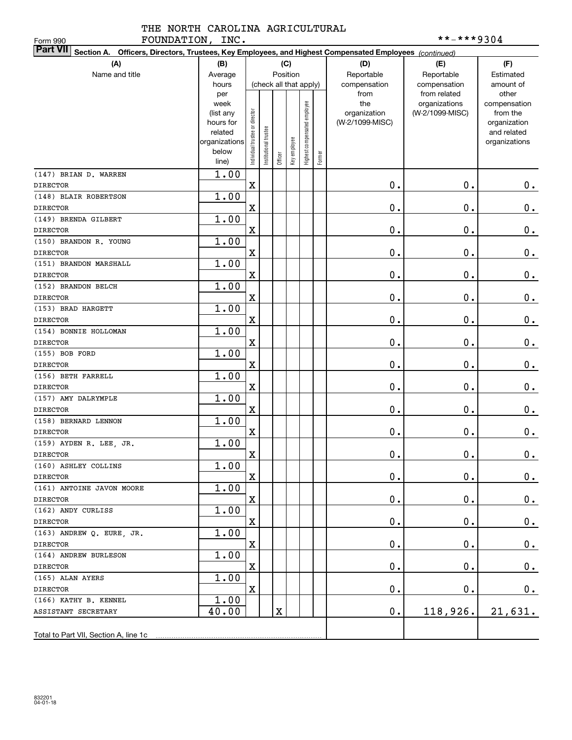### THE NORTH CAROLINA AGRICULTURAL FOUNDATION, INC.  $***-**9304$

| FOUNDATION, INC.<br>Form 990            |                                                                                                        |                                |                        |             |              |                              |        |                 | **-***9304      |                             |  |
|-----------------------------------------|--------------------------------------------------------------------------------------------------------|--------------------------------|------------------------|-------------|--------------|------------------------------|--------|-----------------|-----------------|-----------------------------|--|
| <b>Part VII</b>                         | Section A. Officers, Directors, Trustees, Key Employees, and Highest Compensated Employees (continued) |                                |                        |             |              |                              |        |                 |                 |                             |  |
| (A)                                     | (B)                                                                                                    |                                |                        |             | (C)          |                              |        | (D)             | (E)             | (F)                         |  |
| Name and title                          | Average                                                                                                |                                |                        |             | Position     |                              |        | Reportable      | Reportable      | Estimated                   |  |
|                                         | hours                                                                                                  |                                | (check all that apply) |             |              |                              |        | compensation    | compensation    | amount of                   |  |
|                                         | per                                                                                                    |                                |                        |             |              |                              |        | from            | from related    | other                       |  |
|                                         | week                                                                                                   |                                |                        |             |              |                              |        | the             | organizations   | compensation                |  |
|                                         | (list any                                                                                              |                                |                        |             |              |                              |        | organization    | (W-2/1099-MISC) | from the                    |  |
|                                         | hours for<br>related                                                                                   |                                |                        |             |              |                              |        | (W-2/1099-MISC) |                 | organization<br>and related |  |
|                                         | organizations                                                                                          |                                |                        |             |              |                              |        |                 |                 | organizations               |  |
|                                         | below                                                                                                  | Individual trustee or director | nstitutional trustee   |             | Key employee | Highest compensated employee |        |                 |                 |                             |  |
|                                         | line)                                                                                                  |                                |                        | Officer     |              |                              | Former |                 |                 |                             |  |
| (147) BRIAN D. WARREN                   | 1.00                                                                                                   |                                |                        |             |              |                              |        |                 |                 |                             |  |
| <b>DIRECTOR</b>                         |                                                                                                        | $\mathbf X$                    |                        |             |              |                              |        | 0.              | $0$ .           | $0$ .                       |  |
| (148) BLAIR ROBERTSON                   | 1.00                                                                                                   |                                |                        |             |              |                              |        |                 |                 |                             |  |
| <b>DIRECTOR</b>                         |                                                                                                        | X                              |                        |             |              |                              |        | 0.              | $0$ .           | $\mathbf 0$ .               |  |
| (149) BRENDA GILBERT                    | 1.00                                                                                                   |                                |                        |             |              |                              |        |                 |                 |                             |  |
| <b>DIRECTOR</b>                         |                                                                                                        | X                              |                        |             |              |                              |        | 0.              | $0$ .           | $\mathbf 0$ .               |  |
| (150) BRANDON R. YOUNG                  | 1.00                                                                                                   |                                |                        |             |              |                              |        |                 |                 |                             |  |
| <b>DIRECTOR</b>                         |                                                                                                        | X                              |                        |             |              |                              |        | 0.              | $0$ .           | $\mathbf 0$ .               |  |
| (151) BRANDON MARSHALL                  | 1.00                                                                                                   |                                |                        |             |              |                              |        |                 |                 |                             |  |
| <b>DIRECTOR</b>                         |                                                                                                        | X                              |                        |             |              |                              |        | 0.              | $0$ .           | $\mathbf 0$ .               |  |
| (152) BRANDON BELCH                     | 1.00                                                                                                   |                                |                        |             |              |                              |        |                 |                 |                             |  |
| <b>DIRECTOR</b>                         |                                                                                                        | X                              |                        |             |              |                              |        | 0.              | $0$ .           | $\mathbf 0$ .               |  |
| (153) BRAD HARGETT                      | 1.00                                                                                                   |                                |                        |             |              |                              |        |                 |                 |                             |  |
| <b>DIRECTOR</b>                         |                                                                                                        | X                              |                        |             |              |                              |        | $\mathbf 0$ .   | $0$ .           | $\mathbf 0$ .               |  |
| (154) BONNIE HOLLOMAN                   | 1.00                                                                                                   |                                |                        |             |              |                              |        |                 |                 |                             |  |
| <b>DIRECTOR</b>                         |                                                                                                        | X                              |                        |             |              |                              |        | 0.              | $0$ .           | $\mathbf 0$ .               |  |
| (155) BOB FORD                          | 1.00                                                                                                   |                                |                        |             |              |                              |        |                 |                 |                             |  |
| <b>DIRECTOR</b>                         |                                                                                                        | X                              |                        |             |              |                              |        | $\mathbf 0$ .   | $0$ .           | $\mathbf 0$ .               |  |
| (156) BETH FARRELL                      | 1.00                                                                                                   |                                |                        |             |              |                              |        |                 |                 |                             |  |
| <b>DIRECTOR</b>                         |                                                                                                        | X                              |                        |             |              |                              |        | $\mathbf 0$ .   | $0$ .           | 0.                          |  |
| (157) AMY DALRYMPLE                     | 1.00                                                                                                   |                                |                        |             |              |                              |        |                 |                 |                             |  |
| <b>DIRECTOR</b>                         |                                                                                                        | X                              |                        |             |              |                              |        | $\mathbf 0$ .   | $0$ .           | $0\,.$                      |  |
| (158) BERNARD LENNON                    | 1.00                                                                                                   |                                |                        |             |              |                              |        |                 |                 |                             |  |
| <b>DIRECTOR</b>                         |                                                                                                        | X                              |                        |             |              |                              |        | $\mathbf 0$ .   | 0.              | $0\,.$                      |  |
| (159) AYDEN R. LEE, JR.                 | 1.00                                                                                                   |                                |                        |             |              |                              |        |                 |                 |                             |  |
| <b>DIRECTOR</b>                         |                                                                                                        | X                              |                        |             |              |                              |        | $\mathbf 0$ .   | $\mathbf 0$ .   | 0.                          |  |
| (160) ASHLEY COLLINS<br><b>DIRECTOR</b> | 1.00                                                                                                   | X                              |                        |             |              |                              |        |                 |                 |                             |  |
| (161) ANTOINE JAVON MOORE               | 1.00                                                                                                   |                                |                        |             |              |                              |        | $\mathbf 0$ .   | 0.              | $0$ .                       |  |
| DIRECTOR                                |                                                                                                        | X                              |                        |             |              |                              |        | $\mathbf 0$ .   | $\mathbf 0$ .   | $0$ .                       |  |
| (162) ANDY CURLISS                      | 1.00                                                                                                   |                                |                        |             |              |                              |        |                 |                 |                             |  |
| <b>DIRECTOR</b>                         |                                                                                                        | X                              |                        |             |              |                              |        | 0.              | $\mathbf 0$ .   | $0$ .                       |  |
| (163) ANDREW Q. EURE, JR.               | 1.00                                                                                                   |                                |                        |             |              |                              |        |                 |                 |                             |  |
| <b>DIRECTOR</b>                         |                                                                                                        | X                              |                        |             |              |                              |        | $\mathbf 0$ .   | $\mathbf 0$ .   | $0$ .                       |  |
| (164) ANDREW BURLESON                   | 1.00                                                                                                   |                                |                        |             |              |                              |        |                 |                 |                             |  |
| DIRECTOR                                |                                                                                                        | X                              |                        |             |              |                              |        | $\mathbf 0$ .   | $\mathbf 0$ .   | $0$ .                       |  |
| (165) ALAN AYERS                        | 1.00                                                                                                   |                                |                        |             |              |                              |        |                 |                 |                             |  |
| DIRECTOR                                |                                                                                                        | X                              |                        |             |              |                              |        | $\mathbf 0$ .   | $\mathbf 0$ .   | 0.                          |  |
| (166) KATHY B. KENNEL                   | 1.00                                                                                                   |                                |                        |             |              |                              |        |                 |                 |                             |  |
| ASSISTANT SECRETARY                     | 40.00                                                                                                  |                                |                        | $\mathbf X$ |              |                              |        | 0.              | 118,926.        | 21,631.                     |  |
|                                         |                                                                                                        |                                |                        |             |              |                              |        |                 |                 |                             |  |
|                                         |                                                                                                        |                                |                        |             |              |                              |        |                 |                 |                             |  |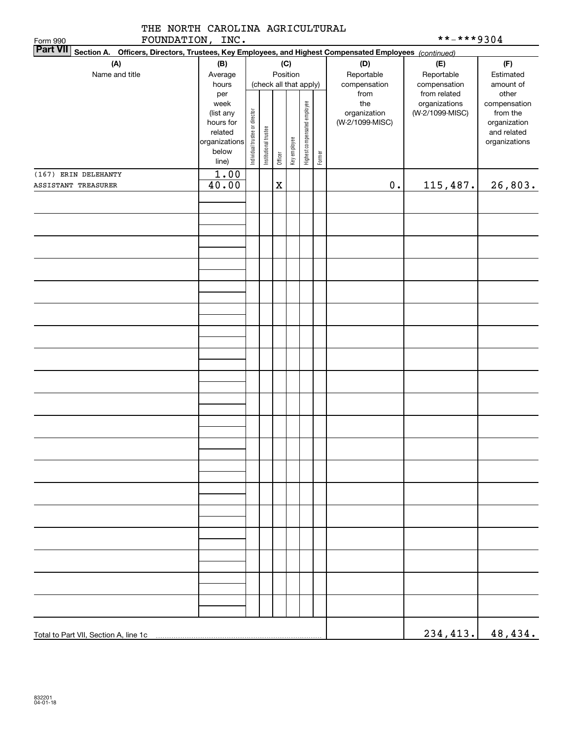|                   | THE NORTH CAROLINA AGRICULTURAL |
|-------------------|---------------------------------|
| חזר זוחות החזורים |                                 |

|  | **-***9304 |  |  |  |  |  |  |  |  |
|--|------------|--|--|--|--|--|--|--|--|
|--|------------|--|--|--|--|--|--|--|--|

| FOUNDATION, INC.<br>**-***9304                                                                                                        |               |                                |                       |             |              |                              |        |                 |                                  |                                   |  |  |
|---------------------------------------------------------------------------------------------------------------------------------------|---------------|--------------------------------|-----------------------|-------------|--------------|------------------------------|--------|-----------------|----------------------------------|-----------------------------------|--|--|
| Form 990<br><b>Part VII</b><br>Section A. Officers, Directors, Trustees, Key Employees, and Highest Compensated Employees (continued) |               |                                |                       |             |              |                              |        |                 |                                  |                                   |  |  |
| (A)                                                                                                                                   | (B)           |                                |                       |             | (C)          |                              |        | (D)             | (E)                              | (F)                               |  |  |
| Name and title                                                                                                                        | Average       |                                |                       |             | Position     |                              |        | Reportable      | Reportable                       | Estimated                         |  |  |
|                                                                                                                                       | hours         |                                |                       |             |              | (check all that apply)       |        | compensation    | compensation                     | amount of                         |  |  |
|                                                                                                                                       | per           |                                |                       |             |              |                              |        | from            | from related                     | other<br>compensation<br>from the |  |  |
|                                                                                                                                       | week          |                                |                       |             |              |                              |        | the             | organizations<br>(W-2/1099-MISC) |                                   |  |  |
|                                                                                                                                       | (list any     |                                |                       |             |              |                              |        | organization    |                                  |                                   |  |  |
|                                                                                                                                       | hours for     |                                |                       |             |              |                              |        | (W-2/1099-MISC) |                                  | organization                      |  |  |
|                                                                                                                                       | related       |                                |                       |             |              |                              |        |                 |                                  | and related                       |  |  |
|                                                                                                                                       | organizations | Individual trustee or director | Institutional trustee |             | Key employee | Highest compensated employee |        |                 |                                  | organizations                     |  |  |
|                                                                                                                                       | below         |                                |                       | Officer     |              |                              | Former |                 |                                  |                                   |  |  |
|                                                                                                                                       | line)         |                                |                       |             |              |                              |        |                 |                                  |                                   |  |  |
| (167) ERIN DELEHANTY                                                                                                                  | 1.00          |                                |                       |             |              |                              |        |                 |                                  |                                   |  |  |
| ASSISTANT TREASURER                                                                                                                   | 40.00         |                                |                       | $\mathbf X$ |              |                              |        | $\mathbf 0$ .   | 115,487.                         | 26,803.                           |  |  |
|                                                                                                                                       |               |                                |                       |             |              |                              |        |                 |                                  |                                   |  |  |
|                                                                                                                                       |               |                                |                       |             |              |                              |        |                 |                                  |                                   |  |  |
|                                                                                                                                       |               |                                |                       |             |              |                              |        |                 |                                  |                                   |  |  |
|                                                                                                                                       |               |                                |                       |             |              |                              |        |                 |                                  |                                   |  |  |
|                                                                                                                                       |               |                                |                       |             |              |                              |        |                 |                                  |                                   |  |  |
|                                                                                                                                       |               |                                |                       |             |              |                              |        |                 |                                  |                                   |  |  |
|                                                                                                                                       |               |                                |                       |             |              |                              |        |                 |                                  |                                   |  |  |
|                                                                                                                                       |               |                                |                       |             |              |                              |        |                 |                                  |                                   |  |  |
|                                                                                                                                       |               |                                |                       |             |              |                              |        |                 |                                  |                                   |  |  |
|                                                                                                                                       |               |                                |                       |             |              |                              |        |                 |                                  |                                   |  |  |
|                                                                                                                                       |               |                                |                       |             |              |                              |        |                 |                                  |                                   |  |  |
|                                                                                                                                       |               |                                |                       |             |              |                              |        |                 |                                  |                                   |  |  |
|                                                                                                                                       |               |                                |                       |             |              |                              |        |                 |                                  |                                   |  |  |
|                                                                                                                                       |               |                                |                       |             |              |                              |        |                 |                                  |                                   |  |  |
|                                                                                                                                       |               |                                |                       |             |              |                              |        |                 |                                  |                                   |  |  |
|                                                                                                                                       |               |                                |                       |             |              |                              |        |                 |                                  |                                   |  |  |
|                                                                                                                                       |               |                                |                       |             |              |                              |        |                 |                                  |                                   |  |  |
|                                                                                                                                       |               |                                |                       |             |              |                              |        |                 |                                  |                                   |  |  |
|                                                                                                                                       |               |                                |                       |             |              |                              |        |                 |                                  |                                   |  |  |
|                                                                                                                                       |               |                                |                       |             |              |                              |        |                 |                                  |                                   |  |  |
|                                                                                                                                       |               |                                |                       |             |              |                              |        |                 |                                  |                                   |  |  |
|                                                                                                                                       |               |                                |                       |             |              |                              |        |                 |                                  |                                   |  |  |
|                                                                                                                                       |               |                                |                       |             |              |                              |        |                 |                                  |                                   |  |  |
|                                                                                                                                       |               |                                |                       |             |              |                              |        |                 |                                  |                                   |  |  |
|                                                                                                                                       |               |                                |                       |             |              |                              |        |                 |                                  |                                   |  |  |
|                                                                                                                                       |               |                                |                       |             |              |                              |        |                 |                                  |                                   |  |  |
|                                                                                                                                       |               |                                |                       |             |              |                              |        |                 |                                  |                                   |  |  |
|                                                                                                                                       |               |                                |                       |             |              |                              |        |                 |                                  |                                   |  |  |
|                                                                                                                                       |               |                                |                       |             |              |                              |        |                 |                                  |                                   |  |  |
|                                                                                                                                       |               |                                |                       |             |              |                              |        |                 |                                  |                                   |  |  |
|                                                                                                                                       |               |                                |                       |             |              |                              |        |                 |                                  |                                   |  |  |
|                                                                                                                                       |               |                                |                       |             |              |                              |        |                 |                                  |                                   |  |  |
|                                                                                                                                       |               |                                |                       |             |              |                              |        |                 |                                  |                                   |  |  |
|                                                                                                                                       |               |                                |                       |             |              |                              |        |                 |                                  |                                   |  |  |
|                                                                                                                                       |               |                                |                       |             |              |                              |        |                 |                                  |                                   |  |  |
|                                                                                                                                       |               |                                |                       |             |              |                              |        |                 |                                  |                                   |  |  |
|                                                                                                                                       |               |                                |                       |             |              |                              |        |                 |                                  |                                   |  |  |
|                                                                                                                                       |               |                                |                       |             |              |                              |        |                 |                                  |                                   |  |  |
|                                                                                                                                       |               |                                |                       |             |              |                              |        |                 |                                  |                                   |  |  |
|                                                                                                                                       |               |                                |                       |             |              |                              |        |                 |                                  |                                   |  |  |
|                                                                                                                                       |               |                                |                       |             |              |                              |        |                 |                                  |                                   |  |  |
| Total to Part VII, Section A, line 1c                                                                                                 |               |                                |                       |             |              |                              |        |                 | 234,413.                         | 48,434.                           |  |  |
|                                                                                                                                       |               |                                |                       |             |              |                              |        |                 |                                  |                                   |  |  |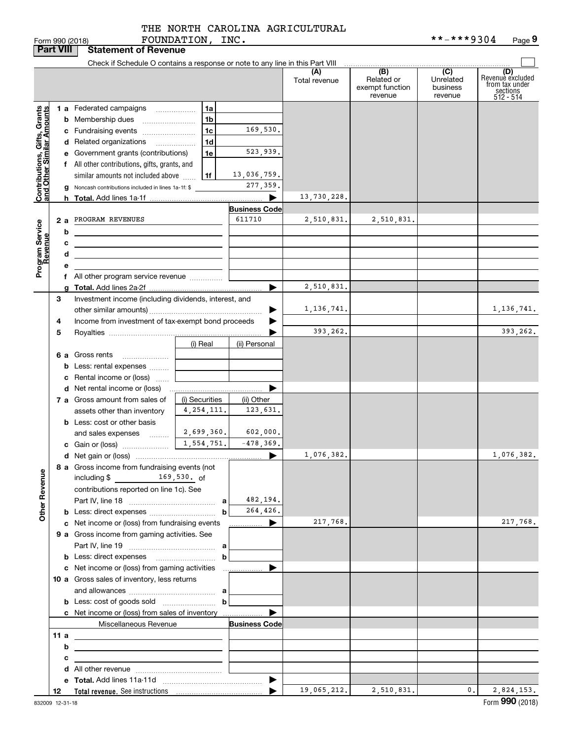FOUNDATION, INC.

|                                                                                         | <b>Part VIII</b>       | <b>Statement of Revenue</b>                                                                                                                                                                                                                                                                                                                                                                                                                                                                                                                  |                                              |                                                                                              |                                         |                                                 |                                         |                                                                    |
|-----------------------------------------------------------------------------------------|------------------------|----------------------------------------------------------------------------------------------------------------------------------------------------------------------------------------------------------------------------------------------------------------------------------------------------------------------------------------------------------------------------------------------------------------------------------------------------------------------------------------------------------------------------------------------|----------------------------------------------|----------------------------------------------------------------------------------------------|-----------------------------------------|-------------------------------------------------|-----------------------------------------|--------------------------------------------------------------------|
|                                                                                         |                        | Check if Schedule O contains a response or note to any line in this Part VIII                                                                                                                                                                                                                                                                                                                                                                                                                                                                |                                              |                                                                                              |                                         |                                                 |                                         |                                                                    |
|                                                                                         |                        |                                                                                                                                                                                                                                                                                                                                                                                                                                                                                                                                              |                                              |                                                                                              | (A)<br>Total revenue                    | (B)<br>Related or<br>exempt function<br>revenue | (C)<br>Unrelated<br>business<br>revenue | (D)<br>Revenuè excluded<br>from tax under<br>sections<br>512 - 514 |
| Contributions, Gifts, Grants<br>and Other Similar Amounts<br>Program Service<br>Revenue | 2a<br>b<br>c<br>d<br>е | 1 a Federated campaigns<br><b>b</b> Membership dues<br>c Fundraising events<br>d Related organizations<br>e Government grants (contributions)<br>f All other contributions, gifts, grants, and<br>similar amounts not included above<br>g Noncash contributions included in lines 1a-1f: \$<br>PROGRAM REVENUES<br><u> 1980 - Johann Barbara, martxa alemaniar amerikan a</u><br><u> 1989 - Johann Stein, marwolaethau a bhann an t-Amhain an t-Amhain an t-Amhain an t-Amhain an t-Amhain an t-A</u><br>f All other program service revenue | 1a<br>1b<br>1c<br>1 <sub>d</sub><br>1e<br>1f | 169,530.<br>523,939.<br>13,036,759.<br>277, 359.<br>▶<br><b>Business Code</b><br>611710<br>▶ | 13,730,228.<br>2,510,831.<br>2,510,831. | 2,510,831.                                      |                                         |                                                                    |
|                                                                                         | 3<br>4<br>5            | Investment income (including dividends, interest, and<br>Income from investment of tax-exempt bond proceeds                                                                                                                                                                                                                                                                                                                                                                                                                                  |                                              |                                                                                              | 1,136,741.<br>393,262.                  |                                                 |                                         | 1,136,741.<br>393,262.                                             |
|                                                                                         |                        | 6 a Gross rents<br><b>b</b> Less: rental expenses<br>c Rental income or (loss)                                                                                                                                                                                                                                                                                                                                                                                                                                                               | (i) Real                                     | (ii) Personal                                                                                |                                         |                                                 |                                         |                                                                    |
|                                                                                         |                        | 7 a Gross amount from sales of<br>assets other than inventory<br><b>b</b> Less: cost or other basis                                                                                                                                                                                                                                                                                                                                                                                                                                          | (i) Securities<br>4, 254, 111.               | ▶<br>(ii) Other<br>123,631.                                                                  |                                         |                                                 |                                         |                                                                    |
|                                                                                         |                        | and sales expenses   <br>8 a Gross income from fundraising events (not                                                                                                                                                                                                                                                                                                                                                                                                                                                                       | 2,699,360.<br>1,554,751.                     | 602,000.<br>$-478,369.$<br>$\blacktriangleright$                                             | 1,076,382.                              |                                                 |                                         | 1,076,382.                                                         |
| <b>Other Revenue</b>                                                                    |                        | $\frac{169,530}{\pi}$ 169,530. of<br>including $$$<br>contributions reported on line 1c). See                                                                                                                                                                                                                                                                                                                                                                                                                                                | b                                            | 482,194.<br>264,426.                                                                         |                                         |                                                 |                                         |                                                                    |
|                                                                                         |                        | c Net income or (loss) from fundraising events<br>9 a Gross income from gaming activities. See                                                                                                                                                                                                                                                                                                                                                                                                                                               |                                              | ______________ ▶                                                                             | 217,768.                                |                                                 |                                         | 217,768.                                                           |
|                                                                                         |                        | c Net income or (loss) from gaming activities<br>10 a Gross sales of inventory, less returns                                                                                                                                                                                                                                                                                                                                                                                                                                                 | b<br>b                                       | .<br>▶                                                                                       |                                         |                                                 |                                         |                                                                    |
|                                                                                         | 11 a                   | c Net income or (loss) from sales of inventory<br>Miscellaneous Revenue                                                                                                                                                                                                                                                                                                                                                                                                                                                                      |                                              | <b>Business Code</b>                                                                         |                                         |                                                 |                                         |                                                                    |
|                                                                                         | b<br>c                 | <u> 1989 - Johann Stein, marwolaethau a bhann an t-Amhainn an t-Amhainn an t-Amhainn an t-Amhainn an t-Amhainn an</u><br>the control of the control of the control of the control of the control of                                                                                                                                                                                                                                                                                                                                          |                                              |                                                                                              |                                         |                                                 |                                         |                                                                    |
|                                                                                         | 12                     |                                                                                                                                                                                                                                                                                                                                                                                                                                                                                                                                              |                                              | $\blacktriangleright$                                                                        | 19,065,212.                             | 2,510,831.                                      | $\mathbf{0}$ .                          | 2,824,153.                                                         |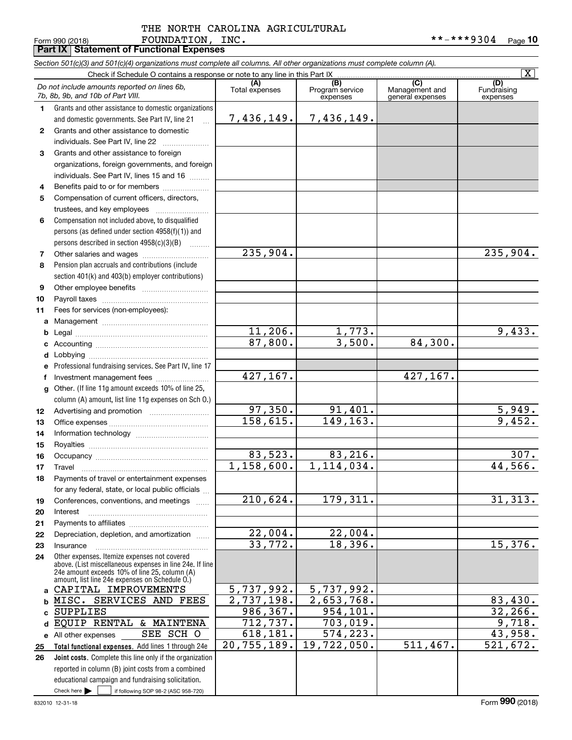## Form 990 (2018) Page **Part IX Statement of Functional Expenses** FOUNDATION, INC. \*\*-\*\*\*9304 THE NORTH CAROLINA AGRICULTURAL

|                 | Section 501(c)(3) and 501(c)(4) organizations must complete all columns. All other organizations must complete column (A).<br>Check if Schedule O contains a response or note to any line in this Part IX |                             |                             |                                    | $\overline{\mathtt{x}}$ |
|-----------------|-----------------------------------------------------------------------------------------------------------------------------------------------------------------------------------------------------------|-----------------------------|-----------------------------|------------------------------------|-------------------------|
|                 | Do not include amounts reported on lines 6b,                                                                                                                                                              | (A)                         | (B)                         | (C)                                | (D)                     |
|                 | 7b, 8b, 9b, and 10b of Part VIII.                                                                                                                                                                         | Total expenses              | Program service<br>expenses | Management and<br>general expenses | Fundraising<br>expenses |
| 1.              | Grants and other assistance to domestic organizations                                                                                                                                                     |                             |                             |                                    |                         |
|                 | and domestic governments. See Part IV, line 21<br>$\mathbf{r}$                                                                                                                                            | 7,436,149.                  | 7,436,149.                  |                                    |                         |
| $\mathbf{2}$    | Grants and other assistance to domestic                                                                                                                                                                   |                             |                             |                                    |                         |
|                 | individuals. See Part IV, line 22                                                                                                                                                                         |                             |                             |                                    |                         |
| 3               | Grants and other assistance to foreign                                                                                                                                                                    |                             |                             |                                    |                         |
|                 | organizations, foreign governments, and foreign                                                                                                                                                           |                             |                             |                                    |                         |
|                 | individuals. See Part IV, lines 15 and 16                                                                                                                                                                 |                             |                             |                                    |                         |
| 4               | Benefits paid to or for members                                                                                                                                                                           |                             |                             |                                    |                         |
| 5               | Compensation of current officers, directors,                                                                                                                                                              |                             |                             |                                    |                         |
|                 | trustees, and key employees                                                                                                                                                                               |                             |                             |                                    |                         |
| 6               | Compensation not included above, to disqualified                                                                                                                                                          |                             |                             |                                    |                         |
|                 | persons (as defined under section 4958(f)(1)) and                                                                                                                                                         |                             |                             |                                    |                         |
|                 | persons described in section 4958(c)(3)(B)                                                                                                                                                                |                             |                             |                                    |                         |
| 7               |                                                                                                                                                                                                           | $\overline{235}$ , 904.     |                             |                                    | $\overline{235}$ , 904. |
| 8               | Pension plan accruals and contributions (include                                                                                                                                                          |                             |                             |                                    |                         |
|                 | section 401(k) and 403(b) employer contributions)                                                                                                                                                         |                             |                             |                                    |                         |
| 9               |                                                                                                                                                                                                           |                             |                             |                                    |                         |
| 10              |                                                                                                                                                                                                           |                             |                             |                                    |                         |
| 11              | Fees for services (non-employees):                                                                                                                                                                        |                             |                             |                                    |                         |
| a               |                                                                                                                                                                                                           |                             |                             |                                    |                         |
| b               |                                                                                                                                                                                                           | 11,206.                     | 1,773.<br>3,500.            |                                    | 9,433.                  |
| c               |                                                                                                                                                                                                           | 87,800.                     |                             | 84,300.                            |                         |
| d               |                                                                                                                                                                                                           |                             |                             |                                    |                         |
| е               | Professional fundraising services. See Part IV, line 17                                                                                                                                                   | 427,167.                    |                             | 427,167.                           |                         |
| f               | Investment management fees                                                                                                                                                                                |                             |                             |                                    |                         |
| g               | Other. (If line 11g amount exceeds 10% of line 25,                                                                                                                                                        |                             |                             |                                    |                         |
|                 | column (A) amount, list line 11g expenses on Sch O.)                                                                                                                                                      | $\overline{97}$ , 350.      | 91,401.                     |                                    |                         |
| 12 <sub>2</sub> |                                                                                                                                                                                                           | 158,615.                    | 149, 163.                   |                                    | $\frac{5,949}{9,452}$   |
| 13<br>14        |                                                                                                                                                                                                           |                             |                             |                                    |                         |
| 15              |                                                                                                                                                                                                           |                             |                             |                                    |                         |
| 16              |                                                                                                                                                                                                           | 83,523.                     | 83,216.                     |                                    | 307.                    |
| 17              |                                                                                                                                                                                                           | 1,158,600.                  | 1,114,034.                  |                                    | 44,566.                 |
| 18              | Payments of travel or entertainment expenses                                                                                                                                                              |                             |                             |                                    |                         |
|                 | for any federal, state, or local public officials                                                                                                                                                         |                             |                             |                                    |                         |
| 19              | Conferences, conventions, and meetings                                                                                                                                                                    | $\overline{210}$ , 624.     | 179,311.                    |                                    | 31,313.                 |
| 20              | Interest                                                                                                                                                                                                  |                             |                             |                                    |                         |
| 21              |                                                                                                                                                                                                           |                             |                             |                                    |                         |
| 22              | Depreciation, depletion, and amortization                                                                                                                                                                 | 22,004.                     | 22,004.                     |                                    |                         |
| 23              | Insurance                                                                                                                                                                                                 | 33,772.                     | 18,396.                     |                                    | 15,376.                 |
| 24              | Other expenses. Itemize expenses not covered                                                                                                                                                              |                             |                             |                                    |                         |
|                 | above. (List miscellaneous expenses in line 24e. If line<br>24e amount exceeds 10% of line 25, column (A)                                                                                                 |                             |                             |                                    |                         |
|                 | amount, list line 24e expenses on Schedule O.)                                                                                                                                                            |                             |                             |                                    |                         |
| a               | CAPITAL IMPROVEMENTS                                                                                                                                                                                      | 5,737,992.                  | 5,737,992.                  |                                    |                         |
| b               | MISC. SERVICES AND FEES                                                                                                                                                                                   | $\overline{2}$ , 737, 198.  | $\overline{2}$ , 653, 768.  |                                    | 83,430.                 |
| c               | <b>SUPPLIES</b>                                                                                                                                                                                           | 986,367.                    | 954, 101.                   |                                    | 32, 266.                |
| d               | EQUIP RENTAL & MAINTENA                                                                                                                                                                                   | 712,737.                    | 703,019.                    |                                    | 9,718.                  |
|                 | SEE SCH O<br>e All other expenses                                                                                                                                                                         | 618, 181.                   | 574,223.                    |                                    | 43,958.                 |
| 25              | Total functional expenses. Add lines 1 through 24e                                                                                                                                                        | $\overline{20}$ , 755, 189. | 19,722,050.                 | $\overline{511}$ , 467.            | $\overline{521}$ , 672. |
| 26              | Joint costs. Complete this line only if the organization                                                                                                                                                  |                             |                             |                                    |                         |
|                 | reported in column (B) joint costs from a combined                                                                                                                                                        |                             |                             |                                    |                         |
|                 | educational campaign and fundraising solicitation.                                                                                                                                                        |                             |                             |                                    |                         |
|                 | Check here $\blacktriangleright$<br>if following SOP 98-2 (ASC 958-720)                                                                                                                                   |                             |                             |                                    |                         |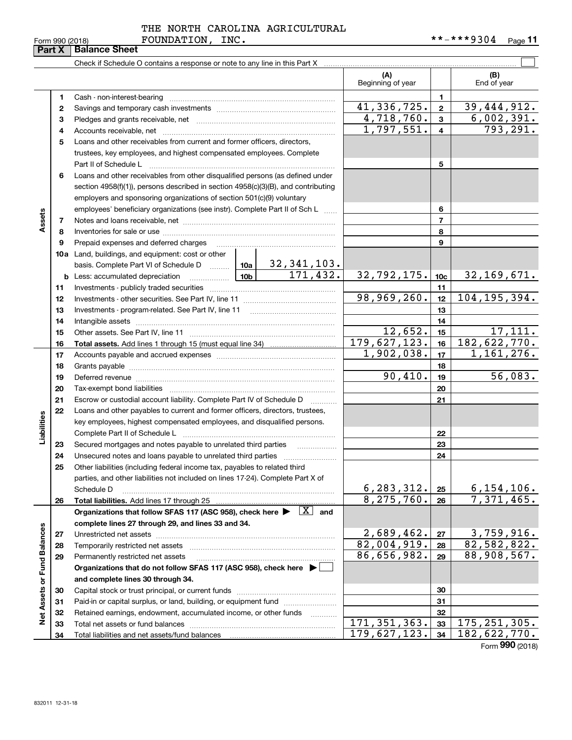**34**

|  | THE NORTH CAROLINA AGRICULTURAL |
|--|---------------------------------|
|  |                                 |

#### $\mathcal{L}^{\text{max}}$ Check if Schedule O contains a response or note to any line in this Part X **(A) (B)** Beginning of year | | End of year **11**Cash - non-interest-bearing ~~~~~~~~~~~~~~~~~~~~~~~~~ 41,336,725. 39,444,912. **22**Savings and temporary cash investments ~~~~~~~~~~~~~~~~~~4,718,760. 6,002,391. **33**Pledges and grants receivable, net ~~~~~~~~~~~~~~~~~~~~~ $1,797,551. | 4 | 793,291.$ Accounts receivable, net ~~~~~~~~~~~~~~~~~~~~~~~~~~ **445**Loans and other receivables from current and former officers, directors, trustees, key employees, and highest compensated employees. Complete Part II of Schedule L ~~~~~~~~~~~~~~~~~~~~~~~~~~~~ **56**Loans and other receivables from other disqualified persons (as defined under section 4958(f)(1)), persons described in section 4958(c)(3)(B), and contributing employers and sponsoring organizations of section 501(c)(9) voluntary employees' beneficiary organizations (see instr). Complete Part II of Sch L ...... **6Assets 77**Notes and loans receivable, net ~~~~~~~~~~~~~~~~~~~~~~~ **88**Inventories for sale or use ~~~~~~~~~~~~~~~~~~~~~~~~~~ Prepaid expenses and deferred charges **9910a**Land, buildings, and equipment: cost or other 32,341,103. basis. Complete Part VI of Schedule D will aller 171,432. 32,792,175. 10c 32,169,671. **10cb** Less: accumulated depreciation  $\ldots$  **10b 1111**Investments - publicly traded securities ~~~~~~~~~~~~~~~~~~~ 98,969,260. 12 104,195,394. **1212**Investments - other securities. See Part IV, line 11 ~~~~~~~~~~~~~~**13**Investments - program-related. See Part IV, line 11 **131414**Intangible assets ~~~~~~~~~~~~~~~~~~~~~~~~~~~~~~  $12,652.$  15 17, 111. **15**Other assets. See Part IV, line 11 ~~~~~~~~~~~~~~~~~~~~~~ **15**179,627,123. 182,622,770. **1616Total assets.**  Add lines 1 through 15 (must equal line 34)  $1,902,038.$   $17$   $1,161,276.$ **1717**Accounts payable and accrued expenses ~~~~~~~~~~~~~~~~~~**1818**Grants payable ~~~~~~~~~~~~~~~~~~~~~~~~~~~~~~~90,410. 56,083. **1919**Deferred revenue et al. and the state of the state of the state of the state of the state of the state of the state of the state of the state of the state of the state of the state of the state of the state of the state of **2020**Tax-exempt bond liabilities …………………………………………………………… **2121**Escrow or custodial account liability. Complete Part IV of Schedule D  $\quad \, \ldots \ldots \ldots \,$ **22**Loans and other payables to current and former officers, directors, trustees, Liabilities **Liabilities** key employees, highest compensated employees, and disqualified persons. Complete Part II of Schedule L <sub>…………………………………………………………</sub> **2223**Secured mortgages and notes payable to unrelated third parties **23**Unsecured notes and loans payable to unrelated third parties ~~~~~~~~~~~~~~~~~~~~ **242425**Other liabilities (including federal income tax, payables to related third parties, and other liabilities not included on lines 17-24). Complete Part X of  $6,283,312. |25| 6,154,106.$ Schedule D ~~~~~~~~~~~~~~~~~~~~~~~~~~~~~~~~ **25** $8,275,760. |26 | 7,371,465.$ **2626Total liabilities.**  Add lines 17 through 25 Organizations that follow SFAS 117 (ASC 958), check here  $\blacktriangleright$   $\boxed{\text{X}}$  and **complete lines 27 through 29, and lines 33 and 34. Net Assets or Fund Balances Net Assets or Fund Balances**  $2,689,462.$   $27$  3,759,916. **2727**Unrestricted net assets <sub>………………………………………………………………</sub>……  $82,004,919. |28 | 82,582,822.$ **2828**Temporarily restricted net assets <sub>………………</sub>…………………………………………  $86,656,982.$  29 88,908,567. **2929**Permanently restricted net assets …………………………………………………… **Organizations that do not follow SFAS 117 (ASC 958), check here** | **and complete lines 30 through 34. 3030**Capital stock or trust principal, or current funds ~~~~~~~~~~~~~~~ **3131**Paid-in or capital surplus, or land, building, or equipment fund will concurred. **3232**Retained earnings, endowment, accumulated income, or other funds www.com 171,351,363. 175,251,305. **33**Total net assets or fund balances ~~~~~~~~~~~~~~~~~~~~~~ **33**179,627,123. 34 | 182,622,770. Total liabilities and net assets/fund balances **34**

Form (2018) **990**

#### Form 990 (2018) **FOUNDATION, INC.** \* \* - \* \* \* 9 3 0 4 <sub>Page</sub> 11 **Part X** Balance Sheet FOUNDATION, INC.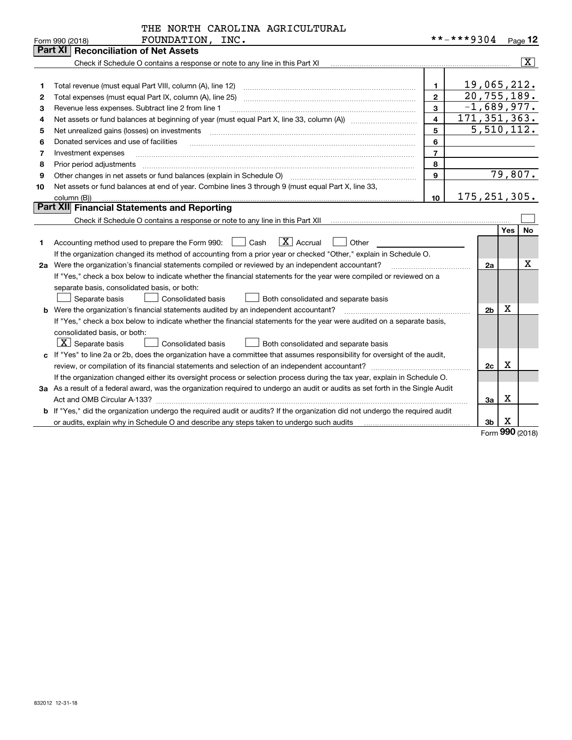|    | Part XI   Reconciliation of Net Assets                                                                                                                                                                                                                                                                                                                                                                                                                                     |                |                |                             |                         |
|----|----------------------------------------------------------------------------------------------------------------------------------------------------------------------------------------------------------------------------------------------------------------------------------------------------------------------------------------------------------------------------------------------------------------------------------------------------------------------------|----------------|----------------|-----------------------------|-------------------------|
|    | Check if Schedule O contains a response or note to any line in this Part XI [11] [12] Check if Schedule O contains a response or note to any line in this Part XI                                                                                                                                                                                                                                                                                                          |                |                |                             | $\overline{\mathbf{X}}$ |
|    |                                                                                                                                                                                                                                                                                                                                                                                                                                                                            |                |                |                             |                         |
| 1  |                                                                                                                                                                                                                                                                                                                                                                                                                                                                            | $\mathbf{1}$   |                | 19,065,212.                 |                         |
| 2  | Total expenses (must equal Part IX, column (A), line 25) [11] manufactured expenses (must equal Part IX, column (A), line 25)                                                                                                                                                                                                                                                                                                                                              | $\overline{2}$ |                | $\overline{20, 755, 189}$ . |                         |
| 3  | Revenue less expenses. Subtract line 2 from line 1                                                                                                                                                                                                                                                                                                                                                                                                                         | $\mathbf{3}$   |                | $-1,689,977.$               |                         |
| 4  |                                                                                                                                                                                                                                                                                                                                                                                                                                                                            | $\overline{4}$ | 171, 351, 363. |                             |                         |
| 5  | Net unrealized gains (losses) on investments<br>$\overline{a_1, \ldots, a_n, \ldots, a_n, \ldots, a_n, \ldots, a_n, \ldots, a_n, \ldots, a_n, \ldots, a_n, \ldots, a_n, \ldots, a_n, \ldots, a_n, \ldots, a_n, \ldots, a_n, \ldots, a_n, \ldots, a_n, \ldots, a_n, \ldots, a_n, \ldots, a_n, \ldots, a_n, \ldots, a_n, \ldots, a_n, \ldots, a_n, \ldots, a_n, \ldots, a_n, \ldots, a_n, \ldots, a_n, \ldots, a_n, \ldots, a_n, \ldots, a_n, \ldots, a_n, \ldots, a_n, \ld$ | 5              |                | 5,510,112.                  |                         |
| 6  | Donated services and use of facilities                                                                                                                                                                                                                                                                                                                                                                                                                                     | 6              |                |                             |                         |
| 7  | Investment expenses                                                                                                                                                                                                                                                                                                                                                                                                                                                        | $\overline{7}$ |                |                             |                         |
| 8  | Prior period adjustments                                                                                                                                                                                                                                                                                                                                                                                                                                                   | 8              |                |                             |                         |
| 9  |                                                                                                                                                                                                                                                                                                                                                                                                                                                                            | $\mathbf{9}$   |                | 79,807.                     |                         |
| 10 | Net assets or fund balances at end of year. Combine lines 3 through 9 (must equal Part X, line 33,                                                                                                                                                                                                                                                                                                                                                                         |                |                |                             |                         |
|    | column (B))                                                                                                                                                                                                                                                                                                                                                                                                                                                                | 10             | 175, 251, 305. |                             |                         |
|    | <b>Part XII</b> Financial Statements and Reporting                                                                                                                                                                                                                                                                                                                                                                                                                         |                |                |                             |                         |
|    |                                                                                                                                                                                                                                                                                                                                                                                                                                                                            |                |                |                             |                         |
|    |                                                                                                                                                                                                                                                                                                                                                                                                                                                                            |                |                | Yes                         | <b>No</b>               |
| 1  | $\boxed{\text{X}}$ Accrual<br>Accounting method used to prepare the Form 990:<br>Cash<br>Other                                                                                                                                                                                                                                                                                                                                                                             |                |                |                             |                         |
|    | If the organization changed its method of accounting from a prior year or checked "Other," explain in Schedule O.                                                                                                                                                                                                                                                                                                                                                          |                |                |                             |                         |
|    | 2a Were the organization's financial statements compiled or reviewed by an independent accountant?                                                                                                                                                                                                                                                                                                                                                                         |                |                |                             |                         |
|    | If "Yes," check a box below to indicate whether the financial statements for the year were compiled or reviewed on a                                                                                                                                                                                                                                                                                                                                                       |                |                |                             |                         |
|    | separate basis, consolidated basis, or both:                                                                                                                                                                                                                                                                                                                                                                                                                               |                |                |                             |                         |
|    | Separate basis<br><b>Consolidated basis</b><br>Both consolidated and separate basis                                                                                                                                                                                                                                                                                                                                                                                        |                |                |                             |                         |
|    | <b>b</b> Were the organization's financial statements audited by an independent accountant?                                                                                                                                                                                                                                                                                                                                                                                |                |                | x<br>2 <sub>b</sub>         |                         |
|    | If "Yes," check a box below to indicate whether the financial statements for the year were audited on a separate basis,                                                                                                                                                                                                                                                                                                                                                    |                |                |                             |                         |
|    | consolidated basis, or both:                                                                                                                                                                                                                                                                                                                                                                                                                                               |                |                |                             |                         |
|    | $\boxed{\textbf{X}}$ Separate basis<br><b>Consolidated basis</b><br>Both consolidated and separate basis                                                                                                                                                                                                                                                                                                                                                                   |                |                |                             |                         |
|    | c If "Yes" to line 2a or 2b, does the organization have a committee that assumes responsibility for oversight of the audit,                                                                                                                                                                                                                                                                                                                                                |                |                |                             |                         |
|    |                                                                                                                                                                                                                                                                                                                                                                                                                                                                            |                |                | x<br>2c                     |                         |
|    | If the organization changed either its oversight process or selection process during the tax year, explain in Schedule O.                                                                                                                                                                                                                                                                                                                                                  |                |                |                             |                         |
|    | 3a As a result of a federal award, was the organization required to undergo an audit or audits as set forth in the Single Audit                                                                                                                                                                                                                                                                                                                                            |                |                |                             |                         |
|    | Act and OMB Circular A-133?                                                                                                                                                                                                                                                                                                                                                                                                                                                |                |                | х<br>За                     |                         |
|    | <b>b</b> If "Yes," did the organization undergo the required audit or audits? If the organization did not undergo the required audit                                                                                                                                                                                                                                                                                                                                       |                |                |                             |                         |
|    | or audits, explain why in Schedule O and describe any steps taken to undergo such audits                                                                                                                                                                                                                                                                                                                                                                                   |                |                | x<br>3 <sub>b</sub>         |                         |

Form (2018) **990**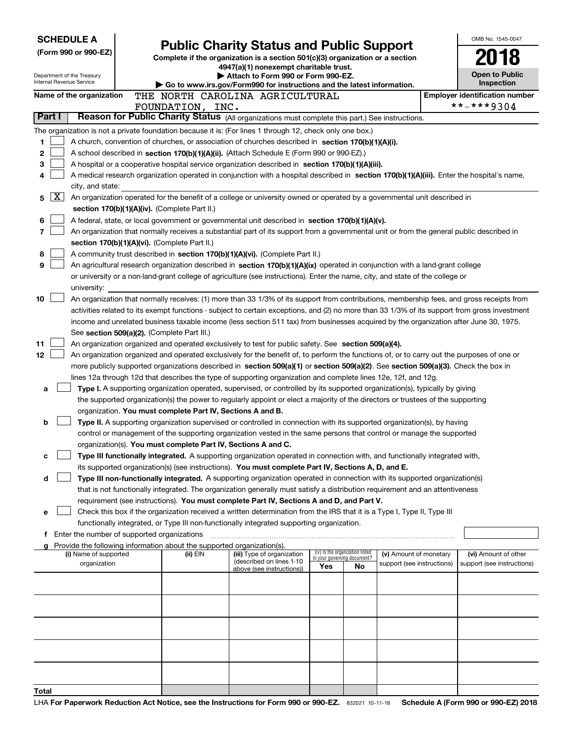| <b>SCHEDULE A</b>    |                                                        |  |                                                                                                                                  |                                                                                                                                                                                                                                                                 |                             |                                 | OMB No. 1545-0047          |  |                                                     |
|----------------------|--------------------------------------------------------|--|----------------------------------------------------------------------------------------------------------------------------------|-----------------------------------------------------------------------------------------------------------------------------------------------------------------------------------------------------------------------------------------------------------------|-----------------------------|---------------------------------|----------------------------|--|-----------------------------------------------------|
| (Form 990 or 990-EZ) |                                                        |  | <b>Public Charity Status and Public Support</b><br>Complete if the organization is a section 501(c)(3) organization or a section |                                                                                                                                                                                                                                                                 |                             |                                 |                            |  |                                                     |
|                      |                                                        |  | 4947(a)(1) nonexempt charitable trust.                                                                                           |                                                                                                                                                                                                                                                                 |                             |                                 |                            |  |                                                     |
|                      | Department of the Treasury<br>Internal Revenue Service |  |                                                                                                                                  | Attach to Form 990 or Form 990-EZ.                                                                                                                                                                                                                              |                             |                                 |                            |  | <b>Open to Public</b>                               |
|                      |                                                        |  |                                                                                                                                  | Go to www.irs.gov/Form990 for instructions and the latest information.                                                                                                                                                                                          |                             |                                 |                            |  | Inspection                                          |
|                      | Name of the organization                               |  | FOUNDATION, INC.                                                                                                                 | THE NORTH CAROLINA AGRICULTURAL                                                                                                                                                                                                                                 |                             |                                 |                            |  | <b>Employer identification number</b><br>**-***9304 |
| Part I               |                                                        |  |                                                                                                                                  | Reason for Public Charity Status (All organizations must complete this part.) See instructions.                                                                                                                                                                 |                             |                                 |                            |  |                                                     |
|                      |                                                        |  |                                                                                                                                  | The organization is not a private foundation because it is: (For lines 1 through 12, check only one box.)                                                                                                                                                       |                             |                                 |                            |  |                                                     |
| 1                    |                                                        |  |                                                                                                                                  | A church, convention of churches, or association of churches described in section 170(b)(1)(A)(i).                                                                                                                                                              |                             |                                 |                            |  |                                                     |
| 2                    |                                                        |  |                                                                                                                                  | A school described in section 170(b)(1)(A)(ii). (Attach Schedule E (Form 990 or 990-EZ).)                                                                                                                                                                       |                             |                                 |                            |  |                                                     |
| з                    |                                                        |  |                                                                                                                                  | A hospital or a cooperative hospital service organization described in section 170(b)(1)(A)(iii).                                                                                                                                                               |                             |                                 |                            |  |                                                     |
| 4                    |                                                        |  |                                                                                                                                  | A medical research organization operated in conjunction with a hospital described in section 170(b)(1)(A)(iii). Enter the hospital's name,                                                                                                                      |                             |                                 |                            |  |                                                     |
|                      | city, and state:                                       |  |                                                                                                                                  |                                                                                                                                                                                                                                                                 |                             |                                 |                            |  |                                                     |
| 5.                   | X                                                      |  |                                                                                                                                  | An organization operated for the benefit of a college or university owned or operated by a governmental unit described in                                                                                                                                       |                             |                                 |                            |  |                                                     |
|                      |                                                        |  | section 170(b)(1)(A)(iv). (Complete Part II.)                                                                                    |                                                                                                                                                                                                                                                                 |                             |                                 |                            |  |                                                     |
| 6                    |                                                        |  |                                                                                                                                  | A federal, state, or local government or governmental unit described in section 170(b)(1)(A)(v).                                                                                                                                                                |                             |                                 |                            |  |                                                     |
| 7                    |                                                        |  |                                                                                                                                  | An organization that normally receives a substantial part of its support from a governmental unit or from the general public described in                                                                                                                       |                             |                                 |                            |  |                                                     |
|                      |                                                        |  | section 170(b)(1)(A)(vi). (Complete Part II.)                                                                                    |                                                                                                                                                                                                                                                                 |                             |                                 |                            |  |                                                     |
| 8                    |                                                        |  |                                                                                                                                  | A community trust described in section 170(b)(1)(A)(vi). (Complete Part II.)                                                                                                                                                                                    |                             |                                 |                            |  |                                                     |
| 9                    |                                                        |  |                                                                                                                                  | An agricultural research organization described in section 170(b)(1)(A)(ix) operated in conjunction with a land-grant college<br>or university or a non-land-grant college of agriculture (see instructions). Enter the name, city, and state of the college or |                             |                                 |                            |  |                                                     |
|                      | university:                                            |  |                                                                                                                                  |                                                                                                                                                                                                                                                                 |                             |                                 |                            |  |                                                     |
| 10                   |                                                        |  |                                                                                                                                  | An organization that normally receives: (1) more than 33 1/3% of its support from contributions, membership fees, and gross receipts from                                                                                                                       |                             |                                 |                            |  |                                                     |
|                      |                                                        |  |                                                                                                                                  | activities related to its exempt functions - subject to certain exceptions, and (2) no more than 33 1/3% of its support from gross investment                                                                                                                   |                             |                                 |                            |  |                                                     |
|                      |                                                        |  |                                                                                                                                  | income and unrelated business taxable income (less section 511 tax) from businesses acquired by the organization after June 30, 1975.                                                                                                                           |                             |                                 |                            |  |                                                     |
|                      |                                                        |  | See section 509(a)(2). (Complete Part III.)                                                                                      |                                                                                                                                                                                                                                                                 |                             |                                 |                            |  |                                                     |
| 11                   |                                                        |  |                                                                                                                                  | An organization organized and operated exclusively to test for public safety. See section 509(a)(4).                                                                                                                                                            |                             |                                 |                            |  |                                                     |
| 12                   |                                                        |  |                                                                                                                                  | An organization organized and operated exclusively for the benefit of, to perform the functions of, or to carry out the purposes of one or                                                                                                                      |                             |                                 |                            |  |                                                     |
|                      |                                                        |  |                                                                                                                                  | more publicly supported organizations described in section 509(a)(1) or section 509(a)(2). See section 509(a)(3). Check the box in                                                                                                                              |                             |                                 |                            |  |                                                     |
|                      |                                                        |  |                                                                                                                                  | lines 12a through 12d that describes the type of supporting organization and complete lines 12e, 12f, and 12g.                                                                                                                                                  |                             |                                 |                            |  |                                                     |
| а                    |                                                        |  |                                                                                                                                  | Type I. A supporting organization operated, supervised, or controlled by its supported organization(s), typically by giving                                                                                                                                     |                             |                                 |                            |  |                                                     |
|                      |                                                        |  | organization. You must complete Part IV, Sections A and B.                                                                       | the supported organization(s) the power to regularly appoint or elect a majority of the directors or trustees of the supporting                                                                                                                                 |                             |                                 |                            |  |                                                     |
| b                    |                                                        |  |                                                                                                                                  | Type II. A supporting organization supervised or controlled in connection with its supported organization(s), by having                                                                                                                                         |                             |                                 |                            |  |                                                     |
|                      |                                                        |  |                                                                                                                                  | control or management of the supporting organization vested in the same persons that control or manage the supported                                                                                                                                            |                             |                                 |                            |  |                                                     |
|                      |                                                        |  | organization(s). You must complete Part IV, Sections A and C.                                                                    |                                                                                                                                                                                                                                                                 |                             |                                 |                            |  |                                                     |
| с                    |                                                        |  |                                                                                                                                  | Type III functionally integrated. A supporting organization operated in connection with, and functionally integrated with,                                                                                                                                      |                             |                                 |                            |  |                                                     |
|                      |                                                        |  |                                                                                                                                  | its supported organization(s) (see instructions). You must complete Part IV, Sections A, D, and E.                                                                                                                                                              |                             |                                 |                            |  |                                                     |
| d                    |                                                        |  |                                                                                                                                  | Type III non-functionally integrated. A supporting organization operated in connection with its supported organization(s)                                                                                                                                       |                             |                                 |                            |  |                                                     |
|                      |                                                        |  |                                                                                                                                  | that is not functionally integrated. The organization generally must satisfy a distribution requirement and an attentiveness                                                                                                                                    |                             |                                 |                            |  |                                                     |
|                      |                                                        |  |                                                                                                                                  | requirement (see instructions). You must complete Part IV, Sections A and D, and Part V.                                                                                                                                                                        |                             |                                 |                            |  |                                                     |
| е                    |                                                        |  |                                                                                                                                  | Check this box if the organization received a written determination from the IRS that it is a Type I, Type II, Type III                                                                                                                                         |                             |                                 |                            |  |                                                     |
|                      |                                                        |  |                                                                                                                                  | functionally integrated, or Type III non-functionally integrated supporting organization.                                                                                                                                                                       |                             |                                 |                            |  |                                                     |
|                      | Enter the number of supported organizations            |  | Provide the following information about the supported organization(s).                                                           |                                                                                                                                                                                                                                                                 |                             |                                 |                            |  |                                                     |
|                      | (i) Name of supported                                  |  | (ii) EIN                                                                                                                         | (iii) Type of organization                                                                                                                                                                                                                                      | in your governing document? | (iv) Is the organization listed | (v) Amount of monetary     |  | (vi) Amount of other                                |
|                      | organization                                           |  |                                                                                                                                  | (described on lines 1-10<br>above (see instructions))                                                                                                                                                                                                           | Yes                         | No                              | support (see instructions) |  | support (see instructions)                          |
|                      |                                                        |  |                                                                                                                                  |                                                                                                                                                                                                                                                                 |                             |                                 |                            |  |                                                     |
|                      |                                                        |  |                                                                                                                                  |                                                                                                                                                                                                                                                                 |                             |                                 |                            |  |                                                     |
|                      |                                                        |  |                                                                                                                                  |                                                                                                                                                                                                                                                                 |                             |                                 |                            |  |                                                     |
|                      |                                                        |  |                                                                                                                                  |                                                                                                                                                                                                                                                                 |                             |                                 |                            |  |                                                     |
|                      |                                                        |  |                                                                                                                                  |                                                                                                                                                                                                                                                                 |                             |                                 |                            |  |                                                     |
|                      |                                                        |  |                                                                                                                                  |                                                                                                                                                                                                                                                                 |                             |                                 |                            |  |                                                     |
|                      |                                                        |  |                                                                                                                                  |                                                                                                                                                                                                                                                                 |                             |                                 |                            |  |                                                     |
|                      |                                                        |  |                                                                                                                                  |                                                                                                                                                                                                                                                                 |                             |                                 |                            |  |                                                     |
|                      |                                                        |  |                                                                                                                                  |                                                                                                                                                                                                                                                                 |                             |                                 |                            |  |                                                     |
| Total                |                                                        |  |                                                                                                                                  |                                                                                                                                                                                                                                                                 |                             |                                 |                            |  |                                                     |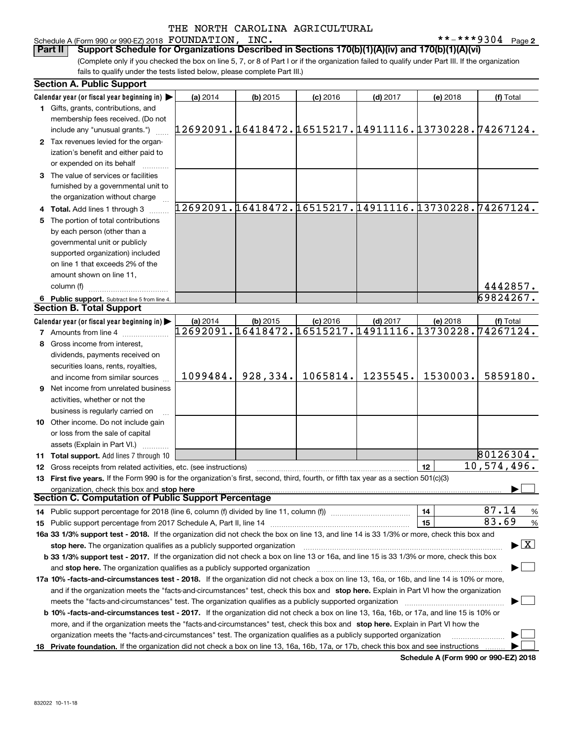## Schedule A (Form 990 or 990-EZ) 2018 Page FOUNDATION, INC. \*\*-\*\*\*9304

**2**

(Complete only if you checked the box on line 5, 7, or 8 of Part I or if the organization failed to qualify under Part III. If the organization fails to qualify under the tests listed below, please complete Part III.) **Part II Support Schedule for Organizations Described in Sections 170(b)(1)(A)(iv) and 170(b)(1)(A)(vi)** 

|    | <b>Section A. Public Support</b>                                                                                                               |                                                        |            |            |                                               |          |                                          |
|----|------------------------------------------------------------------------------------------------------------------------------------------------|--------------------------------------------------------|------------|------------|-----------------------------------------------|----------|------------------------------------------|
|    | Calendar year (or fiscal year beginning in) $\blacktriangleright$                                                                              | (a) 2014                                               | $(b)$ 2015 | $(c)$ 2016 | $(d)$ 2017                                    | (e) 2018 | (f) Total                                |
|    | 1 Gifts, grants, contributions, and                                                                                                            |                                                        |            |            |                                               |          |                                          |
|    | membership fees received. (Do not                                                                                                              |                                                        |            |            |                                               |          |                                          |
|    | include any "unusual grants.")                                                                                                                 | 12692091.16418472.16515217.14911116.13730228.74267124. |            |            |                                               |          |                                          |
|    | 2 Tax revenues levied for the organ-                                                                                                           |                                                        |            |            |                                               |          |                                          |
|    | ization's benefit and either paid to                                                                                                           |                                                        |            |            |                                               |          |                                          |
|    | or expended on its behalf                                                                                                                      |                                                        |            |            |                                               |          |                                          |
|    | 3 The value of services or facilities                                                                                                          |                                                        |            |            |                                               |          |                                          |
|    | furnished by a governmental unit to                                                                                                            |                                                        |            |            |                                               |          |                                          |
|    | the organization without charge                                                                                                                |                                                        |            |            |                                               |          |                                          |
|    | 4 Total. Add lines 1 through 3                                                                                                                 | 12692091.16418472.16515217.14911116.13730228.74267124. |            |            |                                               |          |                                          |
| 5. | The portion of total contributions                                                                                                             |                                                        |            |            |                                               |          |                                          |
|    | by each person (other than a                                                                                                                   |                                                        |            |            |                                               |          |                                          |
|    | governmental unit or publicly                                                                                                                  |                                                        |            |            |                                               |          |                                          |
|    |                                                                                                                                                |                                                        |            |            |                                               |          |                                          |
|    | supported organization) included                                                                                                               |                                                        |            |            |                                               |          |                                          |
|    | on line 1 that exceeds 2% of the                                                                                                               |                                                        |            |            |                                               |          |                                          |
|    | amount shown on line 11,                                                                                                                       |                                                        |            |            |                                               |          |                                          |
|    | column (f)                                                                                                                                     |                                                        |            |            |                                               |          | 4442857.                                 |
|    | 6 Public support. Subtract line 5 from line 4.                                                                                                 |                                                        |            |            |                                               |          | 69824267.                                |
|    | <b>Section B. Total Support</b>                                                                                                                |                                                        |            |            |                                               |          |                                          |
|    | Calendar year (or fiscal year beginning in)                                                                                                    | (a) 2014                                               | $(b)$ 2015 | $(c)$ 2016 | $(d)$ 2017                                    | (e) 2018 | (f) Total                                |
|    | <b>7</b> Amounts from line 4                                                                                                                   |                                                        |            |            | 12692091.16418472.16515217.14911116.13730228. |          | $\overline{7}$ 4267124.                  |
|    | 8 Gross income from interest,                                                                                                                  |                                                        |            |            |                                               |          |                                          |
|    | dividends, payments received on                                                                                                                |                                                        |            |            |                                               |          |                                          |
|    | securities loans, rents, royalties,                                                                                                            |                                                        |            |            |                                               |          |                                          |
|    | and income from similar sources                                                                                                                | 1099484.                                               | 928,334.   | 1065814.   | 1235545.                                      | 1530003. | 5859180.                                 |
|    | 9 Net income from unrelated business                                                                                                           |                                                        |            |            |                                               |          |                                          |
|    | activities, whether or not the                                                                                                                 |                                                        |            |            |                                               |          |                                          |
|    | business is regularly carried on                                                                                                               |                                                        |            |            |                                               |          |                                          |
|    | 10 Other income. Do not include gain                                                                                                           |                                                        |            |            |                                               |          |                                          |
|    |                                                                                                                                                |                                                        |            |            |                                               |          |                                          |
|    | or loss from the sale of capital                                                                                                               |                                                        |            |            |                                               |          |                                          |
|    | assets (Explain in Part VI.)                                                                                                                   |                                                        |            |            |                                               |          | 80126304.                                |
|    | 11 Total support. Add lines 7 through 10                                                                                                       |                                                        |            |            |                                               |          |                                          |
|    | 12 Gross receipts from related activities, etc. (see instructions)                                                                             |                                                        |            |            |                                               | 12       | 10,574,496.                              |
|    | 13 First five years. If the Form 990 is for the organization's first, second, third, fourth, or fifth tax year as a section 501(c)(3)          |                                                        |            |            |                                               |          |                                          |
|    | organization, check this box and stop here                                                                                                     |                                                        |            |            |                                               |          |                                          |
|    | Section C. Computation of Public Support Percentage                                                                                            |                                                        |            |            |                                               |          |                                          |
|    | 14 Public support percentage for 2018 (line 6, column (f) divided by line 11, column (f) <i>manumumumumum</i>                                  |                                                        |            |            |                                               | 14       | 87.14<br>%                               |
|    |                                                                                                                                                |                                                        |            |            |                                               | 15       | 83.69<br>%                               |
|    | 16a 33 1/3% support test - 2018. If the organization did not check the box on line 13, and line 14 is 33 1/3% or more, check this box and      |                                                        |            |            |                                               |          |                                          |
|    | stop here. The organization qualifies as a publicly supported organization                                                                     |                                                        |            |            |                                               |          | $\blacktriangleright$ $\boxed{\text{X}}$ |
|    | b 33 1/3% support test - 2017. If the organization did not check a box on line 13 or 16a, and line 15 is 33 1/3% or more, check this box       |                                                        |            |            |                                               |          |                                          |
|    | and stop here. The organization qualifies as a publicly supported organization                                                                 |                                                        |            |            |                                               |          |                                          |
|    | 17a 10% -facts-and-circumstances test - 2018. If the organization did not check a box on line 13, 16a, or 16b, and line 14 is 10% or more,     |                                                        |            |            |                                               |          |                                          |
|    | and if the organization meets the "facts-and-circumstances" test, check this box and stop here. Explain in Part VI how the organization        |                                                        |            |            |                                               |          |                                          |
|    | meets the "facts-and-circumstances" test. The organization qualifies as a publicly supported organization                                      |                                                        |            |            |                                               |          |                                          |
|    | <b>b 10% -facts-and-circumstances test - 2017.</b> If the organization did not check a box on line 13, 16a, 16b, or 17a, and line 15 is 10% or |                                                        |            |            |                                               |          |                                          |
|    | more, and if the organization meets the "facts-and-circumstances" test, check this box and stop here. Explain in Part VI how the               |                                                        |            |            |                                               |          |                                          |
|    | organization meets the "facts-and-circumstances" test. The organization qualifies as a publicly supported organization                         |                                                        |            |            |                                               |          |                                          |
|    |                                                                                                                                                |                                                        |            |            |                                               |          |                                          |
|    | 18 Private foundation. If the organization did not check a box on line 13, 16a, 16b, 17a, or 17b, check this box and see instructions          |                                                        |            |            |                                               |          |                                          |

**Schedule A (Form 990 or 990-EZ) 2018**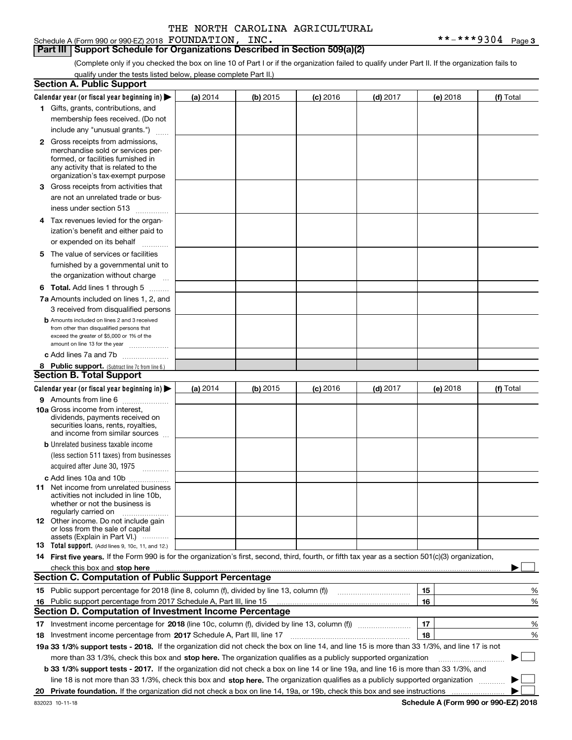Schedule A (Form 990 or 990-EZ) 2018 Page FOUNDATION, INC. \*\*-\*\*\*9304

**Part III Support Schedule for Organizations Described in Section 509(a)(2)** 

(Complete only if you checked the box on line 10 of Part I or if the organization failed to qualify under Part II. If the organization fails to qualify under the tests listed below, please complete Part II.)

|    | <b>Section A. Public Support</b>                                                                                                                                                                                                                                                             |            |            |            |            |          |          |             |   |
|----|----------------------------------------------------------------------------------------------------------------------------------------------------------------------------------------------------------------------------------------------------------------------------------------------|------------|------------|------------|------------|----------|----------|-------------|---|
|    | Calendar year (or fiscal year beginning in) $\blacktriangleright$                                                                                                                                                                                                                            | (a) 2014   | (b) 2015   | $(c)$ 2016 | $(d)$ 2017 |          | (e) 2018 | (f) Total   |   |
|    | 1 Gifts, grants, contributions, and                                                                                                                                                                                                                                                          |            |            |            |            |          |          |             |   |
|    | membership fees received. (Do not                                                                                                                                                                                                                                                            |            |            |            |            |          |          |             |   |
|    | include any "unusual grants.")                                                                                                                                                                                                                                                               |            |            |            |            |          |          |             |   |
|    | <b>2</b> Gross receipts from admissions,                                                                                                                                                                                                                                                     |            |            |            |            |          |          |             |   |
|    | merchandise sold or services per-                                                                                                                                                                                                                                                            |            |            |            |            |          |          |             |   |
|    | formed, or facilities furnished in                                                                                                                                                                                                                                                           |            |            |            |            |          |          |             |   |
|    | any activity that is related to the<br>organization's tax-exempt purpose                                                                                                                                                                                                                     |            |            |            |            |          |          |             |   |
|    |                                                                                                                                                                                                                                                                                              |            |            |            |            |          |          |             |   |
|    | 3 Gross receipts from activities that                                                                                                                                                                                                                                                        |            |            |            |            |          |          |             |   |
|    | are not an unrelated trade or bus-                                                                                                                                                                                                                                                           |            |            |            |            |          |          |             |   |
|    | iness under section 513                                                                                                                                                                                                                                                                      |            |            |            |            |          |          |             |   |
|    | 4 Tax revenues levied for the organ-                                                                                                                                                                                                                                                         |            |            |            |            |          |          |             |   |
|    | ization's benefit and either paid to                                                                                                                                                                                                                                                         |            |            |            |            |          |          |             |   |
|    | or expended on its behalf<br>.                                                                                                                                                                                                                                                               |            |            |            |            |          |          |             |   |
|    | 5 The value of services or facilities                                                                                                                                                                                                                                                        |            |            |            |            |          |          |             |   |
|    | furnished by a governmental unit to                                                                                                                                                                                                                                                          |            |            |            |            |          |          |             |   |
|    | the organization without charge                                                                                                                                                                                                                                                              |            |            |            |            |          |          |             |   |
|    | <b>6 Total.</b> Add lines 1 through 5                                                                                                                                                                                                                                                        |            |            |            |            |          |          |             |   |
|    | 7a Amounts included on lines 1, 2, and                                                                                                                                                                                                                                                       |            |            |            |            |          |          |             |   |
|    | 3 received from disqualified persons                                                                                                                                                                                                                                                         |            |            |            |            |          |          |             |   |
|    | <b>b</b> Amounts included on lines 2 and 3 received                                                                                                                                                                                                                                          |            |            |            |            |          |          |             |   |
|    | from other than disqualified persons that                                                                                                                                                                                                                                                    |            |            |            |            |          |          |             |   |
|    | exceed the greater of \$5,000 or 1% of the<br>amount on line 13 for the year                                                                                                                                                                                                                 |            |            |            |            |          |          |             |   |
|    | c Add lines 7a and 7b                                                                                                                                                                                                                                                                        |            |            |            |            |          |          |             |   |
|    |                                                                                                                                                                                                                                                                                              |            |            |            |            |          |          |             |   |
|    | 8 Public support. (Subtract line 7c from line 6.)<br><b>Section B. Total Support</b>                                                                                                                                                                                                         |            |            |            |            |          |          |             |   |
|    | Calendar year (or fiscal year beginning in) $\blacktriangleright$                                                                                                                                                                                                                            |            | $(b)$ 2015 |            | $(d)$ 2017 |          |          |             |   |
|    |                                                                                                                                                                                                                                                                                              | (a) $2014$ |            | $(c)$ 2016 |            |          | (e) 2018 | (f) Total   |   |
|    | 9 Amounts from line 6<br><b>10a</b> Gross income from interest,                                                                                                                                                                                                                              |            |            |            |            |          |          |             |   |
|    | dividends, payments received on                                                                                                                                                                                                                                                              |            |            |            |            |          |          |             |   |
|    | securities loans, rents, royalties,                                                                                                                                                                                                                                                          |            |            |            |            |          |          |             |   |
|    | and income from similar sources                                                                                                                                                                                                                                                              |            |            |            |            |          |          |             |   |
|    | <b>b</b> Unrelated business taxable income                                                                                                                                                                                                                                                   |            |            |            |            |          |          |             |   |
|    | (less section 511 taxes) from businesses                                                                                                                                                                                                                                                     |            |            |            |            |          |          |             |   |
|    | acquired after June 30, 1975                                                                                                                                                                                                                                                                 |            |            |            |            |          |          |             |   |
|    | c Add lines 10a and 10b                                                                                                                                                                                                                                                                      |            |            |            |            |          |          |             |   |
|    | 11 Net income from unrelated business                                                                                                                                                                                                                                                        |            |            |            |            |          |          |             |   |
|    | activities not included in line 10b,<br>whether or not the business is                                                                                                                                                                                                                       |            |            |            |            |          |          |             |   |
|    | regularly carried on                                                                                                                                                                                                                                                                         |            |            |            |            |          |          |             |   |
|    | <b>12</b> Other income. Do not include gain                                                                                                                                                                                                                                                  |            |            |            |            |          |          |             |   |
|    | or loss from the sale of capital                                                                                                                                                                                                                                                             |            |            |            |            |          |          |             |   |
|    | assets (Explain in Part VI.)<br>13 Total support. (Add lines 9, 10c, 11, and 12.)                                                                                                                                                                                                            |            |            |            |            |          |          |             |   |
|    | 14 First five years. If the Form 990 is for the organization's first, second, third, fourth, or fifth tax year as a section 501(c)(3) organization,                                                                                                                                          |            |            |            |            |          |          |             |   |
|    |                                                                                                                                                                                                                                                                                              |            |            |            |            |          |          |             |   |
|    | check this box and stop here measurements and contain the state of the state of the state of the state of the state of the state of the state of the state of the state of the state of the state of the state of the state of<br><b>Section C. Computation of Public Support Percentage</b> |            |            |            |            |          |          |             |   |
|    | 15 Public support percentage for 2018 (line 8, column (f), divided by line 13, column (f))                                                                                                                                                                                                   |            |            |            |            | 15       |          |             |   |
|    |                                                                                                                                                                                                                                                                                              |            |            |            |            | 16       |          |             | % |
| 16 | Public support percentage from 2017 Schedule A, Part III, line 15<br>Section D. Computation of Investment Income Percentage                                                                                                                                                                  |            |            |            |            |          |          |             | % |
|    |                                                                                                                                                                                                                                                                                              |            |            |            |            |          |          |             |   |
|    | 17 Investment income percentage for 2018 (line 10c, column (f), divided by line 13, column (f))                                                                                                                                                                                              |            |            |            |            | 17<br>18 |          |             | % |
|    | 18 Investment income percentage from 2017 Schedule A, Part III, line 17                                                                                                                                                                                                                      |            |            |            |            |          |          |             | % |
|    | 19a 33 1/3% support tests - 2018. If the organization did not check the box on line 14, and line 15 is more than 33 1/3%, and line 17 is not                                                                                                                                                 |            |            |            |            |          |          |             |   |
|    | more than 33 1/3%, check this box and stop here. The organization qualifies as a publicly supported organization                                                                                                                                                                             |            |            |            |            |          |          | $\sim$<br>▶ |   |
|    | b 33 1/3% support tests - 2017. If the organization did not check a box on line 14 or line 19a, and line 16 is more than 33 1/3%, and                                                                                                                                                        |            |            |            |            |          |          |             |   |
|    | line 18 is not more than 33 1/3%, check this box and stop here. The organization qualifies as a publicly supported organization                                                                                                                                                              |            |            |            |            |          |          |             |   |
| 20 | Private foundation. If the organization did not check a box on line 14, 19a, or 19b, check this box and see instructions                                                                                                                                                                     |            |            |            |            |          |          |             |   |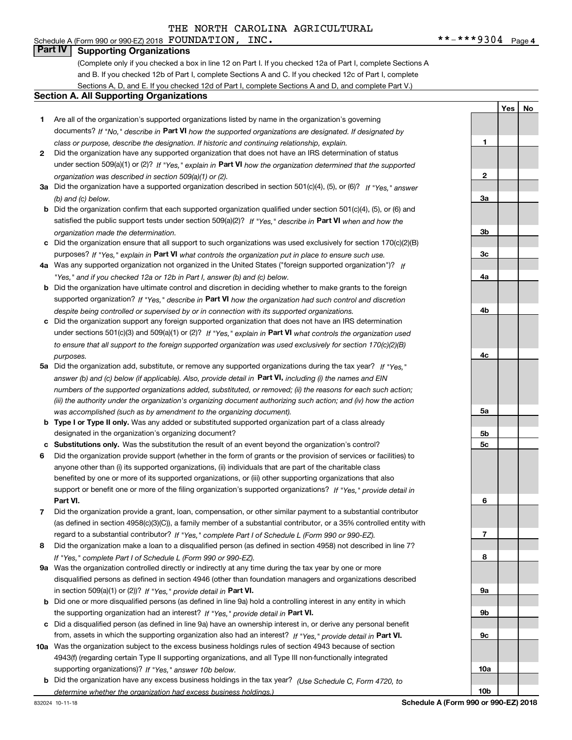## Schedule A (Form 990 or 990-EZ) 2018 Page FOUNDATION, INC. \*\*-\*\*\*9304 **Part IV Supporting Organizations**

(Complete only if you checked a box in line 12 on Part I. If you checked 12a of Part I, complete Sections A and B. If you checked 12b of Part I, complete Sections A and C. If you checked 12c of Part I, complete Sections A, D, and E. If you checked 12d of Part I, complete Sections A and D, and complete Part V.)

### **Section A. All Supporting Organizations**

- **1** Are all of the organization's supported organizations listed by name in the organization's governing documents? If "No," describe in **Part VI** how the supported organizations are designated. If designated by *class or purpose, describe the designation. If historic and continuing relationship, explain.*
- **2** Did the organization have any supported organization that does not have an IRS determination of status under section 509(a)(1) or (2)? If "Yes," explain in Part VI how the organization determined that the supported *organization was described in section 509(a)(1) or (2).*
- **3a** Did the organization have a supported organization described in section 501(c)(4), (5), or (6)? If "Yes," answer *(b) and (c) below.*
- **b** Did the organization confirm that each supported organization qualified under section 501(c)(4), (5), or (6) and satisfied the public support tests under section 509(a)(2)? If "Yes," describe in **Part VI** when and how the *organization made the determination.*
- **c**Did the organization ensure that all support to such organizations was used exclusively for section 170(c)(2)(B) purposes? If "Yes," explain in **Part VI** what controls the organization put in place to ensure such use.
- **4a***If* Was any supported organization not organized in the United States ("foreign supported organization")? *"Yes," and if you checked 12a or 12b in Part I, answer (b) and (c) below.*
- **b** Did the organization have ultimate control and discretion in deciding whether to make grants to the foreign supported organization? If "Yes," describe in **Part VI** how the organization had such control and discretion *despite being controlled or supervised by or in connection with its supported organizations.*
- **c** Did the organization support any foreign supported organization that does not have an IRS determination under sections 501(c)(3) and 509(a)(1) or (2)? If "Yes," explain in **Part VI** what controls the organization used *to ensure that all support to the foreign supported organization was used exclusively for section 170(c)(2)(B) purposes.*
- **5a***If "Yes,"* Did the organization add, substitute, or remove any supported organizations during the tax year? answer (b) and (c) below (if applicable). Also, provide detail in **Part VI,** including (i) the names and EIN *numbers of the supported organizations added, substituted, or removed; (ii) the reasons for each such action; (iii) the authority under the organization's organizing document authorizing such action; and (iv) how the action was accomplished (such as by amendment to the organizing document).*
- **b** Type I or Type II only. Was any added or substituted supported organization part of a class already designated in the organization's organizing document?
- **cSubstitutions only.**  Was the substitution the result of an event beyond the organization's control?
- **6** Did the organization provide support (whether in the form of grants or the provision of services or facilities) to **Part VI.** *If "Yes," provide detail in* support or benefit one or more of the filing organization's supported organizations? anyone other than (i) its supported organizations, (ii) individuals that are part of the charitable class benefited by one or more of its supported organizations, or (iii) other supporting organizations that also
- **7**Did the organization provide a grant, loan, compensation, or other similar payment to a substantial contributor *If "Yes," complete Part I of Schedule L (Form 990 or 990-EZ).* regard to a substantial contributor? (as defined in section 4958(c)(3)(C)), a family member of a substantial contributor, or a 35% controlled entity with
- **8** Did the organization make a loan to a disqualified person (as defined in section 4958) not described in line 7? *If "Yes," complete Part I of Schedule L (Form 990 or 990-EZ).*
- **9a** Was the organization controlled directly or indirectly at any time during the tax year by one or more in section 509(a)(1) or (2))? If "Yes," *provide detail in* <code>Part VI.</code> disqualified persons as defined in section 4946 (other than foundation managers and organizations described
- **b** Did one or more disqualified persons (as defined in line 9a) hold a controlling interest in any entity in which the supporting organization had an interest? If "Yes," provide detail in P**art VI**.
- **c**Did a disqualified person (as defined in line 9a) have an ownership interest in, or derive any personal benefit from, assets in which the supporting organization also had an interest? If "Yes," provide detail in P**art VI.**
- **10a** Was the organization subject to the excess business holdings rules of section 4943 because of section supporting organizations)? If "Yes," answer 10b below. 4943(f) (regarding certain Type II supporting organizations, and all Type III non-functionally integrated
- **b** Did the organization have any excess business holdings in the tax year? (Use Schedule C, Form 4720, to *determine whether the organization had excess business holdings.)*

832024 10-11-18

**Schedule A (Form 990 or 990-EZ) 2018**

**1**

**2**

**3a**

**3b**

**3c**

**4a**

**4b**

**4c**

**5a**

**5b5c**

**6**

**7**

**8**

**9a**

**9b**

**9c**

**10a**

**10b**

**YesNo**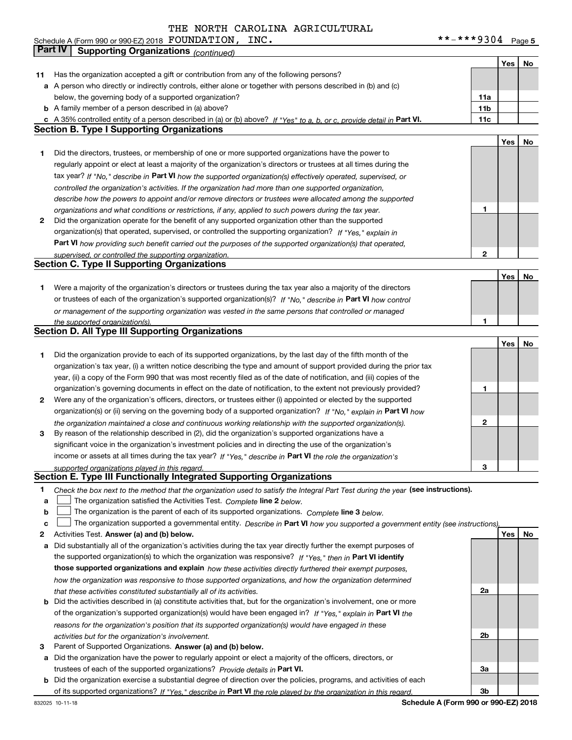**5** Schedule A (Form 990 or 990-EZ) 2018 Page FOUNDATION, INC. \*\*-\*\*\*9304

|        | Part IV<br><b>Supporting Organizations (continued)</b>                                                                                                                        |                 |     |    |
|--------|-------------------------------------------------------------------------------------------------------------------------------------------------------------------------------|-----------------|-----|----|
|        |                                                                                                                                                                               |                 | Yes | No |
| 11     | Has the organization accepted a gift or contribution from any of the following persons?                                                                                       |                 |     |    |
|        | a A person who directly or indirectly controls, either alone or together with persons described in (b) and (c)                                                                |                 |     |    |
|        | below, the governing body of a supported organization?                                                                                                                        | 11a             |     |    |
|        | <b>b</b> A family member of a person described in (a) above?                                                                                                                  | 11 <sub>b</sub> |     |    |
|        | c A 35% controlled entity of a person described in (a) or (b) above? If "Yes" to a, b, or c, provide detail in Part VI.                                                       | 11c             |     |    |
|        | <b>Section B. Type I Supporting Organizations</b>                                                                                                                             |                 |     |    |
|        |                                                                                                                                                                               |                 | Yes | No |
| 1      | Did the directors, trustees, or membership of one or more supported organizations have the power to                                                                           |                 |     |    |
|        | regularly appoint or elect at least a majority of the organization's directors or trustees at all times during the                                                            |                 |     |    |
|        | tax year? If "No," describe in Part VI how the supported organization(s) effectively operated, supervised, or                                                                 |                 |     |    |
|        | controlled the organization's activities. If the organization had more than one supported organization,                                                                       |                 |     |    |
|        | describe how the powers to appoint and/or remove directors or trustees were allocated among the supported                                                                     |                 |     |    |
|        | organizations and what conditions or restrictions, if any, applied to such powers during the tax year.                                                                        | 1               |     |    |
| 2      | Did the organization operate for the benefit of any supported organization other than the supported                                                                           |                 |     |    |
|        | organization(s) that operated, supervised, or controlled the supporting organization? If "Yes," explain in                                                                    |                 |     |    |
|        | Part VI how providing such benefit carried out the purposes of the supported organization(s) that operated,                                                                   |                 |     |    |
|        | supervised, or controlled the supporting organization.                                                                                                                        | $\mathbf{2}$    |     |    |
|        | <b>Section C. Type II Supporting Organizations</b>                                                                                                                            |                 |     |    |
|        |                                                                                                                                                                               |                 | Yes | No |
| 1      | Were a majority of the organization's directors or trustees during the tax year also a majority of the directors                                                              |                 |     |    |
|        | or trustees of each of the organization's supported organization(s)? If "No." describe in Part VI how control                                                                 |                 |     |    |
|        | or management of the supporting organization was vested in the same persons that controlled or managed                                                                        |                 |     |    |
|        | the supported organization(s).                                                                                                                                                | 1               |     |    |
|        | <b>Section D. All Type III Supporting Organizations</b>                                                                                                                       |                 |     |    |
|        |                                                                                                                                                                               |                 | Yes | No |
| 1      | Did the organization provide to each of its supported organizations, by the last day of the fifth month of the                                                                |                 |     |    |
|        | organization's tax year, (i) a written notice describing the type and amount of support provided during the prior tax                                                         |                 |     |    |
|        | year, (ii) a copy of the Form 990 that was most recently filed as of the date of notification, and (iii) copies of the                                                        |                 |     |    |
|        | organization's governing documents in effect on the date of notification, to the extent not previously provided?                                                              | 1               |     |    |
| 2      | Were any of the organization's officers, directors, or trustees either (i) appointed or elected by the supported                                                              |                 |     |    |
|        | organization(s) or (ii) serving on the governing body of a supported organization? If "No," explain in Part VI how                                                            |                 |     |    |
|        | the organization maintained a close and continuous working relationship with the supported organization(s).                                                                   | 2               |     |    |
| 3      | By reason of the relationship described in (2), did the organization's supported organizations have a                                                                         |                 |     |    |
|        | significant voice in the organization's investment policies and in directing the use of the organization's                                                                    |                 |     |    |
|        | income or assets at all times during the tax year? If "Yes," describe in Part VI the role the organization's                                                                  |                 |     |    |
|        | supported organizations played in this regard.<br>Section E. Type III Functionally Integrated Supporting Organizations                                                        | З               |     |    |
|        |                                                                                                                                                                               |                 |     |    |
| 1      | Check the box next to the method that the organization used to satisfy the Integral Part Test during the year (see instructions).                                             |                 |     |    |
| a      | The organization satisfied the Activities Test. Complete line 2 below.                                                                                                        |                 |     |    |
| b<br>c | The organization is the parent of each of its supported organizations. Complete line 3 below.                                                                                 |                 |     |    |
| 2      | The organization supported a governmental entity. Describe in Part VI how you supported a government entity (see instructions),<br>Activities Test. Answer (a) and (b) below. |                 | Yes | No |
| а      | Did substantially all of the organization's activities during the tax year directly further the exempt purposes of                                                            |                 |     |    |
|        | the supported organization(s) to which the organization was responsive? If "Yes," then in Part VI identify                                                                    |                 |     |    |
|        | those supported organizations and explain how these activities directly furthered their exempt purposes,                                                                      |                 |     |    |
|        | how the organization was responsive to those supported organizations, and how the organization determined                                                                     |                 |     |    |
|        | that these activities constituted substantially all of its activities.                                                                                                        | 2a              |     |    |
| b      | Did the activities described in (a) constitute activities that, but for the organization's involvement, one or more                                                           |                 |     |    |
|        | of the organization's supported organization(s) would have been engaged in? If "Yes," explain in Part VI the                                                                  |                 |     |    |
|        | reasons for the organization's position that its supported organization(s) would have engaged in these                                                                        |                 |     |    |
|        | activities but for the organization's involvement.                                                                                                                            | 2b              |     |    |
| 3      | Parent of Supported Organizations. Answer (a) and (b) below.                                                                                                                  |                 |     |    |
| а      | Did the organization have the power to regularly appoint or elect a majority of the officers, directors, or                                                                   |                 |     |    |
|        | trustees of each of the supported organizations? Provide details in Part VI.                                                                                                  | За              |     |    |
|        | <b>b</b> Did the organization exercise a substantial degree of direction over the policies, programs, and activities of each                                                  |                 |     |    |
|        | of its supported organizations? If "Yes." describe in Part VI the role played by the organization in this regard.                                                             | 3b              |     |    |
|        | Schodule A (Form 000 or 000 F7) 2019                                                                                                                                          |                 |     |    |

**Schedule A (Form 990 or 990-EZ) 2018**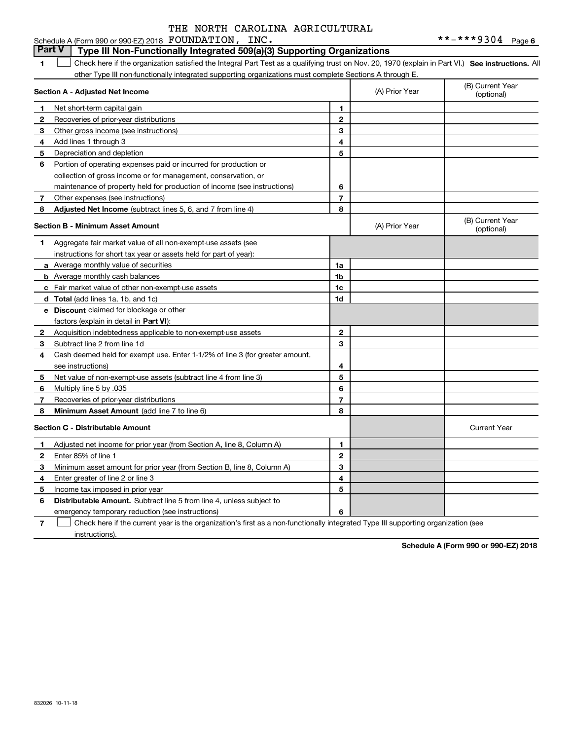#### **1SEP 10. See instructions.** All antegral Part Test as a qualifying trust on Nov. 20, 1970 (explain in Part VI.) See instructions. All **Section A - Adjusted Net Income 123** Other gross income (see instructions) **4**Add lines 1 through 3 **56** Portion of operating expenses paid or incurred for production or **78** Adjusted Net Income (subtract lines 5, 6, and 7 from line 4) **8 8 1234567Section B - Minimum Asset Amount 1**Aggregate fair market value of all non-exempt-use assets (see **2**Acquisition indebtedness applicable to non-exempt-use assets **3** Subtract line 2 from line 1d **4**Cash deemed held for exempt use. Enter 1-1/2% of line 3 (for greater amount, **5** Net value of non-exempt-use assets (subtract line 4 from line 3) **678a** Average monthly value of securities **b** Average monthly cash balances **c**Fair market value of other non-exempt-use assets **dTotal**  (add lines 1a, 1b, and 1c) **eDiscount** claimed for blockage or other **1a1b1c1d 2345678**factors (explain in detail in **Part VI**): **Minimum Asset Amount**  (add line 7 to line 6) **Section C - Distributable Amount 123456123456Distributable Amount.** Subtract line 5 from line 4, unless subject to other Type III non-functionally integrated supporting organizations must complete Sections A through E. (B) Current Year (optional)(A) Prior Year Net short-term capital gain Recoveries of prior-year distributions Depreciation and depletion collection of gross income or for management, conservation, or maintenance of property held for production of income (see instructions) Other expenses (see instructions) (B) Current Year (optional)(A) Prior Year instructions for short tax year or assets held for part of year): see instructions) Multiply line 5 by .035 Recoveries of prior-year distributions Current Year Adjusted net income for prior year (from Section A, line 8, Column A) Enter 85% of line 1 Minimum asset amount for prior year (from Section B, line 8, Column A) Enter greater of line 2 or line 3 Income tax imposed in prior year emergency temporary reduction (see instructions)  $\mathcal{L}^{\text{max}}$

**7**Check here if the current year is the organization's first as a non-functionally integrated Type III supporting organization (see instructions). $\mathcal{L}^{\text{max}}$ 

**Schedule A (Form 990 or 990-EZ) 2018**

# **Part V** Type III Non-Functionally Integrated 509(a)(3) Supporting Organizations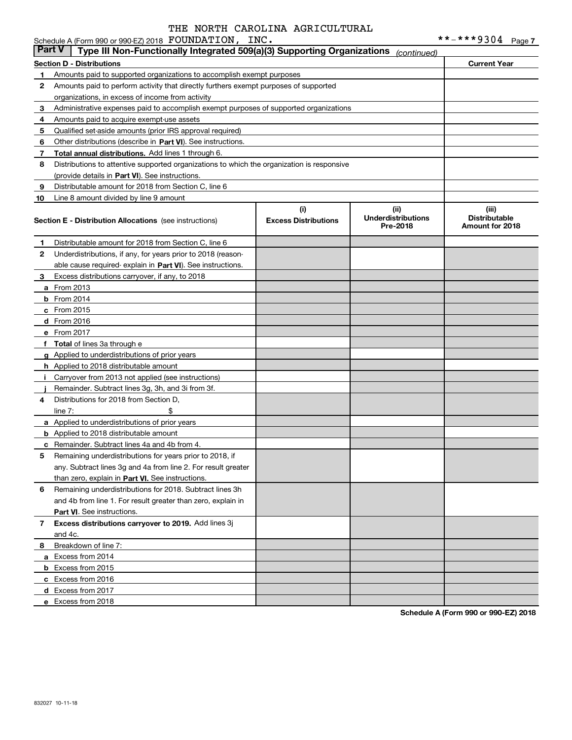#### **Section D - Distributions Current Year 1**Amounts paid to supported organizations to accomplish exempt purposes **2345** Qualified set-aside amounts (prior IRS approval required) **678910**Other distributions (describe in Part VI). See instructions. **Total annual distributions.** Add lines 1 through 6. (provide details in Part VI). See instructions. **(i)Excess Distributions (ii) UnderdistributionsPre-2018(iii) Distributable Amount for 2018 Section E - Distribution Allocations**  (see instructions) **12**Underdistributions, if any, for years prior to 2018 (reason-**3**Excess distributions carryover, if any, to 2018 **4**Distributions for 2018 from Section D, **5** Remaining underdistributions for years prior to 2018, if **6** Remaining underdistributions for 2018. Subtract lines 3h **7Excess distributions carryover to 2019.**  Add lines 3j **8**Breakdown of line 7: able cause required- explain in Part VI). See instructions. **a** From 2013 **b** From 2014 **c**From 2015 **d** From 2016 **e**From 2017 **f Total**  of lines 3a through e **g**Applied to underdistributions of prior years **h** Applied to 2018 distributable amount **ij** Remainder. Subtract lines 3g, 3h, and 3i from 3f. **a** Applied to underdistributions of prior years **b** Applied to 2018 distributable amount **c** Remainder. Subtract lines 4a and 4b from 4. than zero, explain in Part VI. See instructions. **Part VI** . See instructions. **a**Excess from 2014 **b** Excess from 2015 **c**Excess from 2016 **d**Excess from 2017 Schedule A (Form 990 or 990-EZ) 2018 Page FOUNDATION, INC. \*\*-\*\*\*9304 Amounts paid to perform activity that directly furthers exempt purposes of supported organizations, in excess of income from activity Administrative expenses paid to accomplish exempt purposes of supported organizations Amounts paid to acquire exempt-use assets Distributions to attentive supported organizations to which the organization is responsive Distributable amount for 2018 from Section C, line 6 Line 8 amount divided by line 9 amount Distributable amount for 2018 from Section C, line 6 Carryover from 2013 not applied (see instructions)  $line 7:$   $\frac{1}{2}$ any. Subtract lines 3g and 4a from line 2. For result greater and 4b from line 1. For result greater than zero, explain in and 4c. **Part V Type III Non-Functionally Integrated 509(a)(3) Supporting Organizations** *(continued)*

**Schedule A (Form 990 or 990-EZ) 2018**

**e** Excess from 2018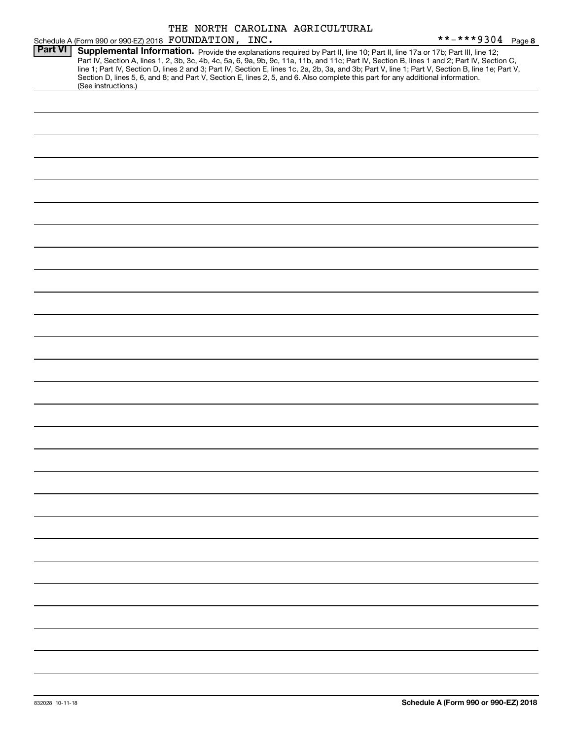|                |                                                       |  | THE NORTH CAROLINA AGRICULTURAL |                                                                                                                                                                                                                                                                                                                                                                                                                                                                                                                                                                      |  |
|----------------|-------------------------------------------------------|--|---------------------------------|----------------------------------------------------------------------------------------------------------------------------------------------------------------------------------------------------------------------------------------------------------------------------------------------------------------------------------------------------------------------------------------------------------------------------------------------------------------------------------------------------------------------------------------------------------------------|--|
|                | Schedule A (Form 990 or 990-EZ) 2018 FOUNDATION, INC. |  |                                 | **-***9304 Page 8                                                                                                                                                                                                                                                                                                                                                                                                                                                                                                                                                    |  |
| <b>Part VI</b> | (See instructions.)                                   |  |                                 | Supplemental Information. Provide the explanations required by Part II, line 10; Part II, line 17a or 17b; Part III, line 12;<br>Part IV, Section A, lines 1, 2, 3b, 3c, 4b, 4c, 5a, 6, 9a, 9b, 9c, 11a, 11b, and 11c; Part IV, Section B, lines 1 and 2; Part IV, Section C,<br>line 1; Part IV, Section D, lines 2 and 3; Part IV, Section E, lines 1c, 2a, 2b, 3a, and 3b; Part V, line 1; Part V, Section B, line 1e; Part V,<br>Section D, lines 5, 6, and 8; and Part V, Section E, lines 2, 5, and 6. Also complete this part for any additional information. |  |
|                |                                                       |  |                                 |                                                                                                                                                                                                                                                                                                                                                                                                                                                                                                                                                                      |  |
|                |                                                       |  |                                 |                                                                                                                                                                                                                                                                                                                                                                                                                                                                                                                                                                      |  |
|                |                                                       |  |                                 |                                                                                                                                                                                                                                                                                                                                                                                                                                                                                                                                                                      |  |
|                |                                                       |  |                                 |                                                                                                                                                                                                                                                                                                                                                                                                                                                                                                                                                                      |  |
|                |                                                       |  |                                 |                                                                                                                                                                                                                                                                                                                                                                                                                                                                                                                                                                      |  |
|                |                                                       |  |                                 |                                                                                                                                                                                                                                                                                                                                                                                                                                                                                                                                                                      |  |
|                |                                                       |  |                                 |                                                                                                                                                                                                                                                                                                                                                                                                                                                                                                                                                                      |  |
|                |                                                       |  |                                 |                                                                                                                                                                                                                                                                                                                                                                                                                                                                                                                                                                      |  |
|                |                                                       |  |                                 |                                                                                                                                                                                                                                                                                                                                                                                                                                                                                                                                                                      |  |
|                |                                                       |  |                                 |                                                                                                                                                                                                                                                                                                                                                                                                                                                                                                                                                                      |  |
|                |                                                       |  |                                 |                                                                                                                                                                                                                                                                                                                                                                                                                                                                                                                                                                      |  |
|                |                                                       |  |                                 |                                                                                                                                                                                                                                                                                                                                                                                                                                                                                                                                                                      |  |
|                |                                                       |  |                                 |                                                                                                                                                                                                                                                                                                                                                                                                                                                                                                                                                                      |  |
|                |                                                       |  |                                 |                                                                                                                                                                                                                                                                                                                                                                                                                                                                                                                                                                      |  |
|                |                                                       |  |                                 |                                                                                                                                                                                                                                                                                                                                                                                                                                                                                                                                                                      |  |
|                |                                                       |  |                                 |                                                                                                                                                                                                                                                                                                                                                                                                                                                                                                                                                                      |  |
|                |                                                       |  |                                 |                                                                                                                                                                                                                                                                                                                                                                                                                                                                                                                                                                      |  |
|                |                                                       |  |                                 |                                                                                                                                                                                                                                                                                                                                                                                                                                                                                                                                                                      |  |
|                |                                                       |  |                                 |                                                                                                                                                                                                                                                                                                                                                                                                                                                                                                                                                                      |  |
|                |                                                       |  |                                 |                                                                                                                                                                                                                                                                                                                                                                                                                                                                                                                                                                      |  |
|                |                                                       |  |                                 |                                                                                                                                                                                                                                                                                                                                                                                                                                                                                                                                                                      |  |
|                |                                                       |  |                                 |                                                                                                                                                                                                                                                                                                                                                                                                                                                                                                                                                                      |  |
|                |                                                       |  |                                 |                                                                                                                                                                                                                                                                                                                                                                                                                                                                                                                                                                      |  |
|                |                                                       |  |                                 |                                                                                                                                                                                                                                                                                                                                                                                                                                                                                                                                                                      |  |
|                |                                                       |  |                                 |                                                                                                                                                                                                                                                                                                                                                                                                                                                                                                                                                                      |  |
|                |                                                       |  |                                 |                                                                                                                                                                                                                                                                                                                                                                                                                                                                                                                                                                      |  |
|                |                                                       |  |                                 |                                                                                                                                                                                                                                                                                                                                                                                                                                                                                                                                                                      |  |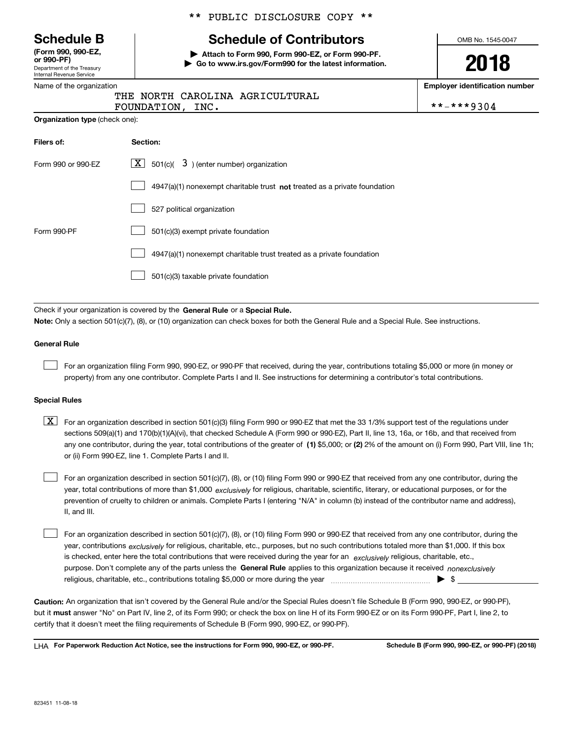Department of the Treasury Internal Revenue Service **(Form 990, 990-EZ, or 990-PF)**

|  | Name of the organization |  |
|--|--------------------------|--|
|  |                          |  |

# \*\* PUBLIC DISCLOSURE COPY \*\*

# **Schedule B Schedule of Contributors**

**| Attach to Form 990, Form 990-EZ, or Form 990-PF. | Go to www.irs.gov/Form990 for the latest information.** OMB No. 1545-0047

**2018**

**Employer identification number**

|                  | tus nontu chnostini hontoostonis |            |
|------------------|----------------------------------|------------|
| FOUNDATION, INC. |                                  | **-***9304 |

**Organization type** (check one):

| Filers of:         | Section:                                                                    |
|--------------------|-----------------------------------------------------------------------------|
| Form 990 or 990-EZ | $\lfloor x \rfloor$ 501(c)( 3) (enter number) organization                  |
|                    | $4947(a)(1)$ nonexempt charitable trust not treated as a private foundation |
|                    | 527 political organization                                                  |
| Form 990-PF        | 501(c)(3) exempt private foundation                                         |
|                    | 4947(a)(1) nonexempt charitable trust treated as a private foundation       |
|                    | 501(c)(3) taxable private foundation                                        |

THE NORTH CAROLINA AGRICULTURAL

Check if your organization is covered by the **General Rule** or a **Special Rule. Note:**  Only a section 501(c)(7), (8), or (10) organization can check boxes for both the General Rule and a Special Rule. See instructions.

#### **General Rule**

 $\mathcal{L}^{\text{max}}$ 

For an organization filing Form 990, 990-EZ, or 990-PF that received, during the year, contributions totaling \$5,000 or more (in money or property) from any one contributor. Complete Parts I and II. See instructions for determining a contributor's total contributions.

#### **Special Rules**

any one contributor, during the year, total contributions of the greater of  $\,$  (1) \$5,000; or **(2)** 2% of the amount on (i) Form 990, Part VIII, line 1h;  $\boxed{\textbf{X}}$  For an organization described in section 501(c)(3) filing Form 990 or 990-EZ that met the 33 1/3% support test of the regulations under sections 509(a)(1) and 170(b)(1)(A)(vi), that checked Schedule A (Form 990 or 990-EZ), Part II, line 13, 16a, or 16b, and that received from or (ii) Form 990-EZ, line 1. Complete Parts I and II.

year, total contributions of more than \$1,000 *exclusively* for religious, charitable, scientific, literary, or educational purposes, or for the For an organization described in section 501(c)(7), (8), or (10) filing Form 990 or 990-EZ that received from any one contributor, during the prevention of cruelty to children or animals. Complete Parts I (entering "N/A" in column (b) instead of the contributor name and address), II, and III.  $\mathcal{L}^{\text{max}}$ 

purpose. Don't complete any of the parts unless the **General Rule** applies to this organization because it received *nonexclusively* year, contributions <sub>exclusively</sub> for religious, charitable, etc., purposes, but no such contributions totaled more than \$1,000. If this box is checked, enter here the total contributions that were received during the year for an  $\;$ exclusively religious, charitable, etc., For an organization described in section 501(c)(7), (8), or (10) filing Form 990 or 990-EZ that received from any one contributor, during the religious, charitable, etc., contributions totaling \$5,000 or more during the year  $\Box$ — $\Box$   $\Box$  $\mathcal{L}^{\text{max}}$ 

**Caution:**  An organization that isn't covered by the General Rule and/or the Special Rules doesn't file Schedule B (Form 990, 990-EZ, or 990-PF),  **must** but it answer "No" on Part IV, line 2, of its Form 990; or check the box on line H of its Form 990-EZ or on its Form 990-PF, Part I, line 2, to certify that it doesn't meet the filing requirements of Schedule B (Form 990, 990-EZ, or 990-PF).

**For Paperwork Reduction Act Notice, see the instructions for Form 990, 990-EZ, or 990-PF. Schedule B (Form 990, 990-EZ, or 990-PF) (2018)** LHA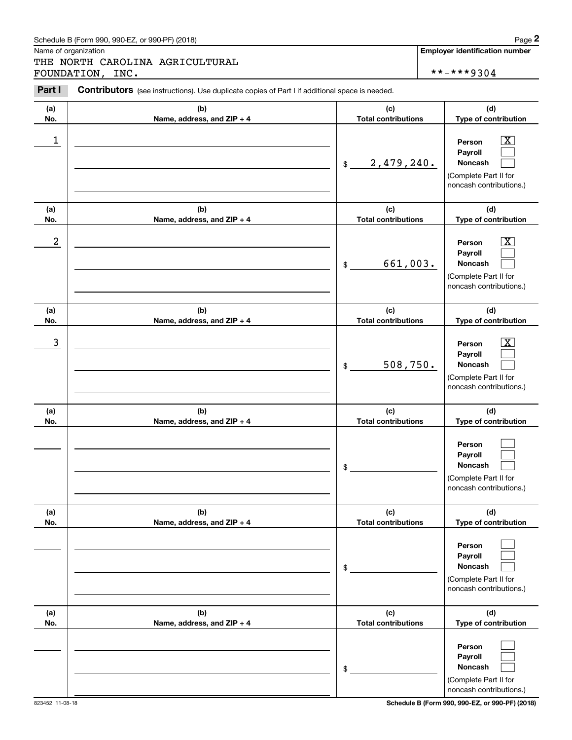# Schedule B (Form 990, 990-EZ, or 990-PF) (2018) Page 2

# THE NORTH CAROLINA AGRICULTURAL FOUNDATION, INC. \*\*-\*\*\*9304

|                  | Schedule B (Form 990, 990-EZ, or 990-PF) (2018)                                                |                                   | Page 2                                                                                                      |
|------------------|------------------------------------------------------------------------------------------------|-----------------------------------|-------------------------------------------------------------------------------------------------------------|
|                  | Name of organization<br>THE NORTH CAROLINA AGRICULTURAL<br>FOUNDATION, INC.                    |                                   | <b>Employer identification number</b><br>**-***9304                                                         |
| Part I           | Contributors (see instructions). Use duplicate copies of Part I if additional space is needed. |                                   |                                                                                                             |
| (a)<br>No.       | (b)<br>Name, address, and ZIP + 4                                                              | (c)<br><b>Total contributions</b> | (d)<br>Type of contribution                                                                                 |
| 1                |                                                                                                | 2,479,240.<br>$$\mathbb{S}$$      | $\overline{\mathbf{X}}$<br>Person<br>Payroll<br>Noncash<br>(Complete Part II for<br>noncash contributions.) |
| (a)<br>No.       | (b)<br>Name, address, and ZIP + 4                                                              | (c)<br><b>Total contributions</b> | (d)<br>Type of contribution                                                                                 |
| $\boldsymbol{2}$ |                                                                                                | 661,003.<br>\$                    | $\overline{\mathbf{X}}$<br>Person<br>Payroll<br>Noncash<br>(Complete Part II for<br>noncash contributions.) |
| (a)<br>No.       | (b)<br>Name, address, and ZIP + 4                                                              | (c)<br><b>Total contributions</b> | (d)<br>Type of contribution                                                                                 |
| 3                |                                                                                                | 508,750.<br>\$                    | $\overline{\mathbf{X}}$<br>Person<br>Payroll<br>Noncash<br>(Complete Part II for<br>noncash contributions.) |
| (a)<br>No.       | (b)<br>Name, address, and ZIP + 4                                                              | (c)<br><b>Total contributions</b> | (d)<br>Type of contribution                                                                                 |
|                  |                                                                                                | \$                                | Person<br>Payroll<br>Noncash<br>(Complete Part II for<br>noncash contributions.)                            |
| (a)<br>No.       | (b)<br>Name, address, and ZIP + 4                                                              | (c)<br><b>Total contributions</b> | (d)<br>Type of contribution                                                                                 |
|                  |                                                                                                | \$                                | Person<br>Payroll<br>Noncash<br>(Complete Part II for<br>noncash contributions.)                            |
| (a)<br>No.       | (b)<br>Name, address, and ZIP + 4                                                              | (c)<br><b>Total contributions</b> | (d)<br>Type of contribution                                                                                 |
|                  |                                                                                                | \$                                | Person<br>Payroll<br>Noncash<br>(Complete Part II for<br>noncash contributions.)                            |

823452 11-08-18 **Schedule B (Form 990, 990-EZ, or 990-PF) (2018)**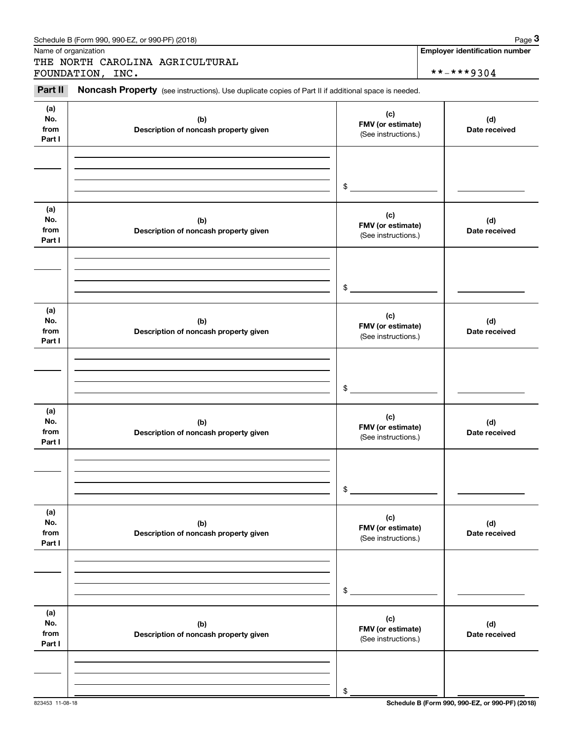| Schedule B (Form 990, 990-EZ, or 990-PF) (2018)                                                                       | Page $3$                              |
|-----------------------------------------------------------------------------------------------------------------------|---------------------------------------|
| Name of organization                                                                                                  | <b>Employer identification number</b> |
| THE NORTH CAROLINA AGRICULTURAL                                                                                       |                                       |
| FOUNDATION,<br>INC.                                                                                                   | $***$ $***$ 9304                      |
| Part II<br><b>Noncash Property</b> (see instructions). Use duplicate copies of Part II if additional space is needed. |                                       |

| (a)<br>No.<br>from<br>Part I | (b)<br>Description of noncash property given | (c)<br>FMV (or estimate)<br>(See instructions.) | (d)<br>Date received |
|------------------------------|----------------------------------------------|-------------------------------------------------|----------------------|
|                              |                                              |                                                 |                      |
|                              |                                              | $\frac{1}{2}$                                   |                      |
| (a)<br>No.<br>from<br>Part I | (b)<br>Description of noncash property given | (c)<br>FMV (or estimate)<br>(See instructions.) | (d)<br>Date received |
|                              |                                              |                                                 |                      |
|                              |                                              | $\frac{1}{2}$                                   |                      |
| (a)<br>No.<br>from<br>Part I | (b)<br>Description of noncash property given | (c)<br>FMV (or estimate)<br>(See instructions.) | (d)<br>Date received |
|                              |                                              |                                                 |                      |
|                              |                                              | $\frac{1}{2}$                                   |                      |
| (a)<br>No.<br>from<br>Part I | (b)<br>Description of noncash property given | (c)<br>FMV (or estimate)<br>(See instructions.) | (d)<br>Date received |
|                              |                                              |                                                 |                      |
|                              |                                              | \$                                              |                      |
| (a)<br>No.<br>from<br>Part I | (b)<br>Description of noncash property given | (c)<br>FMV (or estimate)<br>(See instructions.) | (d)<br>Date received |
|                              |                                              |                                                 |                      |
|                              |                                              | \$                                              |                      |
| (a)<br>No.<br>from<br>Part I | (b)<br>Description of noncash property given | (c)<br>FMV (or estimate)<br>(See instructions.) | (d)<br>Date received |
|                              |                                              |                                                 |                      |
|                              |                                              | \$                                              |                      |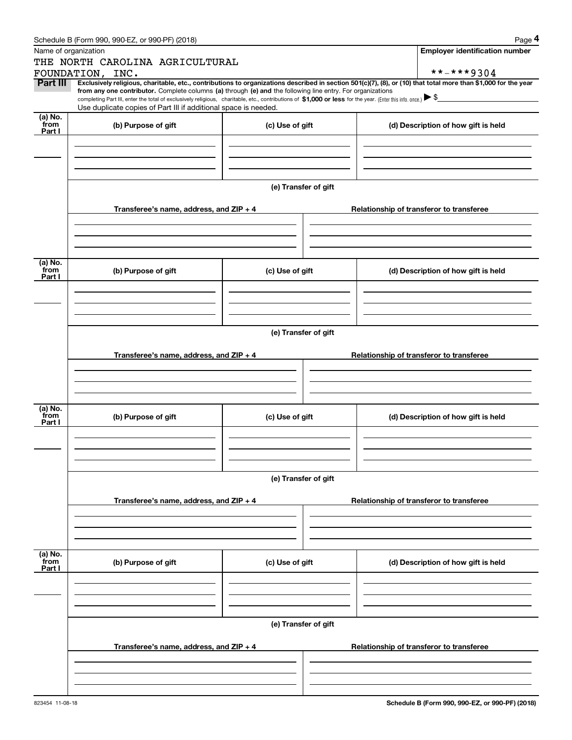|                 | Schedule B (Form 990, 990-EZ, or 990-PF) (2018)                                                                                                                                   |                      | Page 4                                                                                                                                                         |  |  |  |  |  |  |  |
|-----------------|-----------------------------------------------------------------------------------------------------------------------------------------------------------------------------------|----------------------|----------------------------------------------------------------------------------------------------------------------------------------------------------------|--|--|--|--|--|--|--|
|                 | Name of organization                                                                                                                                                              |                      | <b>Employer identification number</b>                                                                                                                          |  |  |  |  |  |  |  |
|                 | THE NORTH CAROLINA AGRICULTURAL                                                                                                                                                   |                      |                                                                                                                                                                |  |  |  |  |  |  |  |
|                 | FOUNDATION, INC.                                                                                                                                                                  |                      | **-***9304                                                                                                                                                     |  |  |  |  |  |  |  |
| Part III        | from any one contributor. Complete columns (a) through (e) and the following line entry. For organizations                                                                        |                      | Exclusively religious, charitable, etc., contributions to organizations described in section 501(c)(7), (8), or (10) that total more than \$1,000 for the year |  |  |  |  |  |  |  |
|                 | completing Part III, enter the total of exclusively religious, charitable, etc., contributions of \$1,000 or less for the year. (Enter this info. once.) $\blacktriangleright$ \$ |                      |                                                                                                                                                                |  |  |  |  |  |  |  |
|                 | Use duplicate copies of Part III if additional space is needed.                                                                                                                   |                      |                                                                                                                                                                |  |  |  |  |  |  |  |
| (a) No.<br>from | (b) Purpose of gift                                                                                                                                                               | (c) Use of gift      | (d) Description of how gift is held                                                                                                                            |  |  |  |  |  |  |  |
| Part I          |                                                                                                                                                                                   |                      |                                                                                                                                                                |  |  |  |  |  |  |  |
|                 |                                                                                                                                                                                   |                      |                                                                                                                                                                |  |  |  |  |  |  |  |
|                 |                                                                                                                                                                                   |                      |                                                                                                                                                                |  |  |  |  |  |  |  |
|                 |                                                                                                                                                                                   |                      |                                                                                                                                                                |  |  |  |  |  |  |  |
|                 |                                                                                                                                                                                   | (e) Transfer of gift |                                                                                                                                                                |  |  |  |  |  |  |  |
|                 |                                                                                                                                                                                   |                      |                                                                                                                                                                |  |  |  |  |  |  |  |
|                 | Transferee's name, address, and ZIP + 4                                                                                                                                           |                      | Relationship of transferor to transferee                                                                                                                       |  |  |  |  |  |  |  |
|                 |                                                                                                                                                                                   |                      |                                                                                                                                                                |  |  |  |  |  |  |  |
|                 |                                                                                                                                                                                   |                      |                                                                                                                                                                |  |  |  |  |  |  |  |
|                 |                                                                                                                                                                                   |                      |                                                                                                                                                                |  |  |  |  |  |  |  |
|                 |                                                                                                                                                                                   |                      |                                                                                                                                                                |  |  |  |  |  |  |  |
| (a) No.<br>from | (b) Purpose of gift                                                                                                                                                               | (c) Use of gift      | (d) Description of how gift is held                                                                                                                            |  |  |  |  |  |  |  |
| Part I          |                                                                                                                                                                                   |                      |                                                                                                                                                                |  |  |  |  |  |  |  |
|                 |                                                                                                                                                                                   |                      |                                                                                                                                                                |  |  |  |  |  |  |  |
|                 |                                                                                                                                                                                   |                      |                                                                                                                                                                |  |  |  |  |  |  |  |
|                 |                                                                                                                                                                                   |                      |                                                                                                                                                                |  |  |  |  |  |  |  |
|                 |                                                                                                                                                                                   |                      |                                                                                                                                                                |  |  |  |  |  |  |  |
|                 | (e) Transfer of gift                                                                                                                                                              |                      |                                                                                                                                                                |  |  |  |  |  |  |  |
|                 | Transferee's name, address, and $ZIP + 4$                                                                                                                                         |                      | Relationship of transferor to transferee                                                                                                                       |  |  |  |  |  |  |  |
|                 |                                                                                                                                                                                   |                      |                                                                                                                                                                |  |  |  |  |  |  |  |
|                 |                                                                                                                                                                                   |                      |                                                                                                                                                                |  |  |  |  |  |  |  |
|                 |                                                                                                                                                                                   |                      |                                                                                                                                                                |  |  |  |  |  |  |  |
|                 |                                                                                                                                                                                   |                      |                                                                                                                                                                |  |  |  |  |  |  |  |
| (a) No.<br>from | (b) Purpose of gift                                                                                                                                                               | (c) Use of gift      | (d) Description of how gift is held                                                                                                                            |  |  |  |  |  |  |  |
| Part I          |                                                                                                                                                                                   |                      |                                                                                                                                                                |  |  |  |  |  |  |  |
|                 |                                                                                                                                                                                   |                      |                                                                                                                                                                |  |  |  |  |  |  |  |
|                 |                                                                                                                                                                                   |                      |                                                                                                                                                                |  |  |  |  |  |  |  |
|                 |                                                                                                                                                                                   |                      |                                                                                                                                                                |  |  |  |  |  |  |  |
|                 |                                                                                                                                                                                   | (e) Transfer of gift |                                                                                                                                                                |  |  |  |  |  |  |  |
|                 |                                                                                                                                                                                   |                      |                                                                                                                                                                |  |  |  |  |  |  |  |
|                 | Transferee's name, address, and $ZIP + 4$                                                                                                                                         |                      | Relationship of transferor to transferee                                                                                                                       |  |  |  |  |  |  |  |
|                 |                                                                                                                                                                                   |                      |                                                                                                                                                                |  |  |  |  |  |  |  |
|                 |                                                                                                                                                                                   |                      |                                                                                                                                                                |  |  |  |  |  |  |  |
|                 |                                                                                                                                                                                   |                      |                                                                                                                                                                |  |  |  |  |  |  |  |
|                 |                                                                                                                                                                                   |                      |                                                                                                                                                                |  |  |  |  |  |  |  |
| (a) No.<br>from | (b) Purpose of gift                                                                                                                                                               | (c) Use of gift      | (d) Description of how gift is held                                                                                                                            |  |  |  |  |  |  |  |
| Part I          |                                                                                                                                                                                   |                      |                                                                                                                                                                |  |  |  |  |  |  |  |
|                 |                                                                                                                                                                                   |                      |                                                                                                                                                                |  |  |  |  |  |  |  |
|                 |                                                                                                                                                                                   |                      |                                                                                                                                                                |  |  |  |  |  |  |  |
|                 |                                                                                                                                                                                   |                      |                                                                                                                                                                |  |  |  |  |  |  |  |
|                 |                                                                                                                                                                                   |                      |                                                                                                                                                                |  |  |  |  |  |  |  |
|                 |                                                                                                                                                                                   | (e) Transfer of gift |                                                                                                                                                                |  |  |  |  |  |  |  |
|                 | Transferee's name, address, and ZIP + 4                                                                                                                                           |                      | Relationship of transferor to transferee                                                                                                                       |  |  |  |  |  |  |  |
|                 |                                                                                                                                                                                   |                      |                                                                                                                                                                |  |  |  |  |  |  |  |
|                 |                                                                                                                                                                                   |                      |                                                                                                                                                                |  |  |  |  |  |  |  |
|                 |                                                                                                                                                                                   |                      |                                                                                                                                                                |  |  |  |  |  |  |  |
|                 |                                                                                                                                                                                   |                      |                                                                                                                                                                |  |  |  |  |  |  |  |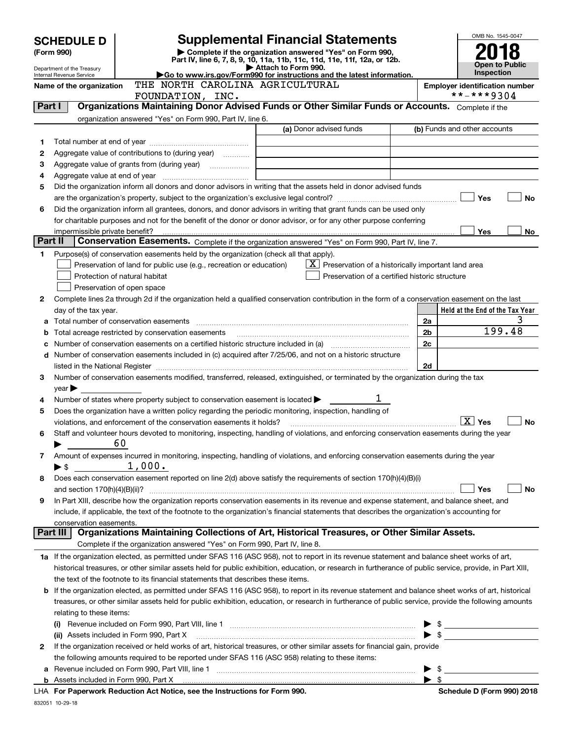|         | <b>SCHEDULE D</b>                                      |                                                                                                        | <b>Supplemental Financial Statements</b>                                                                                                                  |                          | OMB No. 1545-0047               |
|---------|--------------------------------------------------------|--------------------------------------------------------------------------------------------------------|-----------------------------------------------------------------------------------------------------------------------------------------------------------|--------------------------|---------------------------------|
|         | (Form 990)                                             |                                                                                                        | Complete if the organization answered "Yes" on Form 990,                                                                                                  |                          |                                 |
|         |                                                        |                                                                                                        | Part IV, line 6, 7, 8, 9, 10, 11a, 11b, 11c, 11d, 11e, 11f, 12a, or 12b.                                                                                  |                          | Open to Public                  |
|         | Department of the Treasury<br>Internal Revenue Service |                                                                                                        | Attach to Form 990.<br>Go to www.irs.gov/Form990 for instructions and the latest information.                                                             |                          | <b>Inspection</b>               |
|         | Name of the organization                               |                                                                                                        | <b>Employer identification number</b>                                                                                                                     |                          |                                 |
|         |                                                        | FOUNDATION, INC.                                                                                       |                                                                                                                                                           |                          | **-***9304                      |
| Part I  |                                                        |                                                                                                        | Organizations Maintaining Donor Advised Funds or Other Similar Funds or Accounts. Complete if the                                                         |                          |                                 |
|         |                                                        | organization answered "Yes" on Form 990, Part IV, line 6.                                              |                                                                                                                                                           |                          |                                 |
|         |                                                        |                                                                                                        | (a) Donor advised funds                                                                                                                                   |                          | (b) Funds and other accounts    |
| 1       |                                                        |                                                                                                        |                                                                                                                                                           |                          |                                 |
| 2       |                                                        | Aggregate value of contributions to (during year)                                                      |                                                                                                                                                           |                          |                                 |
| З       |                                                        |                                                                                                        | <u> 1989 - Johann Barbara, martin amerikan personal (</u>                                                                                                 |                          |                                 |
| 4       |                                                        |                                                                                                        |                                                                                                                                                           |                          |                                 |
| 5       |                                                        |                                                                                                        | Did the organization inform all donors and donor advisors in writing that the assets held in donor advised funds                                          |                          |                                 |
|         |                                                        |                                                                                                        |                                                                                                                                                           |                          | Yes<br>No                       |
| 6       |                                                        |                                                                                                        | Did the organization inform all grantees, donors, and donor advisors in writing that grant funds can be used only                                         |                          |                                 |
|         |                                                        |                                                                                                        | for charitable purposes and not for the benefit of the donor or donor advisor, or for any other purpose conferring                                        |                          |                                 |
| Part II | impermissible private benefit?                         |                                                                                                        |                                                                                                                                                           |                          | Yes<br>No.                      |
|         |                                                        |                                                                                                        | Conservation Easements. Complete if the organization answered "Yes" on Form 990, Part IV, line 7.                                                         |                          |                                 |
| 1       |                                                        | Purpose(s) of conservation easements held by the organization (check all that apply).                  |                                                                                                                                                           |                          |                                 |
|         |                                                        | Preservation of land for public use (e.g., recreation or education)                                    | $X$ Preservation of a historically important land area                                                                                                    |                          |                                 |
|         |                                                        | Protection of natural habitat                                                                          | Preservation of a certified historic structure                                                                                                            |                          |                                 |
|         |                                                        | Preservation of open space                                                                             | Complete lines 2a through 2d if the organization held a qualified conservation contribution in the form of a conservation easement on the last            |                          |                                 |
| 2       |                                                        |                                                                                                        |                                                                                                                                                           |                          | Held at the End of the Tax Year |
|         | day of the tax year.                                   |                                                                                                        |                                                                                                                                                           | 2a                       |                                 |
| b       |                                                        | Total acreage restricted by conservation easements                                                     |                                                                                                                                                           | 2 <sub>b</sub>           | 199.48                          |
|         |                                                        |                                                                                                        |                                                                                                                                                           | 2 <sub>c</sub>           |                                 |
| d       |                                                        |                                                                                                        | Number of conservation easements included in (c) acquired after 7/25/06, and not on a historic structure                                                  |                          |                                 |
|         |                                                        |                                                                                                        |                                                                                                                                                           | 2d                       |                                 |
| 3       |                                                        |                                                                                                        | Number of conservation easements modified, transferred, released, extinguished, or terminated by the organization during the tax                          |                          |                                 |
|         | $year \blacktriangleright$                             |                                                                                                        |                                                                                                                                                           |                          |                                 |
| 4       |                                                        | Number of states where property subject to conservation easement is located $\blacktriangleright$      |                                                                                                                                                           |                          |                                 |
| 5       |                                                        | Does the organization have a written policy regarding the periodic monitoring, inspection, handling of |                                                                                                                                                           |                          |                                 |
|         |                                                        | violations, and enforcement of the conservation easements it holds?                                    |                                                                                                                                                           |                          | $\sqrt{X}$ Yes<br><b>No</b>     |
| 6       |                                                        |                                                                                                        | Staff and volunteer hours devoted to monitoring, inspecting, handling of violations, and enforcing conservation easements during the year                 |                          |                                 |
|         |                                                        | 60                                                                                                     |                                                                                                                                                           |                          |                                 |
| 7       |                                                        |                                                                                                        | Amount of expenses incurred in monitoring, inspecting, handling of violations, and enforcing conservation easements during the year                       |                          |                                 |
|         | $\blacktriangleright$ \$                               | 1,000.                                                                                                 |                                                                                                                                                           |                          |                                 |
| 8       |                                                        |                                                                                                        | Does each conservation easement reported on line 2(d) above satisfy the requirements of section 170(h)(4)(B)(i)                                           |                          |                                 |
|         |                                                        |                                                                                                        |                                                                                                                                                           |                          | Yes<br>No                       |
| 9       |                                                        |                                                                                                        | In Part XIII, describe how the organization reports conservation easements in its revenue and expense statement, and balance sheet, and                   |                          |                                 |
|         |                                                        |                                                                                                        | include, if applicable, the text of the footnote to the organization's financial statements that describes the organization's accounting for              |                          |                                 |
|         | conservation easements.<br>Part III                    |                                                                                                        | Organizations Maintaining Collections of Art, Historical Treasures, or Other Similar Assets.                                                              |                          |                                 |
|         |                                                        | Complete if the organization answered "Yes" on Form 990, Part IV, line 8.                              |                                                                                                                                                           |                          |                                 |
|         |                                                        |                                                                                                        | 1a If the organization elected, as permitted under SFAS 116 (ASC 958), not to report in its revenue statement and balance sheet works of art,             |                          |                                 |
|         |                                                        |                                                                                                        | historical treasures, or other similar assets held for public exhibition, education, or research in furtherance of public service, provide, in Part XIII, |                          |                                 |
|         |                                                        | the text of the footnote to its financial statements that describes these items.                       |                                                                                                                                                           |                          |                                 |
| b       |                                                        |                                                                                                        | If the organization elected, as permitted under SFAS 116 (ASC 958), to report in its revenue statement and balance sheet works of art, historical         |                          |                                 |
|         |                                                        |                                                                                                        | treasures, or other similar assets held for public exhibition, education, or research in furtherance of public service, provide the following amounts     |                          |                                 |
|         | relating to these items:                               |                                                                                                        |                                                                                                                                                           |                          |                                 |
|         |                                                        |                                                                                                        |                                                                                                                                                           |                          | $\triangleright$ \$             |
|         |                                                        | (ii) Assets included in Form 990, Part X                                                               |                                                                                                                                                           |                          | $\bullet$ \$                    |
| 2       |                                                        |                                                                                                        | If the organization received or held works of art, historical treasures, or other similar assets for financial gain, provide                              |                          |                                 |
|         |                                                        | the following amounts required to be reported under SFAS 116 (ASC 958) relating to these items:        |                                                                                                                                                           |                          |                                 |
| а       |                                                        |                                                                                                        |                                                                                                                                                           |                          | $\triangleright$ \$             |
|         |                                                        |                                                                                                        |                                                                                                                                                           | $\blacktriangleright$ \$ |                                 |
|         |                                                        |                                                                                                        |                                                                                                                                                           |                          |                                 |

**For Paperwork Reduction Act Notice, see the Instructions for Form 990. Schedule D (Form 990) 2018** LHA

832051 10-29-18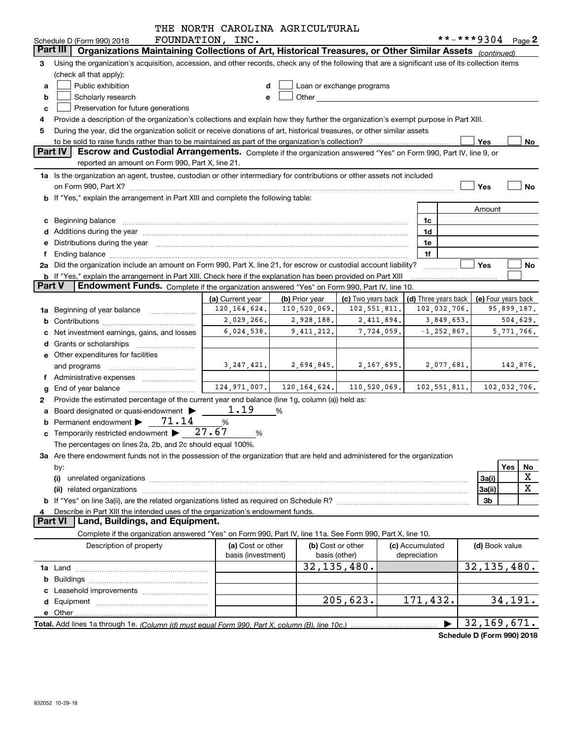|               |                                                                                                                                                                                                                                | THE NORTH CAROLINA AGRICULTURAL         |                                                |                                                                                                                                                                                                                                |                                 |                      |                               |             |
|---------------|--------------------------------------------------------------------------------------------------------------------------------------------------------------------------------------------------------------------------------|-----------------------------------------|------------------------------------------------|--------------------------------------------------------------------------------------------------------------------------------------------------------------------------------------------------------------------------------|---------------------------------|----------------------|-------------------------------|-------------|
|               | Schedule D (Form 990) 2018                                                                                                                                                                                                     | FOUNDATION, INC.                        |                                                |                                                                                                                                                                                                                                |                                 |                      | **-***9304 Page 2             |             |
|               | Organizations Maintaining Collections of Art, Historical Treasures, or Other Similar Assets (continued)<br><b>Part III</b>                                                                                                     |                                         |                                                |                                                                                                                                                                                                                                |                                 |                      |                               |             |
| 3             | Using the organization's acquisition, accession, and other records, check any of the following that are a significant use of its collection items                                                                              |                                         |                                                |                                                                                                                                                                                                                                |                                 |                      |                               |             |
|               | (check all that apply):                                                                                                                                                                                                        |                                         |                                                |                                                                                                                                                                                                                                |                                 |                      |                               |             |
| a             | Public exhibition                                                                                                                                                                                                              | d                                       |                                                | Loan or exchange programs                                                                                                                                                                                                      |                                 |                      |                               |             |
| b             | Scholarly research                                                                                                                                                                                                             | e                                       |                                                | Other the contract of the contract of the contract of the contract of the contract of the contract of the contract of the contract of the contract of the contract of the contract of the contract of the contract of the cont |                                 |                      |                               |             |
| c             | Preservation for future generations                                                                                                                                                                                            |                                         |                                                |                                                                                                                                                                                                                                |                                 |                      |                               |             |
|               | Provide a description of the organization's collections and explain how they further the organization's exempt purpose in Part XIII.                                                                                           |                                         |                                                |                                                                                                                                                                                                                                |                                 |                      |                               |             |
| 5             | During the year, did the organization solicit or receive donations of art, historical treasures, or other similar assets                                                                                                       |                                         |                                                |                                                                                                                                                                                                                                |                                 |                      |                               |             |
|               | to be sold to raise funds rather than to be maintained as part of the organization's collection?                                                                                                                               |                                         |                                                |                                                                                                                                                                                                                                |                                 |                      | Yes                           | No          |
|               | Part IV<br>Escrow and Custodial Arrangements. Complete if the organization answered "Yes" on Form 990, Part IV, line 9, or                                                                                                     |                                         |                                                |                                                                                                                                                                                                                                |                                 |                      |                               |             |
|               | reported an amount on Form 990, Part X, line 21.                                                                                                                                                                               |                                         |                                                |                                                                                                                                                                                                                                |                                 |                      |                               |             |
|               | 1a Is the organization an agent, trustee, custodian or other intermediary for contributions or other assets not included                                                                                                       |                                         |                                                |                                                                                                                                                                                                                                |                                 |                      |                               |             |
|               | on Form 990, Part X? [11] matter contracts and contracts and contracts are contracted as a function of the set of the set of the set of the set of the set of the set of the set of the set of the set of the set of the set o |                                         |                                                |                                                                                                                                                                                                                                |                                 |                      | Yes                           | No          |
|               | b If "Yes," explain the arrangement in Part XIII and complete the following table:                                                                                                                                             |                                         |                                                |                                                                                                                                                                                                                                |                                 |                      |                               |             |
|               |                                                                                                                                                                                                                                |                                         |                                                |                                                                                                                                                                                                                                |                                 |                      | Amount                        |             |
|               | c Beginning balance measurements and the contract of the contract of the contract of the contract of the contract of the contract of the contract of the contract of the contract of the contract of the contract of the contr |                                         |                                                |                                                                                                                                                                                                                                |                                 | 1c                   |                               |             |
|               |                                                                                                                                                                                                                                |                                         |                                                |                                                                                                                                                                                                                                |                                 | 1d                   |                               |             |
|               | e Distributions during the year manufactured and a control of the year manufactured and the year manufactured and the year manufactured and the year manufactured and the year manufactured and the year manufactured and the  |                                         |                                                |                                                                                                                                                                                                                                |                                 | 1e                   |                               |             |
|               | Ending balance manufactured and contract the contract of the contract of the contract of the contract of the contract of the contract of the contract of the contract of the contract of the contract of the contract of the c |                                         |                                                |                                                                                                                                                                                                                                |                                 | 1f                   |                               |             |
|               | 2a Did the organization include an amount on Form 990, Part X, line 21, for escrow or custodial account liability?                                                                                                             |                                         |                                                |                                                                                                                                                                                                                                |                                 |                      | Yes                           | No          |
|               | <b>b</b> If "Yes," explain the arrangement in Part XIII. Check here if the explanation has been provided on Part XIII                                                                                                          |                                         |                                                |                                                                                                                                                                                                                                |                                 |                      |                               |             |
| <b>Part V</b> | Endowment Funds. Complete if the organization answered "Yes" on Form 990, Part IV, line 10.                                                                                                                                    |                                         |                                                |                                                                                                                                                                                                                                |                                 |                      |                               |             |
|               |                                                                                                                                                                                                                                | (a) Current year                        | (b) Prior year                                 | (c) Two years back                                                                                                                                                                                                             |                                 | (d) Three years back | (e) Four years back           |             |
|               | 1a Beginning of year balance                                                                                                                                                                                                   | 120, 164, 624.                          | 110,520,069.                                   | 102,551,811.                                                                                                                                                                                                                   |                                 | 102,032,706.         |                               | 95,899,187. |
|               |                                                                                                                                                                                                                                | 2,029,266.                              | 2,928,188.                                     | 2,411,894.                                                                                                                                                                                                                     |                                 | 3,849,653.           |                               | 504,629.    |
|               | Net investment earnings, gains, and losses                                                                                                                                                                                     | 6,024,538.                              | 9,411,212.                                     | 7,724,059.                                                                                                                                                                                                                     |                                 | $-1, 252, 867.$      |                               | 5,771,766.  |
|               |                                                                                                                                                                                                                                |                                         |                                                |                                                                                                                                                                                                                                |                                 |                      |                               |             |
|               | e Other expenditures for facilities                                                                                                                                                                                            |                                         |                                                |                                                                                                                                                                                                                                |                                 |                      |                               |             |
|               | and programs                                                                                                                                                                                                                   | 3, 247, 421.                            | 2,694,845.                                     | 2,167,695.                                                                                                                                                                                                                     |                                 | 2,077,681.           |                               | 142,876.    |
|               |                                                                                                                                                                                                                                |                                         |                                                |                                                                                                                                                                                                                                |                                 |                      |                               |             |
|               | End of year balance                                                                                                                                                                                                            |                                         | $124, 971, 007.$ 120, 164, 624. 110, 520, 069. |                                                                                                                                                                                                                                |                                 |                      | $102, 551, 811.$ 102,032,706. |             |
| 2             | Provide the estimated percentage of the current year end balance (line 1g, column (a)) held as:                                                                                                                                |                                         |                                                |                                                                                                                                                                                                                                |                                 |                      |                               |             |
| a             | Board designated or quasi-endowment >                                                                                                                                                                                          | 1.19                                    | %                                              |                                                                                                                                                                                                                                |                                 |                      |                               |             |
|               | Permanent endowment > 71.14                                                                                                                                                                                                    | %                                       |                                                |                                                                                                                                                                                                                                |                                 |                      |                               |             |
|               | c Temporarily restricted endowment $\blacktriangleright$ 27.67                                                                                                                                                                 | %                                       |                                                |                                                                                                                                                                                                                                |                                 |                      |                               |             |
|               | The percentages on lines 2a, 2b, and 2c should equal 100%.                                                                                                                                                                     |                                         |                                                |                                                                                                                                                                                                                                |                                 |                      |                               |             |
|               | 3a Are there endowment funds not in the possession of the organization that are held and administered for the organization                                                                                                     |                                         |                                                |                                                                                                                                                                                                                                |                                 |                      |                               |             |
|               | by:                                                                                                                                                                                                                            |                                         |                                                |                                                                                                                                                                                                                                |                                 |                      |                               | Yes<br>No   |
|               | (i)                                                                                                                                                                                                                            |                                         |                                                |                                                                                                                                                                                                                                |                                 |                      | 3a(i)                         | X           |
|               |                                                                                                                                                                                                                                |                                         |                                                |                                                                                                                                                                                                                                |                                 |                      | 3a(ii)                        | $\mathbf X$ |
|               |                                                                                                                                                                                                                                |                                         |                                                |                                                                                                                                                                                                                                |                                 |                      | 3b                            |             |
| 4             | Describe in Part XIII the intended uses of the organization's endowment funds.                                                                                                                                                 |                                         |                                                |                                                                                                                                                                                                                                |                                 |                      |                               |             |
|               | Land, Buildings, and Equipment.<br><b>Part VI</b>                                                                                                                                                                              |                                         |                                                |                                                                                                                                                                                                                                |                                 |                      |                               |             |
|               | Complete if the organization answered "Yes" on Form 990, Part IV, line 11a. See Form 990, Part X, line 10.                                                                                                                     |                                         |                                                |                                                                                                                                                                                                                                |                                 |                      |                               |             |
|               | Description of property                                                                                                                                                                                                        | (a) Cost or other<br>basis (investment) |                                                | (b) Cost or other<br>basis (other)                                                                                                                                                                                             | (c) Accumulated<br>depreciation |                      | (d) Book value                |             |
|               |                                                                                                                                                                                                                                |                                         |                                                | 32, 135, 480.                                                                                                                                                                                                                  |                                 |                      | 32, 135, 480.                 |             |
| b             |                                                                                                                                                                                                                                |                                         |                                                |                                                                                                                                                                                                                                |                                 |                      |                               |             |
|               | Leasehold improvements                                                                                                                                                                                                         |                                         |                                                |                                                                                                                                                                                                                                |                                 |                      |                               |             |
|               |                                                                                                                                                                                                                                |                                         |                                                | 205, 623.                                                                                                                                                                                                                      |                                 | 171,432.             |                               | 34,191.     |
|               |                                                                                                                                                                                                                                |                                         |                                                |                                                                                                                                                                                                                                |                                 |                      |                               |             |
|               |                                                                                                                                                                                                                                |                                         |                                                |                                                                                                                                                                                                                                |                                 |                      | 32, 169, 671.                 |             |
|               |                                                                                                                                                                                                                                |                                         |                                                |                                                                                                                                                                                                                                |                                 |                      | Pohodulo D (Form 000) 2010    |             |

**Schedule D (Form 990) 2018**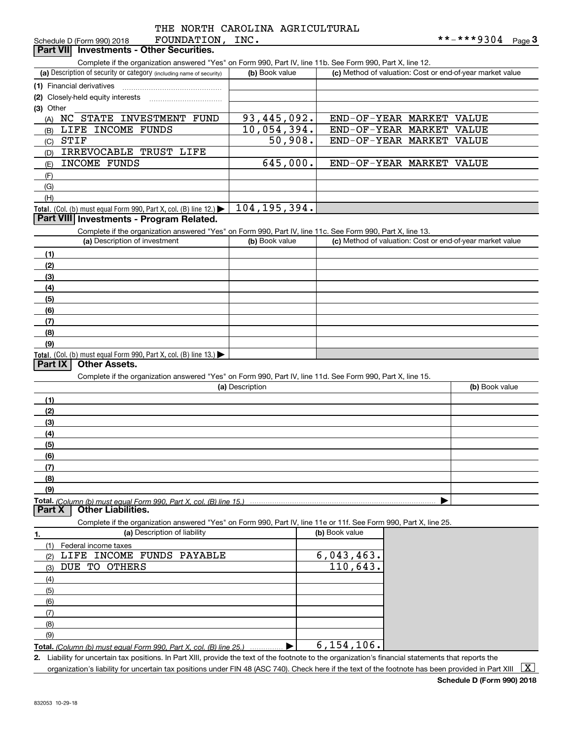| $m \wedge m \wedge m \wedge m \wedge n$ |  |  |
|-----------------------------------------|--|--|

| FOUNDATION,<br>Schedule D (Form 990) 2018                                                                                                   | INC.                        |                                                           | **-***9304<br>Page $3$ |
|---------------------------------------------------------------------------------------------------------------------------------------------|-----------------------------|-----------------------------------------------------------|------------------------|
| Part VII Investments - Other Securities.                                                                                                    |                             |                                                           |                        |
| Complete if the organization answered "Yes" on Form 990, Part IV, line 11b. See Form 990, Part X, line 12.                                  |                             |                                                           |                        |
| (a) Description of security or category (including name of security)                                                                        | (b) Book value              | (c) Method of valuation: Cost or end-of-year market value |                        |
| (1) Financial derivatives                                                                                                                   |                             |                                                           |                        |
|                                                                                                                                             |                             |                                                           |                        |
| (2) Closely-held equity interests                                                                                                           |                             |                                                           |                        |
| (3) Other                                                                                                                                   |                             |                                                           |                        |
| NC STATE INVESTMENT FUND<br>(A)                                                                                                             | $\overline{93}$ , 445, 092. | END-OF-YEAR MARKET                                        | <b>VALUE</b>           |
| LIFE INCOME FUNDS<br>(B)                                                                                                                    | 10,054,394.                 | END-OF-YEAR MARKET                                        | <b>VALUE</b>           |
| <b>STIF</b><br>(C)                                                                                                                          | 50,908.                     | END-OF-YEAR MARKET                                        | <b>VALUE</b>           |
| IRREVOCABLE TRUST LIFE<br>(D)                                                                                                               |                             |                                                           |                        |
| INCOME FUNDS<br>(E)                                                                                                                         | 645,000.                    | END-OF-YEAR MARKET VALUE                                  |                        |
| (F)                                                                                                                                         |                             |                                                           |                        |
| (G)                                                                                                                                         |                             |                                                           |                        |
| (H)                                                                                                                                         |                             |                                                           |                        |
| Total. (Col. (b) must equal Form 990, Part X, col. (B) line 12.)                                                                            | 104, 195, 394.              |                                                           |                        |
| Part VIII Investments - Program Related.                                                                                                    |                             |                                                           |                        |
|                                                                                                                                             |                             |                                                           |                        |
| Complete if the organization answered "Yes" on Form 990, Part IV, line 11c. See Form 990, Part X, line 13.<br>(a) Description of investment | (b) Book value              | (c) Method of valuation: Cost or end-of-year market value |                        |
|                                                                                                                                             |                             |                                                           |                        |
| (1)                                                                                                                                         |                             |                                                           |                        |
| (2)                                                                                                                                         |                             |                                                           |                        |
| (3)                                                                                                                                         |                             |                                                           |                        |
| (4)                                                                                                                                         |                             |                                                           |                        |
| (5)                                                                                                                                         |                             |                                                           |                        |
| (6)                                                                                                                                         |                             |                                                           |                        |
| (7)                                                                                                                                         |                             |                                                           |                        |
| (8)                                                                                                                                         |                             |                                                           |                        |
| (9)                                                                                                                                         |                             |                                                           |                        |
| Total. (Col. (b) must equal Form 990, Part X, col. (B) line 13.)                                                                            |                             |                                                           |                        |
| <b>Other Assets.</b><br>Part IX                                                                                                             |                             |                                                           |                        |
|                                                                                                                                             |                             |                                                           |                        |
| Complete if the organization answered "Yes" on Form 990, Part IV, line 11d. See Form 990, Part X, line 15.                                  |                             |                                                           |                        |
|                                                                                                                                             | (a) Description             |                                                           | (b) Book value         |
| (1)                                                                                                                                         |                             |                                                           |                        |
| (2)                                                                                                                                         |                             |                                                           |                        |
| (3)                                                                                                                                         |                             |                                                           |                        |
| (4)                                                                                                                                         |                             |                                                           |                        |
| (5)                                                                                                                                         |                             |                                                           |                        |
| (6)                                                                                                                                         |                             |                                                           |                        |
| (7)                                                                                                                                         |                             |                                                           |                        |
| (8)                                                                                                                                         |                             |                                                           |                        |
| (9)                                                                                                                                         |                             |                                                           |                        |
|                                                                                                                                             |                             |                                                           |                        |
| Total. (Column (b) must equal Form 990, Part X, col. (B) line 15.)<br>Part X<br><b>Other Liabilities.</b>                                   |                             |                                                           |                        |
|                                                                                                                                             |                             |                                                           |                        |
| Complete if the organization answered "Yes" on Form 990, Part IV, line 11e or 11f. See Form 990, Part X, line 25.                           |                             |                                                           |                        |
| (a) Description of liability<br>1.                                                                                                          |                             | (b) Book value                                            |                        |
| (1)<br>Federal income taxes                                                                                                                 |                             |                                                           |                        |
| LIFE INCOME FUNDS PAYABLE<br>(2)                                                                                                            |                             | 6,043,463.                                                |                        |
| DUE TO OTHERS<br>(3)                                                                                                                        |                             | 110,643.                                                  |                        |
| (4)                                                                                                                                         |                             |                                                           |                        |
| (5)                                                                                                                                         |                             |                                                           |                        |
| (6)                                                                                                                                         |                             |                                                           |                        |
|                                                                                                                                             |                             |                                                           |                        |
| (7)                                                                                                                                         |                             |                                                           |                        |
| (8)                                                                                                                                         |                             |                                                           |                        |
| (9)                                                                                                                                         |                             |                                                           |                        |
| Total. (Column (b) must equal Form 990, Part X, col. (B) line 25.)                                                                          |                             | 6, 154, 106.                                              |                        |
|                                                                                                                                             |                             |                                                           |                        |

**2.** Liability for uncertain tax positions. In Part XIII, provide the text of the footnote to the organization's financial statements that reports the organization's liability for uncertain tax positions under FIN 48 (ASC 740). Check here if the text of the footnote has been provided in Part XIII  $~\boxed{\rm X}$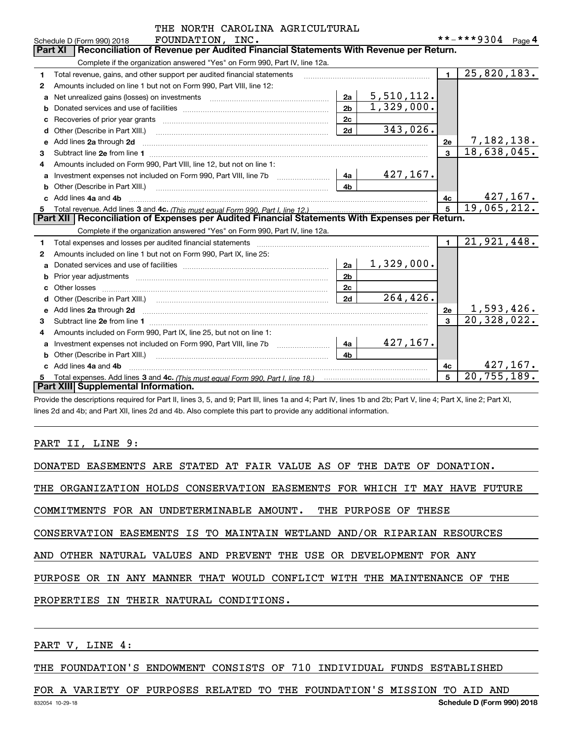|    | IAL NORIA CAROLINA AGRICULIURAL                                                                                                                                                                                                     |                |            |                |                             |  |
|----|-------------------------------------------------------------------------------------------------------------------------------------------------------------------------------------------------------------------------------------|----------------|------------|----------------|-----------------------------|--|
|    | FOUNDATION, INC.<br>Schedule D (Form 990) 2018<br>Reconciliation of Revenue per Audited Financial Statements With Revenue per Return.<br><b>Part XI</b>                                                                             |                |            |                | **-***9304 Page 4           |  |
|    |                                                                                                                                                                                                                                     |                |            |                |                             |  |
|    | Complete if the organization answered "Yes" on Form 990, Part IV, line 12a.                                                                                                                                                         |                |            |                |                             |  |
| 1. | Total revenue, gains, and other support per audited financial statements                                                                                                                                                            |                |            | $\blacksquare$ | 25,820,183.                 |  |
| 2  | Amounts included on line 1 but not on Form 990, Part VIII, line 12:                                                                                                                                                                 |                |            |                |                             |  |
| a  |                                                                                                                                                                                                                                     | 2a             | 5,510,112. |                |                             |  |
|    |                                                                                                                                                                                                                                     | 2 <sub>b</sub> | 1,329,000. |                |                             |  |
| c  |                                                                                                                                                                                                                                     | 2c             |            |                |                             |  |
| d  |                                                                                                                                                                                                                                     | 2d             | 343,026.   |                |                             |  |
|    | Add lines 2a through 2d                                                                                                                                                                                                             |                |            | 2e             | <u>7,182,138.</u>           |  |
| 3  |                                                                                                                                                                                                                                     |                |            | $\mathbf{a}$   | 18,638,045.                 |  |
| 4  | Amounts included on Form 990, Part VIII, line 12, but not on line 1:                                                                                                                                                                |                |            |                |                             |  |
|    |                                                                                                                                                                                                                                     | 4a             | 427,167.   |                |                             |  |
|    |                                                                                                                                                                                                                                     | 4 <sub>b</sub> |            |                |                             |  |
| C. | Add lines 4a and 4b                                                                                                                                                                                                                 |                |            | 4c             | 427,167.                    |  |
|    |                                                                                                                                                                                                                                     |                |            |                | 19,065,212.                 |  |
|    | Part XII   Reconciliation of Expenses per Audited Financial Statements With Expenses per Return.                                                                                                                                    |                |            |                |                             |  |
|    | Complete if the organization answered "Yes" on Form 990, Part IV, line 12a.                                                                                                                                                         |                |            |                |                             |  |
| 1. | Total expenses and losses per audited financial statements                                                                                                                                                                          |                |            | $\blacksquare$ | 21,921,448.                 |  |
| 2  | Amounts included on line 1 but not on Form 990, Part IX, line 25:                                                                                                                                                                   |                |            |                |                             |  |
| a  |                                                                                                                                                                                                                                     | 2a             | 1,329,000. |                |                             |  |
| b  |                                                                                                                                                                                                                                     | 2 <sub>b</sub> |            |                |                             |  |
|    |                                                                                                                                                                                                                                     | 2 <sub>c</sub> |            |                |                             |  |
|    |                                                                                                                                                                                                                                     | 2d             | 264,426.   |                |                             |  |
| e  | Add lines 2a through 2d <b>contained a contained a contained a contained a</b> contained a contained a contained a contained a contained a contained a contained a contained a contained a contained a contained a contained a cont |                |            | 2e             | 1,593,426.                  |  |
| 3  |                                                                                                                                                                                                                                     |                |            | 3              | 20, 328, 022.               |  |
| 4  | Amounts included on Form 990, Part IX, line 25, but not on line 1:                                                                                                                                                                  |                |            |                |                             |  |
| a  | Investment expenses not included on Form 990, Part VIII, line 7b [1000000000000000000000000000000000                                                                                                                                | 4a             | 427, 167.  |                |                             |  |
| b  |                                                                                                                                                                                                                                     | 4 <sub>h</sub> |            |                |                             |  |
|    | Add lines 4a and 4b                                                                                                                                                                                                                 |                |            | 4c             | 427, 167.                   |  |
| 5  |                                                                                                                                                                                                                                     |                |            | 5              | $\overline{20}$ , 755, 189. |  |
|    | Part XIII Supplemental Information.                                                                                                                                                                                                 |                |            |                |                             |  |

CAROLINA AGRICULTURAL

Provide the descriptions required for Part II, lines 3, 5, and 9; Part III, lines 1a and 4; Part IV, lines 1b and 2b; Part V, line 4; Part X, line 2; Part XI, lines 2d and 4b; and Part XII, lines 2d and 4b. Also complete this part to provide any additional information.

# PART II, LINE 9:

|  |  |  |  |  |  |  |  |  |  |  |  | DONATED EASEMENTS ARE STATED AT FAIR VALUE AS OF THE DATE OF DONATION. |  |
|--|--|--|--|--|--|--|--|--|--|--|--|------------------------------------------------------------------------|--|
|--|--|--|--|--|--|--|--|--|--|--|--|------------------------------------------------------------------------|--|

THE ORGANIZATION HOLDS CONSERVATION EASEMENTS FOR WHICH IT MAY HAVE FUTURE

COMMITMENTS FOR AN UNDETERMINABLE AMOUNT. THE PURPOSE OF THESE

CONSERVATION EASEMENTS IS TO MAINTAIN WETLAND AND/OR RIPARIAN RESOURCES

AND OTHER NATURAL VALUES AND PREVENT THE USE OR DEVELOPMENT FOR ANY

PURPOSE OR IN ANY MANNER THAT WOULD CONFLICT WITH THE MAINTENANCE OF THE

PROPERTIES IN THEIR NATURAL CONDITIONS.

PART V, LINE 4:

THE FOUNDATION'S ENDOWMENT CONSISTS OF 710 INDIVIDUAL FUNDS ESTABLISHED

FOR A VARIETY OF PURPOSES RELATED TO THE FOUNDATION'S MISSION TO AID AND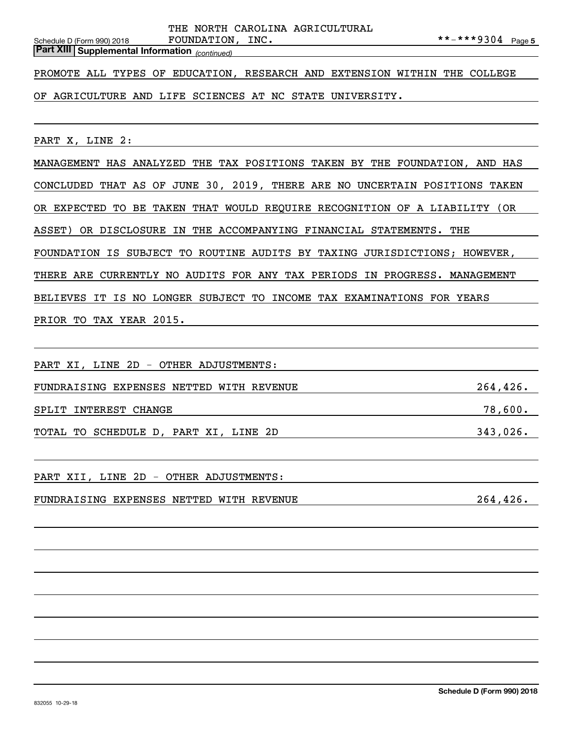*(continued)* **Part XIII Supplemental Information** 

PROMOTE ALL TYPES OF EDUCATION, RESEARCH AND EXTENSION WITHIN THE COLLEGE

OF AGRICULTURE AND LIFE SCIENCES AT NC STATE UNIVERSITY.

PART X, LINE 2:

MANAGEMENT HAS ANALYZED THE TAX POSITIONS TAKEN BY THE FOUNDATION, AND HAS CONCLUDED THAT AS OF JUNE 30, 2019, THERE ARE NO UNCERTAIN POSITIONS TAKEN OR EXPECTED TO BE TAKEN THAT WOULD REQUIRE RECOGNITION OF A LIABILITY (OR ASSET) OR DISCLOSURE IN THE ACCOMPANYING FINANCIAL STATEMENTS. THE FOUNDATION IS SUBJECT TO ROUTINE AUDITS BY TAXING JURISDICTIONS; HOWEVER, THERE ARE CURRENTLY NO AUDITS FOR ANY TAX PERIODS IN PROGRESS. MANAGEMENT BELIEVES IT IS NO LONGER SUBJECT TO INCOME TAX EXAMINATIONS FOR YEARS PRIOR TO TAX YEAR 2015.

PART XI, LINE 2D - OTHER ADJUSTMENTS:

FUNDRAISING EXPENSES NETTED WITH REVENUE 264,426. SPLIT INTEREST CHANGE **1999** THE SERVICE SPLIT INTEREST CHANGE

TOTAL TO SCHEDULE D, PART XI, LINE 2D 343,026.

PART XII, LINE 2D - OTHER ADJUSTMENTS:

FUNDRAISING EXPENSES NETTED WITH REVENUE 264,426.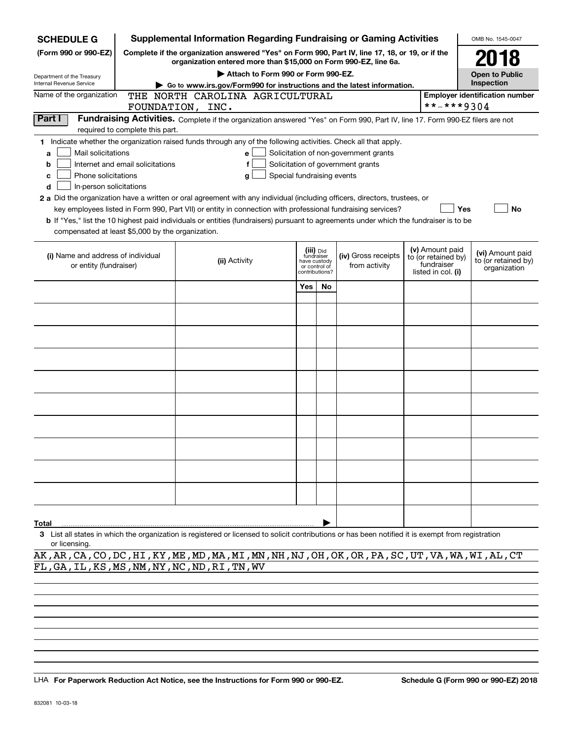| Complete if the organization answered "Yes" on Form 990, Part IV, line 17, 18, or 19, or if the<br>(Form 990 or 990-EZ)<br>organization entered more than \$15,000 on Form 990-EZ, line 6a. |                                                                            |                                       |                                                                            |                                                         |  |  |  |  |  |  |
|---------------------------------------------------------------------------------------------------------------------------------------------------------------------------------------------|----------------------------------------------------------------------------|---------------------------------------|----------------------------------------------------------------------------|---------------------------------------------------------|--|--|--|--|--|--|
|                                                                                                                                                                                             |                                                                            |                                       |                                                                            | 2018                                                    |  |  |  |  |  |  |
| Department of the Treasury                                                                                                                                                                  |                                                                            | Attach to Form 990 or Form 990-EZ.    |                                                                            |                                                         |  |  |  |  |  |  |
| Internal Revenue Service<br>Go to www.irs.gov/Form990 for instructions and the latest information.                                                                                          |                                                                            |                                       |                                                                            | Inspection                                              |  |  |  |  |  |  |
| Name of the organization<br>THE NORTH CAROLINA AGRICULTURAL                                                                                                                                 |                                                                            |                                       |                                                                            | <b>Employer identification number</b>                   |  |  |  |  |  |  |
| FOUNDATION, INC.                                                                                                                                                                            |                                                                            |                                       | **-***9304                                                                 |                                                         |  |  |  |  |  |  |
| Part I<br>Fundraising Activities. Complete if the organization answered "Yes" on Form 990, Part IV, line 17. Form 990-EZ filers are not<br>required to complete this part.                  |                                                                            |                                       |                                                                            |                                                         |  |  |  |  |  |  |
| 1 Indicate whether the organization raised funds through any of the following activities. Check all that apply.                                                                             |                                                                            |                                       |                                                                            |                                                         |  |  |  |  |  |  |
| Mail solicitations<br>a<br>e                                                                                                                                                                |                                                                            | Solicitation of non-government grants |                                                                            |                                                         |  |  |  |  |  |  |
| Internet and email solicitations<br>Solicitation of government grants<br>b                                                                                                                  |                                                                            |                                       |                                                                            |                                                         |  |  |  |  |  |  |
| Phone solicitations<br>Special fundraising events<br>c<br>g                                                                                                                                 |                                                                            |                                       |                                                                            |                                                         |  |  |  |  |  |  |
| In-person solicitations<br>d                                                                                                                                                                |                                                                            |                                       |                                                                            |                                                         |  |  |  |  |  |  |
| 2 a Did the organization have a written or oral agreement with any individual (including officers, directors, trustees, or                                                                  |                                                                            |                                       |                                                                            |                                                         |  |  |  |  |  |  |
| key employees listed in Form 990, Part VII) or entity in connection with professional fundraising services?                                                                                 |                                                                            |                                       |                                                                            | Yes<br>No                                               |  |  |  |  |  |  |
| <b>b</b> If "Yes," list the 10 highest paid individuals or entities (fundraisers) pursuant to agreements under which the fundraiser is to be                                                |                                                                            |                                       |                                                                            |                                                         |  |  |  |  |  |  |
| compensated at least \$5,000 by the organization.                                                                                                                                           |                                                                            |                                       |                                                                            |                                                         |  |  |  |  |  |  |
| (i) Name and address of individual<br>(ii) Activity<br>or entity (fundraiser)                                                                                                               | (iii) Did<br>fundraiser<br>have custody<br>or control of<br>contributions? | (iv) Gross receipts<br>from activity  | (v) Amount paid<br>to (or retained by)<br>fundraiser<br>listed in col. (i) | (vi) Amount paid<br>to (or retained by)<br>organization |  |  |  |  |  |  |
| Yes                                                                                                                                                                                         | No.                                                                        |                                       |                                                                            |                                                         |  |  |  |  |  |  |
|                                                                                                                                                                                             |                                                                            |                                       |                                                                            |                                                         |  |  |  |  |  |  |
|                                                                                                                                                                                             |                                                                            |                                       |                                                                            |                                                         |  |  |  |  |  |  |
|                                                                                                                                                                                             |                                                                            |                                       |                                                                            |                                                         |  |  |  |  |  |  |
|                                                                                                                                                                                             |                                                                            |                                       |                                                                            |                                                         |  |  |  |  |  |  |
|                                                                                                                                                                                             |                                                                            |                                       |                                                                            |                                                         |  |  |  |  |  |  |
|                                                                                                                                                                                             |                                                                            |                                       |                                                                            |                                                         |  |  |  |  |  |  |
|                                                                                                                                                                                             |                                                                            |                                       |                                                                            |                                                         |  |  |  |  |  |  |
|                                                                                                                                                                                             |                                                                            |                                       |                                                                            |                                                         |  |  |  |  |  |  |
|                                                                                                                                                                                             |                                                                            |                                       |                                                                            |                                                         |  |  |  |  |  |  |
|                                                                                                                                                                                             |                                                                            |                                       |                                                                            |                                                         |  |  |  |  |  |  |
|                                                                                                                                                                                             |                                                                            |                                       |                                                                            |                                                         |  |  |  |  |  |  |
|                                                                                                                                                                                             |                                                                            |                                       |                                                                            |                                                         |  |  |  |  |  |  |
| Total<br>3 List all states in which the organization is registered or licensed to solicit contributions or has been notified it is exempt from registration                                 |                                                                            |                                       |                                                                            |                                                         |  |  |  |  |  |  |

or licensing.

AK,AR,CA,CO,DC,HI,KY,ME,MD,MA,MI,MN,NH,NJ,OH,OK,OR,PA,SC,UT,VA,WA,WI,AL,CT FL,GA,IL,KS,MS,NM,NY,NC,ND,RI,TN,WV

LHA For Paperwork Reduction Act Notice, see the Instructions for Form 990 or 990-EZ. Schedule G (Form 990 or 990-EZ) 2018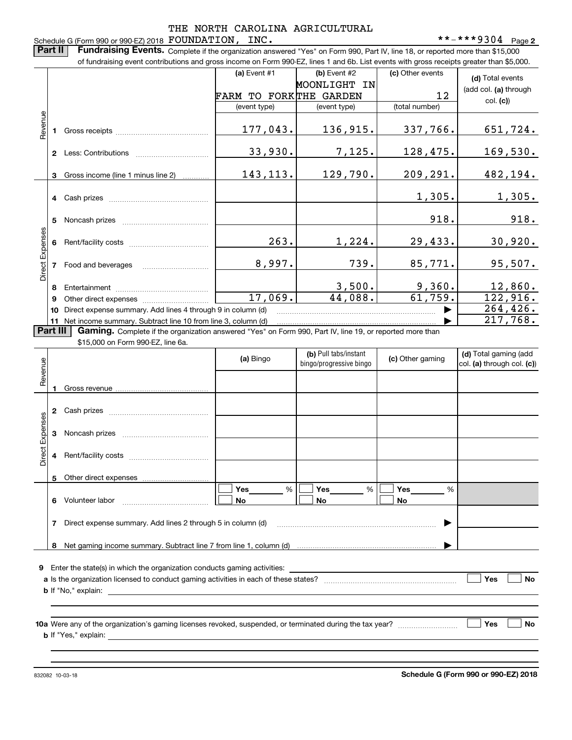## Schedule G (Form 990 or 990-EZ) 2018  ${\hbox{FOUNDATION}}$  ,  ${\hbox{INC}}$  .  ${\hbox{---}}$   $\hbox{---}$   $\hbox{---}$   $\hbox{---}$   $\hbox{---}$   $\hbox{---}$   $\hbox{---}$   $\hbox{---}$   $\hbox{---}$   $\hbox{---}$   $\hbox{---}$   $\hbox{---}$   $\hbox{---}$   $\hbox{---}$   $\hbox{---}$   $\hbox{---}$   $\hbox{---}$   $\hbox{---}$ THE NORTH CAROLINA AGRICULTURAL

**2**

**Part II** | Fundraising Events. Complete if the organization answered "Yes" on Form 990, Part IV, line 18, or reported more than \$15,000

|                        | of fundraising event contributions and gross income on Form 990-EZ, lines 1 and 6b. List events with gross receipts greater than \$5,000. |                                                                                                                                                                             |                        |                                                  |                  |                            |  |  |  |  |
|------------------------|-------------------------------------------------------------------------------------------------------------------------------------------|-----------------------------------------------------------------------------------------------------------------------------------------------------------------------------|------------------------|--------------------------------------------------|------------------|----------------------------|--|--|--|--|
|                        |                                                                                                                                           |                                                                                                                                                                             | (a) Event #1           | (b) Event #2                                     | (c) Other events | (d) Total events           |  |  |  |  |
|                        |                                                                                                                                           |                                                                                                                                                                             |                        | MOONLIGHT IN                                     |                  |                            |  |  |  |  |
|                        |                                                                                                                                           |                                                                                                                                                                             | FARM TO FORKTHE GARDEN |                                                  | 12               | (add col. (a) through      |  |  |  |  |
|                        |                                                                                                                                           |                                                                                                                                                                             | (event type)           | (event type)                                     | (total number)   | col. (c)                   |  |  |  |  |
|                        |                                                                                                                                           |                                                                                                                                                                             |                        |                                                  |                  |                            |  |  |  |  |
| Revenue                |                                                                                                                                           |                                                                                                                                                                             | 177,043.               | 136,915.                                         | 337,766.         | 651,724.                   |  |  |  |  |
|                        |                                                                                                                                           |                                                                                                                                                                             |                        |                                                  |                  |                            |  |  |  |  |
|                        |                                                                                                                                           |                                                                                                                                                                             | 33,930.                | 7,125.                                           | 128,475.         | <u>169,530.</u>            |  |  |  |  |
|                        |                                                                                                                                           |                                                                                                                                                                             |                        |                                                  |                  |                            |  |  |  |  |
|                        | 3                                                                                                                                         | Gross income (line 1 minus line 2)                                                                                                                                          | 143, 113.              | 129,790.                                         | 209,291.         | 482, 194.                  |  |  |  |  |
|                        |                                                                                                                                           |                                                                                                                                                                             |                        |                                                  |                  |                            |  |  |  |  |
|                        |                                                                                                                                           |                                                                                                                                                                             |                        |                                                  | 1,305.           | 1,305.                     |  |  |  |  |
|                        |                                                                                                                                           |                                                                                                                                                                             |                        |                                                  |                  |                            |  |  |  |  |
|                        | 5                                                                                                                                         |                                                                                                                                                                             |                        |                                                  | 918.             | 918.                       |  |  |  |  |
|                        |                                                                                                                                           |                                                                                                                                                                             |                        |                                                  |                  |                            |  |  |  |  |
|                        | 6                                                                                                                                         |                                                                                                                                                                             | 263.                   | 1,224.                                           | 29,433.          | 30,920.                    |  |  |  |  |
| Direct Expenses        |                                                                                                                                           |                                                                                                                                                                             |                        |                                                  |                  |                            |  |  |  |  |
|                        |                                                                                                                                           | 7 Food and beverages                                                                                                                                                        | 8,997.                 | 739.                                             | 85,771.          | 95,507.                    |  |  |  |  |
|                        |                                                                                                                                           |                                                                                                                                                                             |                        |                                                  | 9,360.           |                            |  |  |  |  |
|                        | 8                                                                                                                                         |                                                                                                                                                                             | 17,069.                | 3,500.<br>44,088.                                | 61,759.          | 12,860.<br>122,916.        |  |  |  |  |
|                        | 9                                                                                                                                         |                                                                                                                                                                             |                        |                                                  |                  | 264, 426.                  |  |  |  |  |
|                        |                                                                                                                                           | 10 Direct expense summary. Add lines 4 through 9 in column (d)                                                                                                              |                        |                                                  | ▶                | 217,768.                   |  |  |  |  |
| Part III               |                                                                                                                                           | 11 Net income summary. Subtract line 10 from line 3, column (d)<br>Gaming. Complete if the organization answered "Yes" on Form 990, Part IV, line 19, or reported more than |                        |                                                  |                  |                            |  |  |  |  |
|                        |                                                                                                                                           | \$15,000 on Form 990-EZ, line 6a.                                                                                                                                           |                        |                                                  |                  |                            |  |  |  |  |
|                        |                                                                                                                                           |                                                                                                                                                                             |                        | (d) Total gaming (add                            |                  |                            |  |  |  |  |
| Revenue                |                                                                                                                                           |                                                                                                                                                                             | (a) Bingo              | (b) Pull tabs/instant<br>bingo/progressive bingo | (c) Other gaming | col. (a) through col. (c)) |  |  |  |  |
|                        |                                                                                                                                           |                                                                                                                                                                             |                        |                                                  |                  |                            |  |  |  |  |
|                        | 1.                                                                                                                                        |                                                                                                                                                                             |                        |                                                  |                  |                            |  |  |  |  |
|                        |                                                                                                                                           |                                                                                                                                                                             |                        |                                                  |                  |                            |  |  |  |  |
|                        |                                                                                                                                           |                                                                                                                                                                             |                        |                                                  |                  |                            |  |  |  |  |
|                        |                                                                                                                                           |                                                                                                                                                                             |                        |                                                  |                  |                            |  |  |  |  |
|                        |                                                                                                                                           |                                                                                                                                                                             |                        |                                                  |                  |                            |  |  |  |  |
|                        |                                                                                                                                           |                                                                                                                                                                             |                        |                                                  |                  |                            |  |  |  |  |
| <b>Direct Expenses</b> | 4                                                                                                                                         |                                                                                                                                                                             |                        |                                                  |                  |                            |  |  |  |  |
|                        |                                                                                                                                           |                                                                                                                                                                             |                        |                                                  |                  |                            |  |  |  |  |
|                        |                                                                                                                                           |                                                                                                                                                                             |                        |                                                  |                  |                            |  |  |  |  |
|                        |                                                                                                                                           |                                                                                                                                                                             | Yes<br>%               | Yes<br>$\%$                                      | Yes<br>%         |                            |  |  |  |  |
|                        |                                                                                                                                           | 6 Volunteer labor                                                                                                                                                           | No                     | <b>No</b>                                        | <b>No</b>        |                            |  |  |  |  |
|                        |                                                                                                                                           |                                                                                                                                                                             |                        |                                                  |                  |                            |  |  |  |  |
|                        |                                                                                                                                           | 7 Direct expense summary. Add lines 2 through 5 in column (d)                                                                                                               |                        |                                                  |                  |                            |  |  |  |  |
|                        |                                                                                                                                           |                                                                                                                                                                             |                        |                                                  |                  |                            |  |  |  |  |

**9**Enter the state(s) in which the organization conducts gaming activities:

| a Is the organization licensed to conduct gaming activities in each of these states? |  | <b>Yes</b> | No |
|--------------------------------------------------------------------------------------|--|------------|----|
| <b>b</b> If "No," explain:                                                           |  |            |    |

**10 a Yes No** Were any of the organization's gaming licenses revoked, suspended, or terminated during the tax year? ~~~~~~~~~ **b** If "Yes," explain:

**8**Net gaming income summary. Subtract line 7 from line 1, column (d) |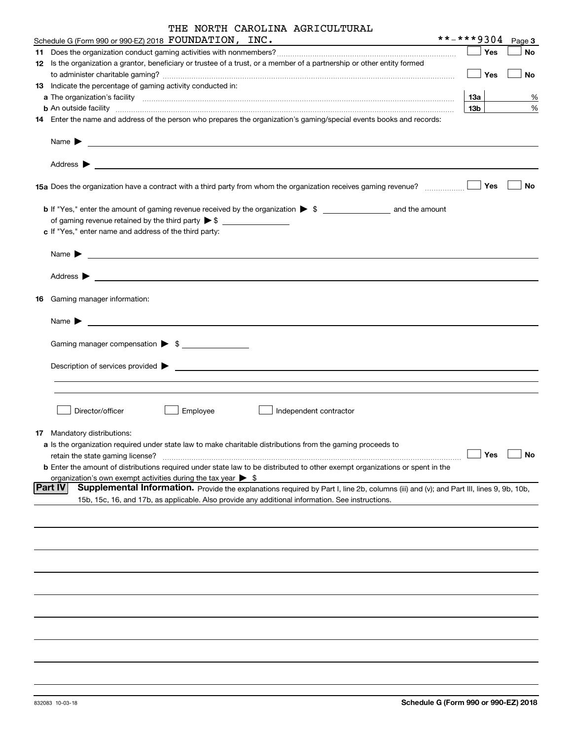| THE NORTH CAROLINA AGRICULTURAL |  |
|---------------------------------|--|
|---------------------------------|--|

| Schedule G (Form 990 or 99 <u>0-EZ) 2018</u> $\hbox{\tt FOUNDATION}$ , $\hbox{\tt INC.}$                                                                                                                                                                     | **-***9304 |             |            | Page 3    |
|--------------------------------------------------------------------------------------------------------------------------------------------------------------------------------------------------------------------------------------------------------------|------------|-------------|------------|-----------|
|                                                                                                                                                                                                                                                              |            |             | Yes        | No        |
| 12 Is the organization a grantor, beneficiary or trustee of a trust, or a member of a partnership or other entity formed                                                                                                                                     |            |             |            |           |
|                                                                                                                                                                                                                                                              |            | $\vert$ Yes |            | No        |
| 13 Indicate the percentage of gaming activity conducted in:                                                                                                                                                                                                  |            |             |            |           |
|                                                                                                                                                                                                                                                              |            | 13а         |            | %         |
| <b>b</b> An outside facility <i>www.communicality www.communicality.communicality www.communicality www.communicality.communicality www.communicality.com</i>                                                                                                |            | 13b         |            | $\%$      |
| 14 Enter the name and address of the person who prepares the organization's gaming/special events books and records:                                                                                                                                         |            |             |            |           |
|                                                                                                                                                                                                                                                              |            |             |            |           |
|                                                                                                                                                                                                                                                              |            |             |            | No        |
| <b>b</b> If "Yes," enter the amount of gaming revenue received by the organization $\triangleright$ \$<br>c If "Yes," enter name and address of the third party:                                                                                             |            |             |            |           |
|                                                                                                                                                                                                                                                              |            |             |            |           |
|                                                                                                                                                                                                                                                              |            |             |            |           |
|                                                                                                                                                                                                                                                              |            |             |            |           |
| 16 Gaming manager information:                                                                                                                                                                                                                               |            |             |            |           |
| <u> 1989 - Johann Barbara, martin amerikan basal dan berasal dan berasal dalam basal dan berasal dan berasal dan</u><br>Name $\blacktriangleright$                                                                                                           |            |             |            |           |
| Gaming manager compensation > \$                                                                                                                                                                                                                             |            |             |            |           |
| $\blacksquare$ Description of services provided $\blacktriangleright$                                                                                                                                                                                        |            |             |            |           |
|                                                                                                                                                                                                                                                              |            |             |            |           |
| Director/officer<br>Employee<br>Independent contractor                                                                                                                                                                                                       |            |             |            |           |
| 17 Mandatory distributions:                                                                                                                                                                                                                                  |            |             |            |           |
| a Is the organization required under state law to make charitable distributions from the gaming proceeds to<br>retain the state gaming license?                                                                                                              |            |             | $\Box$ Yes | $\Box$ No |
| <b>b</b> Enter the amount of distributions required under state law to be distributed to other exempt organizations or spent in the<br>organization's own exempt activities during the tax year $\triangleright$ \$                                          |            |             |            |           |
| <b>Part IV</b><br>Supplemental Information. Provide the explanations required by Part I, line 2b, columns (iii) and (v); and Part III, lines 9, 9b, 10b,<br>15b, 15c, 16, and 17b, as applicable. Also provide any additional information. See instructions. |            |             |            |           |
|                                                                                                                                                                                                                                                              |            |             |            |           |
|                                                                                                                                                                                                                                                              |            |             |            |           |
|                                                                                                                                                                                                                                                              |            |             |            |           |
|                                                                                                                                                                                                                                                              |            |             |            |           |
|                                                                                                                                                                                                                                                              |            |             |            |           |
|                                                                                                                                                                                                                                                              |            |             |            |           |
|                                                                                                                                                                                                                                                              |            |             |            |           |
|                                                                                                                                                                                                                                                              |            |             |            |           |
|                                                                                                                                                                                                                                                              |            |             |            |           |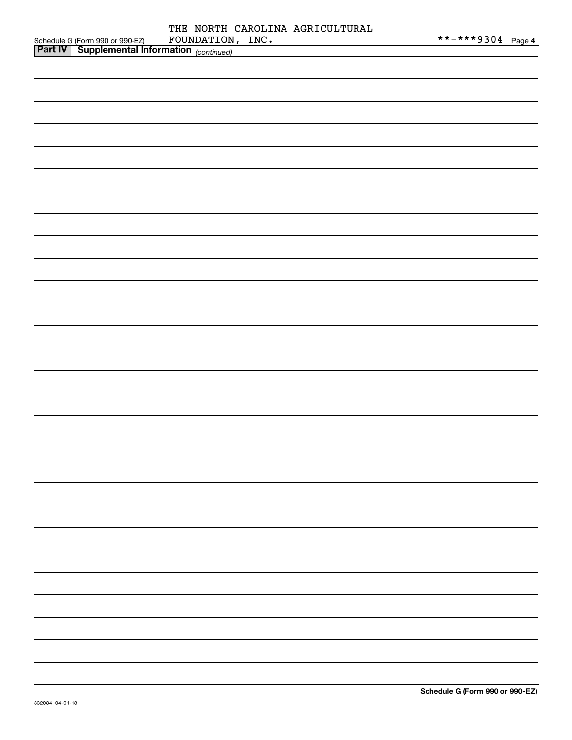| <b>Part IV</b><br>$\blacksquare$ Supplemental Information $\langle \ldots \rangle$ |             |            |                                 |                   |  |
|------------------------------------------------------------------------------------|-------------|------------|---------------------------------|-------------------|--|
| Schedule G (Form 990 or 990-EZ)                                                    | FOUNDATION, | $\_$ INC . |                                 | **-***9304 Page 4 |  |
|                                                                                    |             |            | THE NORTH CAROLINA AGRICULTURAL |                   |  |

|                                                     | <u>i ayu t</u> |
|-----------------------------------------------------|----------------|
| <b>Part IV Supplemental Information</b> (continued) |                |
|                                                     |                |
|                                                     |                |
|                                                     |                |
|                                                     |                |
|                                                     |                |
|                                                     |                |
|                                                     |                |
|                                                     |                |
|                                                     |                |
|                                                     |                |
|                                                     |                |
|                                                     |                |
|                                                     |                |
|                                                     |                |
|                                                     |                |
|                                                     |                |
|                                                     |                |
|                                                     |                |
|                                                     |                |
|                                                     |                |
|                                                     |                |
|                                                     |                |
|                                                     |                |
|                                                     |                |
|                                                     |                |
|                                                     |                |
|                                                     |                |
|                                                     |                |
|                                                     |                |
|                                                     |                |
|                                                     |                |
|                                                     |                |
|                                                     |                |
|                                                     |                |
|                                                     |                |
|                                                     |                |
|                                                     |                |
|                                                     |                |
|                                                     |                |
|                                                     |                |
|                                                     |                |
|                                                     |                |
|                                                     |                |
|                                                     |                |
|                                                     |                |
|                                                     |                |
|                                                     |                |
|                                                     |                |
|                                                     |                |
|                                                     |                |
|                                                     |                |
|                                                     |                |
|                                                     |                |
|                                                     |                |
|                                                     |                |
|                                                     |                |
|                                                     |                |
|                                                     |                |
|                                                     |                |
|                                                     |                |
|                                                     |                |
|                                                     |                |
|                                                     |                |
|                                                     |                |
|                                                     |                |
|                                                     |                |
|                                                     |                |
|                                                     |                |
|                                                     |                |
|                                                     |                |
|                                                     |                |
|                                                     |                |
|                                                     |                |
|                                                     |                |
|                                                     |                |
|                                                     |                |
|                                                     |                |
|                                                     |                |
|                                                     |                |
|                                                     |                |
|                                                     |                |
|                                                     |                |
|                                                     |                |
|                                                     |                |
|                                                     |                |
|                                                     |                |
|                                                     |                |
|                                                     |                |
|                                                     |                |
|                                                     |                |
|                                                     |                |
|                                                     |                |
|                                                     |                |
|                                                     |                |
|                                                     |                |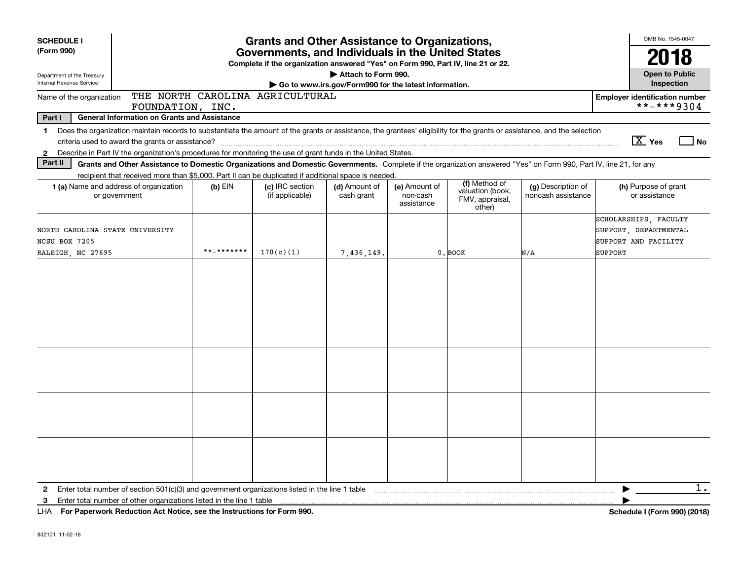| <b>SCHEDULE I</b><br>(Form 990)<br>Department of the Treasury<br><b>Internal Revenue Service</b> | <b>Grants and Other Assistance to Organizations,</b><br>Governments, and Individuals in the United States<br>Complete if the organization answered "Yes" on Form 990, Part IV, line 21 or 22.<br>Attach to Form 990.<br>Go to www.irs.gov/Form990 for the latest information.                                                                    |            |                                    |                             |                                         |                                                                |                                          |                                                                                   |  |
|--------------------------------------------------------------------------------------------------|--------------------------------------------------------------------------------------------------------------------------------------------------------------------------------------------------------------------------------------------------------------------------------------------------------------------------------------------------|------------|------------------------------------|-----------------------------|-----------------------------------------|----------------------------------------------------------------|------------------------------------------|-----------------------------------------------------------------------------------|--|
| Name of the organization                                                                         |                                                                                                                                                                                                                                                                                                                                                  |            | THE NORTH CAROLINA AGRICULTURAL    |                             |                                         |                                                                |                                          | Inspection<br><b>Employer identification number</b>                               |  |
|                                                                                                  | FOUNDATION, INC.                                                                                                                                                                                                                                                                                                                                 |            |                                    |                             |                                         |                                                                |                                          | **-***9304                                                                        |  |
| Part I<br>$\mathbf 1$<br>$\mathbf{2}$                                                            | <b>General Information on Grants and Assistance</b><br>Does the organization maintain records to substantiate the amount of the grants or assistance, the grantees' eligibility for the grants or assistance, and the selection<br>Describe in Part IV the organization's procedures for monitoring the use of grant funds in the United States. |            |                                    |                             |                                         |                                                                |                                          | $\boxed{\text{X}}$ Yes<br>  No                                                    |  |
| Part II                                                                                          | Grants and Other Assistance to Domestic Organizations and Domestic Governments. Complete if the organization answered "Yes" on Form 990, Part IV, line 21, for any<br>recipient that received more than \$5,000. Part II can be duplicated if additional space is needed.                                                                        |            |                                    |                             |                                         |                                                                |                                          |                                                                                   |  |
|                                                                                                  | 1 (a) Name and address of organization<br>or government                                                                                                                                                                                                                                                                                          | $(b)$ EIN  | (c) IRC section<br>(if applicable) | (d) Amount of<br>cash grant | (e) Amount of<br>non-cash<br>assistance | (f) Method of<br>valuation (book,<br>FMV, appraisal,<br>other) | (g) Description of<br>noncash assistance | (h) Purpose of grant<br>or assistance                                             |  |
| NORTH CAROLINA STATE UNIVERSITY<br>NCSU BOX 7205<br>RALEIGH, NC 27695                            |                                                                                                                                                                                                                                                                                                                                                  | **_******* | 170(c)(1)                          | 7,436,149                   |                                         | 0. BOOK                                                        | N/A                                      | SCHOLARSHIPS, FACULTY<br>SUPPORT, DEPARTMENTAL<br>SUPPORT AND FACILITY<br>SUPPORT |  |
|                                                                                                  |                                                                                                                                                                                                                                                                                                                                                  |            |                                    |                             |                                         |                                                                |                                          |                                                                                   |  |
|                                                                                                  |                                                                                                                                                                                                                                                                                                                                                  |            |                                    |                             |                                         |                                                                |                                          |                                                                                   |  |
|                                                                                                  |                                                                                                                                                                                                                                                                                                                                                  |            |                                    |                             |                                         |                                                                |                                          |                                                                                   |  |
|                                                                                                  |                                                                                                                                                                                                                                                                                                                                                  |            |                                    |                             |                                         |                                                                |                                          |                                                                                   |  |
|                                                                                                  |                                                                                                                                                                                                                                                                                                                                                  |            |                                    |                             |                                         |                                                                |                                          |                                                                                   |  |
| $\mathbf{2}$                                                                                     | Enter total number of section 501(c)(3) and government organizations listed in the line 1 table                                                                                                                                                                                                                                                  |            |                                    |                             |                                         |                                                                |                                          | $1$ .                                                                             |  |
| 3                                                                                                | Enter total number of other organizations listed in the line 1 table<br>LHA For Paperwork Reduction Act Notice, see the Instructions for Form 990.                                                                                                                                                                                               |            |                                    |                             |                                         |                                                                |                                          | Schedule I (Form 990) (2018)                                                      |  |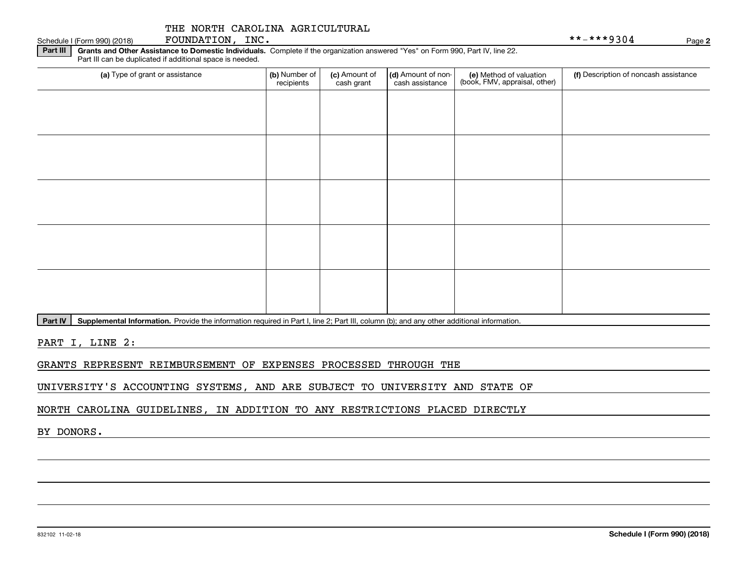| Part III | Grants and Other Assistance to Domestic Individuals. Complete if the organization answered "Yes" on Form 990, Part IV, line 22.<br>Part III can be duplicated if additional space is needed. |                             |                             |                                       |                                                          |                                       |  |
|----------|----------------------------------------------------------------------------------------------------------------------------------------------------------------------------------------------|-----------------------------|-----------------------------|---------------------------------------|----------------------------------------------------------|---------------------------------------|--|
|          | (a) Type of grant or assistance                                                                                                                                                              | (b) Number of<br>recipients | (c) Amount of<br>cash grant | (d) Amount of non-<br>cash assistance | (e) Method of valuation<br>(book, FMV, appraisal, other) | (f) Description of noncash assistance |  |
|          |                                                                                                                                                                                              |                             |                             |                                       |                                                          |                                       |  |
|          |                                                                                                                                                                                              |                             |                             |                                       |                                                          |                                       |  |
|          |                                                                                                                                                                                              |                             |                             |                                       |                                                          |                                       |  |
|          |                                                                                                                                                                                              |                             |                             |                                       |                                                          |                                       |  |
|          |                                                                                                                                                                                              |                             |                             |                                       |                                                          |                                       |  |
|          |                                                                                                                                                                                              |                             |                             |                                       |                                                          |                                       |  |
|          |                                                                                                                                                                                              |                             |                             |                                       |                                                          |                                       |  |
|          |                                                                                                                                                                                              |                             |                             |                                       |                                                          |                                       |  |
|          |                                                                                                                                                                                              |                             |                             |                                       |                                                          |                                       |  |
|          |                                                                                                                                                                                              |                             |                             |                                       |                                                          |                                       |  |

Part IV | Supplemental Information. Provide the information required in Part I, line 2; Part III, column (b); and any other additional information.

PART I, LINE 2:

GRANTS REPRESENT REIMBURSEMENT OF EXPENSES PROCESSED THROUGH THE

UNIVERSITY'S ACCOUNTING SYSTEMS, AND ARE SUBJECT TO UNIVERSITY AND STATE OF

NORTH CAROLINA GUIDELINES, IN ADDITION TO ANY RESTRICTIONS PLACED DIRECTLY

BY DONORS.

Schedule I (Form 990) (2018)  ${\hbox{FOUNDATION}}$  ,  $\hbox{INC.}$   $\hbox{NCC.}$ 

**2**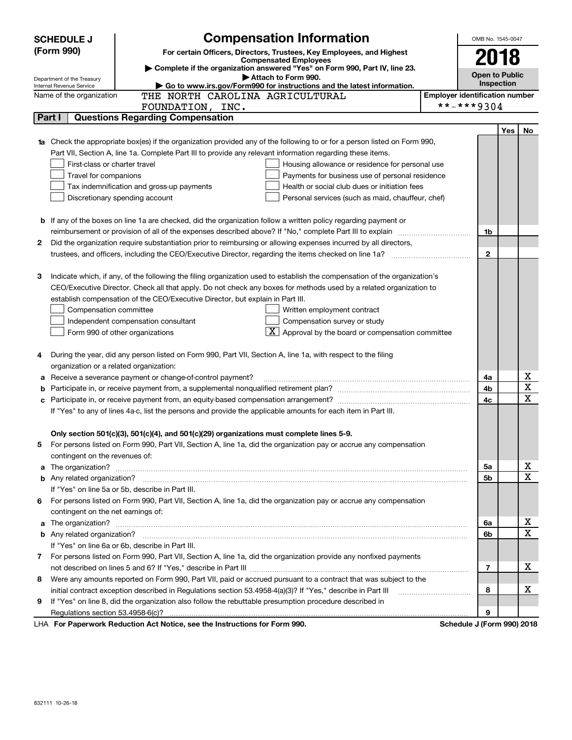|                                                                                                                                  | <b>SCHEDULE J</b>                                                                                                   |                                                                                                                                                                                                                                                 | OMB No. 1545-0047                     |              |     |             |  |  |  |  |
|----------------------------------------------------------------------------------------------------------------------------------|---------------------------------------------------------------------------------------------------------------------|-------------------------------------------------------------------------------------------------------------------------------------------------------------------------------------------------------------------------------------------------|---------------------------------------|--------------|-----|-------------|--|--|--|--|
|                                                                                                                                  | (Form 990)<br>For certain Officers, Directors, Trustees, Key Employees, and Highest<br><b>Compensated Employees</b> |                                                                                                                                                                                                                                                 |                                       |              |     |             |  |  |  |  |
|                                                                                                                                  |                                                                                                                     |                                                                                                                                                                                                                                                 | 2018                                  |              |     |             |  |  |  |  |
|                                                                                                                                  | Department of the Treasury                                                                                          |                                                                                                                                                                                                                                                 | <b>Open to Public</b>                 |              |     |             |  |  |  |  |
|                                                                                                                                  | Internal Revenue Service                                                                                            |                                                                                                                                                                                                                                                 | <b>Inspection</b>                     |              |     |             |  |  |  |  |
|                                                                                                                                  | Name of the organization                                                                                            | THE NORTH CAROLINA AGRICULTURAL                                                                                                                                                                                                                 | <b>Employer identification number</b> |              |     |             |  |  |  |  |
| **-***9304<br>FOUNDATION, INC.                                                                                                   |                                                                                                                     |                                                                                                                                                                                                                                                 |                                       |              |     |             |  |  |  |  |
|                                                                                                                                  | Part I                                                                                                              | <b>Questions Regarding Compensation</b>                                                                                                                                                                                                         |                                       |              |     |             |  |  |  |  |
|                                                                                                                                  |                                                                                                                     |                                                                                                                                                                                                                                                 |                                       |              | Yes | No          |  |  |  |  |
| <b>1a</b> Check the appropriate box(es) if the organization provided any of the following to or for a person listed on Form 990, |                                                                                                                     |                                                                                                                                                                                                                                                 |                                       |              |     |             |  |  |  |  |
|                                                                                                                                  |                                                                                                                     | Part VII, Section A, line 1a. Complete Part III to provide any relevant information regarding these items.                                                                                                                                      |                                       |              |     |             |  |  |  |  |
|                                                                                                                                  | First-class or charter travel                                                                                       | Housing allowance or residence for personal use                                                                                                                                                                                                 |                                       |              |     |             |  |  |  |  |
|                                                                                                                                  | Travel for companions                                                                                               | Payments for business use of personal residence                                                                                                                                                                                                 |                                       |              |     |             |  |  |  |  |
|                                                                                                                                  |                                                                                                                     | Health or social club dues or initiation fees<br>Tax indemnification and gross-up payments                                                                                                                                                      |                                       |              |     |             |  |  |  |  |
|                                                                                                                                  |                                                                                                                     | Discretionary spending account<br>Personal services (such as maid, chauffeur, chef)                                                                                                                                                             |                                       |              |     |             |  |  |  |  |
|                                                                                                                                  |                                                                                                                     |                                                                                                                                                                                                                                                 |                                       |              |     |             |  |  |  |  |
|                                                                                                                                  |                                                                                                                     | <b>b</b> If any of the boxes on line 1a are checked, did the organization follow a written policy regarding payment or                                                                                                                          |                                       |              |     |             |  |  |  |  |
|                                                                                                                                  |                                                                                                                     |                                                                                                                                                                                                                                                 |                                       | 1b           |     |             |  |  |  |  |
| 2                                                                                                                                |                                                                                                                     | Did the organization require substantiation prior to reimbursing or allowing expenses incurred by all directors,                                                                                                                                |                                       |              |     |             |  |  |  |  |
|                                                                                                                                  |                                                                                                                     |                                                                                                                                                                                                                                                 |                                       | $\mathbf{2}$ |     |             |  |  |  |  |
|                                                                                                                                  |                                                                                                                     |                                                                                                                                                                                                                                                 |                                       |              |     |             |  |  |  |  |
| З                                                                                                                                |                                                                                                                     | Indicate which, if any, of the following the filing organization used to establish the compensation of the organization's<br>CEO/Executive Director. Check all that apply. Do not check any boxes for methods used by a related organization to |                                       |              |     |             |  |  |  |  |
|                                                                                                                                  |                                                                                                                     | establish compensation of the CEO/Executive Director, but explain in Part III.                                                                                                                                                                  |                                       |              |     |             |  |  |  |  |
|                                                                                                                                  |                                                                                                                     |                                                                                                                                                                                                                                                 |                                       |              |     |             |  |  |  |  |
|                                                                                                                                  | Compensation committee                                                                                              | Written employment contract<br>Compensation survey or study                                                                                                                                                                                     |                                       |              |     |             |  |  |  |  |
|                                                                                                                                  |                                                                                                                     | Independent compensation consultant<br>$\mathbf{X}$ Approval by the board or compensation committee                                                                                                                                             |                                       |              |     |             |  |  |  |  |
|                                                                                                                                  |                                                                                                                     | Form 990 of other organizations                                                                                                                                                                                                                 |                                       |              |     |             |  |  |  |  |
| 4                                                                                                                                |                                                                                                                     | During the year, did any person listed on Form 990, Part VII, Section A, line 1a, with respect to the filing                                                                                                                                    |                                       |              |     |             |  |  |  |  |
|                                                                                                                                  | organization or a related organization:                                                                             |                                                                                                                                                                                                                                                 |                                       |              |     |             |  |  |  |  |
| а                                                                                                                                |                                                                                                                     | Receive a severance payment or change-of-control payment?                                                                                                                                                                                       |                                       | 4a           |     | х           |  |  |  |  |
| b                                                                                                                                |                                                                                                                     |                                                                                                                                                                                                                                                 |                                       | 4b           |     | X           |  |  |  |  |
| с                                                                                                                                |                                                                                                                     |                                                                                                                                                                                                                                                 |                                       | 4c           |     | X           |  |  |  |  |
|                                                                                                                                  |                                                                                                                     | If "Yes" to any of lines 4a-c, list the persons and provide the applicable amounts for each item in Part III.                                                                                                                                   |                                       |              |     |             |  |  |  |  |
|                                                                                                                                  |                                                                                                                     |                                                                                                                                                                                                                                                 |                                       |              |     |             |  |  |  |  |
|                                                                                                                                  |                                                                                                                     | Only section 501(c)(3), 501(c)(4), and 501(c)(29) organizations must complete lines 5-9.                                                                                                                                                        |                                       |              |     |             |  |  |  |  |
|                                                                                                                                  |                                                                                                                     | For persons listed on Form 990, Part VII, Section A, line 1a, did the organization pay or accrue any compensation                                                                                                                               |                                       |              |     |             |  |  |  |  |
|                                                                                                                                  | contingent on the revenues of:                                                                                      |                                                                                                                                                                                                                                                 |                                       |              |     |             |  |  |  |  |
|                                                                                                                                  |                                                                                                                     | a The organization? <b>Entitation</b> and the organization?                                                                                                                                                                                     |                                       | 5а           |     | х           |  |  |  |  |
|                                                                                                                                  |                                                                                                                     |                                                                                                                                                                                                                                                 |                                       | 5b           |     | X           |  |  |  |  |
|                                                                                                                                  |                                                                                                                     | If "Yes" on line 5a or 5b, describe in Part III.                                                                                                                                                                                                |                                       |              |     |             |  |  |  |  |
| 6.                                                                                                                               |                                                                                                                     | For persons listed on Form 990, Part VII, Section A, line 1a, did the organization pay or accrue any compensation                                                                                                                               |                                       |              |     |             |  |  |  |  |
|                                                                                                                                  | contingent on the net earnings of:                                                                                  |                                                                                                                                                                                                                                                 |                                       |              |     |             |  |  |  |  |
|                                                                                                                                  |                                                                                                                     |                                                                                                                                                                                                                                                 |                                       | 6a           |     | х           |  |  |  |  |
|                                                                                                                                  |                                                                                                                     |                                                                                                                                                                                                                                                 |                                       | 6b           |     | $\mathbf X$ |  |  |  |  |
|                                                                                                                                  |                                                                                                                     | If "Yes" on line 6a or 6b, describe in Part III.                                                                                                                                                                                                |                                       |              |     |             |  |  |  |  |
|                                                                                                                                  | 7 For persons listed on Form 990, Part VII, Section A, line 1a, did the organization provide any nonfixed payments  |                                                                                                                                                                                                                                                 |                                       |              |     |             |  |  |  |  |
|                                                                                                                                  |                                                                                                                     |                                                                                                                                                                                                                                                 |                                       | 7            |     | x           |  |  |  |  |
| 8                                                                                                                                |                                                                                                                     | Were any amounts reported on Form 990, Part VII, paid or accrued pursuant to a contract that was subject to the                                                                                                                                 |                                       |              |     |             |  |  |  |  |
|                                                                                                                                  |                                                                                                                     | initial contract exception described in Regulations section 53.4958-4(a)(3)? If "Yes," describe in Part III                                                                                                                                     |                                       | 8            |     | х           |  |  |  |  |
| 9                                                                                                                                |                                                                                                                     | If "Yes" on line 8, did the organization also follow the rebuttable presumption procedure described in                                                                                                                                          |                                       |              |     |             |  |  |  |  |
|                                                                                                                                  |                                                                                                                     |                                                                                                                                                                                                                                                 |                                       | 9            |     |             |  |  |  |  |
| LHA For Paperwork Reduction Act Notice, see the Instructions for Form 990.<br>Schedule J (Form 990) 2018                         |                                                                                                                     |                                                                                                                                                                                                                                                 |                                       |              |     |             |  |  |  |  |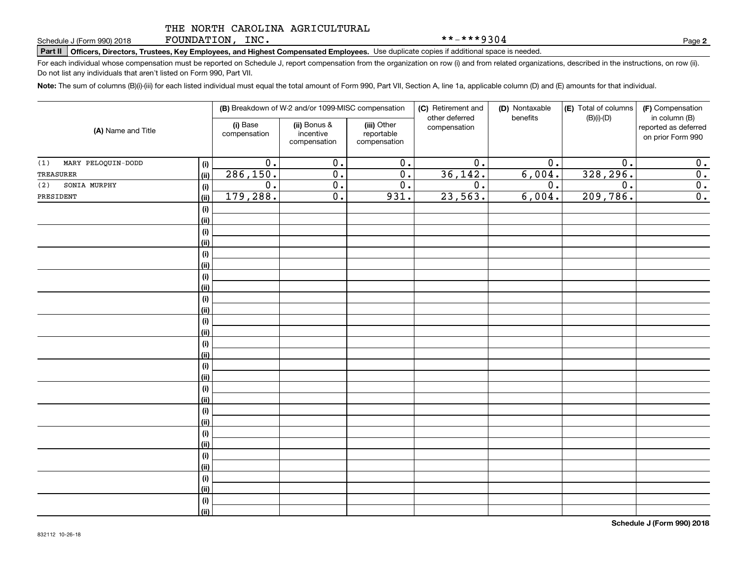FOUNDATION, INC.

**Part II Officers, Directors, Trustees, Key Employees, and Highest Compensated Employees.**  Schedule J (Form 990) 2018 Page Use duplicate copies if additional space is needed.

For each individual whose compensation must be reported on Schedule J, report compensation from the organization on row (i) and from related organizations, described in the instructions, on row (ii). Do not list any individuals that aren't listed on Form 990, Part VII.

**Note:**  The sum of columns (B)(i)-(iii) for each listed individual must equal the total amount of Form 990, Part VII, Section A, line 1a, applicable column (D) and (E) amounts for that individual.

|                                   |                          | (B) Breakdown of W-2 and/or 1099-MISC compensation |                                           | (C) Retirement and<br>other deferred | (D) Nontaxable<br>benefits | (E) Total of columns<br>$(B)(i)$ - $(D)$ | (F) Compensation<br>in column (B)         |
|-----------------------------------|--------------------------|----------------------------------------------------|-------------------------------------------|--------------------------------------|----------------------------|------------------------------------------|-------------------------------------------|
| (A) Name and Title                | (i) Base<br>compensation | (ii) Bonus &<br>incentive<br>compensation          | (iii) Other<br>reportable<br>compensation | compensation                         |                            |                                          | reported as deferred<br>on prior Form 990 |
| MARY PELOQUIN-DODD<br>(1)<br>(i)  | $\overline{0}$ .         | $\overline{0}$ .                                   | $\overline{0}$ .                          | $\overline{0}$ .                     | 0.                         | $\overline{0}$ .                         | 0.                                        |
| TREASURER<br>(ii)                 | 286, 150.                | $\overline{0}$ .                                   | $\overline{0}$ .                          | 36, 142.                             | 6,004.                     | 328, 296.                                | 0.                                        |
| SONIA MURPHY<br>(2)<br>$(\sf{i})$ | $\overline{0}$ .         | $\overline{0}$ .                                   | $\overline{0}$ .                          | $\overline{0}$ .                     | $\overline{0}$ .           | $\overline{0}$ .                         | $\overline{\mathbf{0}}$ .                 |
| PRESIDENT<br>(ii)                 | 179,288.                 | $\overline{0}$ .                                   | 931.                                      | 23,563.                              | 6,004.                     | 209,786.                                 | $\overline{0}$ .                          |
| (i)                               |                          |                                                    |                                           |                                      |                            |                                          |                                           |
| (ii)                              |                          |                                                    |                                           |                                      |                            |                                          |                                           |
| (i)                               |                          |                                                    |                                           |                                      |                            |                                          |                                           |
| (ii)                              |                          |                                                    |                                           |                                      |                            |                                          |                                           |
| (i)                               |                          |                                                    |                                           |                                      |                            |                                          |                                           |
| (ii)                              |                          |                                                    |                                           |                                      |                            |                                          |                                           |
| (i)                               |                          |                                                    |                                           |                                      |                            |                                          |                                           |
| (ii)                              |                          |                                                    |                                           |                                      |                            |                                          |                                           |
| (i)                               |                          |                                                    |                                           |                                      |                            |                                          |                                           |
| (ii)                              |                          |                                                    |                                           |                                      |                            |                                          |                                           |
| (i)                               |                          |                                                    |                                           |                                      |                            |                                          |                                           |
| (ii)                              |                          |                                                    |                                           |                                      |                            |                                          |                                           |
| (i)                               |                          |                                                    |                                           |                                      |                            |                                          |                                           |
| (ii)                              |                          |                                                    |                                           |                                      |                            |                                          |                                           |
| (i)<br>(ii)                       |                          |                                                    |                                           |                                      |                            |                                          |                                           |
| (i)                               |                          |                                                    |                                           |                                      |                            |                                          |                                           |
| (ii)                              |                          |                                                    |                                           |                                      |                            |                                          |                                           |
| (i)                               |                          |                                                    |                                           |                                      |                            |                                          |                                           |
| (ii)                              |                          |                                                    |                                           |                                      |                            |                                          |                                           |
| (i)                               |                          |                                                    |                                           |                                      |                            |                                          |                                           |
| (ii)                              |                          |                                                    |                                           |                                      |                            |                                          |                                           |
| (i)                               |                          |                                                    |                                           |                                      |                            |                                          |                                           |
| (ii)                              |                          |                                                    |                                           |                                      |                            |                                          |                                           |
| (i)                               |                          |                                                    |                                           |                                      |                            |                                          |                                           |
| (ii)                              |                          |                                                    |                                           |                                      |                            |                                          |                                           |
| (i)                               |                          |                                                    |                                           |                                      |                            |                                          |                                           |
| (ii)                              |                          |                                                    |                                           |                                      |                            |                                          |                                           |

**2**

\*\*-\*\*\*9304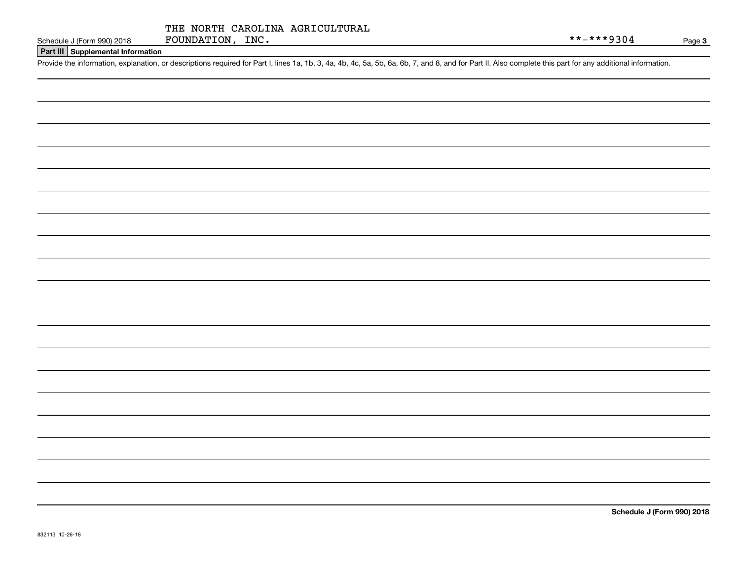|  |                  |  | THE NORTH CAROLINA AGRICULTURAL |
|--|------------------|--|---------------------------------|
|  | FOUNDATION, INC. |  |                                 |

# **Part III Supplemental Information**

Schedule J (Form 990) 2018 FOUNDATION, INC.<br>Part III Supplemental Information<br>Provide the information, explanation, or descriptions required for Part I, lines 1a, 1b, 3, 4a, 4b, 4c, 5a, 5b, 6a, 6b, 7, and 8, and for Part I

**Schedule J (Form 990) 2018**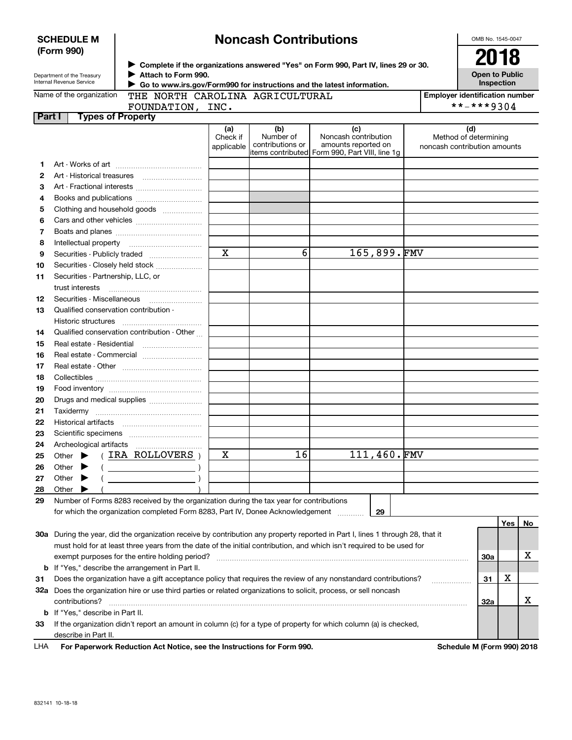|        | Internal Revenue Service<br><b>Inspection</b><br>Go to www.irs.gov/Form990 for instructions and the latest information.           |                                                                                                                                |                               |                                                            |                                                                                    |             |  |                                                              |            |    |
|--------|-----------------------------------------------------------------------------------------------------------------------------------|--------------------------------------------------------------------------------------------------------------------------------|-------------------------------|------------------------------------------------------------|------------------------------------------------------------------------------------|-------------|--|--------------------------------------------------------------|------------|----|
|        | THE NORTH CAROLINA AGRICULTURAL<br>Name of the organization<br><b>Employer identification number</b>                              |                                                                                                                                |                               |                                                            |                                                                                    |             |  |                                                              |            |    |
|        | FOUNDATION, INC.                                                                                                                  |                                                                                                                                |                               |                                                            |                                                                                    |             |  |                                                              | **-***9304 |    |
| Part I | <b>Types of Property</b>                                                                                                          |                                                                                                                                |                               |                                                            |                                                                                    |             |  |                                                              |            |    |
|        |                                                                                                                                   |                                                                                                                                | (a)<br>Check if<br>applicable | (b)<br>Number of<br>contributions or<br>litems contributed | (c)<br>Noncash contribution<br>amounts reported on<br>Form 990, Part VIII, line 1g |             |  | (d)<br>Method of determining<br>noncash contribution amounts |            |    |
| 1      |                                                                                                                                   |                                                                                                                                |                               |                                                            |                                                                                    |             |  |                                                              |            |    |
| 2      |                                                                                                                                   |                                                                                                                                |                               |                                                            |                                                                                    |             |  |                                                              |            |    |
| з      |                                                                                                                                   |                                                                                                                                |                               |                                                            |                                                                                    |             |  |                                                              |            |    |
| 4      |                                                                                                                                   |                                                                                                                                |                               |                                                            |                                                                                    |             |  |                                                              |            |    |
| 5      |                                                                                                                                   | Clothing and household goods                                                                                                   |                               |                                                            |                                                                                    |             |  |                                                              |            |    |
| 6      |                                                                                                                                   |                                                                                                                                |                               |                                                            |                                                                                    |             |  |                                                              |            |    |
| 7      |                                                                                                                                   |                                                                                                                                |                               |                                                            |                                                                                    |             |  |                                                              |            |    |
| 8      |                                                                                                                                   |                                                                                                                                |                               |                                                            |                                                                                    |             |  |                                                              |            |    |
| 9      |                                                                                                                                   |                                                                                                                                | $\overline{\mathbf{x}}$       | 6                                                          |                                                                                    | 165,899.FMV |  |                                                              |            |    |
| 10     |                                                                                                                                   | Securities - Closely held stock                                                                                                |                               |                                                            |                                                                                    |             |  |                                                              |            |    |
| 11     | Securities - Partnership, LLC, or                                                                                                 |                                                                                                                                |                               |                                                            |                                                                                    |             |  |                                                              |            |    |
|        | trust interests                                                                                                                   |                                                                                                                                |                               |                                                            |                                                                                    |             |  |                                                              |            |    |
| 12     |                                                                                                                                   |                                                                                                                                |                               |                                                            |                                                                                    |             |  |                                                              |            |    |
| 13     | Qualified conservation contribution -                                                                                             |                                                                                                                                |                               |                                                            |                                                                                    |             |  |                                                              |            |    |
|        |                                                                                                                                   |                                                                                                                                |                               |                                                            |                                                                                    |             |  |                                                              |            |    |
| 14     |                                                                                                                                   | Qualified conservation contribution - Other                                                                                    |                               |                                                            |                                                                                    |             |  |                                                              |            |    |
| 15     |                                                                                                                                   |                                                                                                                                |                               |                                                            |                                                                                    |             |  |                                                              |            |    |
| 16     |                                                                                                                                   |                                                                                                                                |                               |                                                            |                                                                                    |             |  |                                                              |            |    |
| 17     |                                                                                                                                   |                                                                                                                                |                               |                                                            |                                                                                    |             |  |                                                              |            |    |
| 18     |                                                                                                                                   |                                                                                                                                |                               |                                                            |                                                                                    |             |  |                                                              |            |    |
| 19     |                                                                                                                                   |                                                                                                                                |                               |                                                            |                                                                                    |             |  |                                                              |            |    |
| 20     |                                                                                                                                   | Drugs and medical supplies                                                                                                     |                               |                                                            |                                                                                    |             |  |                                                              |            |    |
| 21     |                                                                                                                                   |                                                                                                                                |                               |                                                            |                                                                                    |             |  |                                                              |            |    |
| 22     |                                                                                                                                   |                                                                                                                                |                               |                                                            |                                                                                    |             |  |                                                              |            |    |
| 23     |                                                                                                                                   |                                                                                                                                |                               |                                                            |                                                                                    |             |  |                                                              |            |    |
| 24     |                                                                                                                                   |                                                                                                                                |                               |                                                            |                                                                                    |             |  |                                                              |            |    |
| 25     | Other $\blacktriangleright$                                                                                                       | (IRA ROLLOVERS)                                                                                                                | Х                             | 16                                                         |                                                                                    | 111,460.FMV |  |                                                              |            |    |
| 26     | Other $\blacktriangleright$                                                                                                       |                                                                                                                                |                               |                                                            |                                                                                    |             |  |                                                              |            |    |
| 27     | Other $\blacktriangleright$                                                                                                       |                                                                                                                                |                               |                                                            |                                                                                    |             |  |                                                              |            |    |
| 28     | Other $\blacktriangleright$                                                                                                       |                                                                                                                                |                               |                                                            |                                                                                    |             |  |                                                              |            |    |
|        |                                                                                                                                   | Number of Forms 8283 received by the organization during the tax year for contributions                                        |                               |                                                            |                                                                                    |             |  |                                                              |            |    |
|        |                                                                                                                                   | for which the organization completed Form 8283, Part IV, Donee Acknowledgement                                                 |                               |                                                            |                                                                                    | 29          |  |                                                              |            |    |
|        |                                                                                                                                   |                                                                                                                                |                               |                                                            |                                                                                    |             |  |                                                              | Yes        | No |
|        |                                                                                                                                   | 30a During the year, did the organization receive by contribution any property reported in Part I, lines 1 through 28, that it |                               |                                                            |                                                                                    |             |  |                                                              |            |    |
|        |                                                                                                                                   |                                                                                                                                |                               |                                                            |                                                                                    |             |  |                                                              |            |    |
|        | must hold for at least three years from the date of the initial contribution, and which isn't required to be used for<br>х<br>30a |                                                                                                                                |                               |                                                            |                                                                                    |             |  |                                                              |            |    |
|        | <b>b</b> If "Yes," describe the arrangement in Part II.                                                                           |                                                                                                                                |                               |                                                            |                                                                                    |             |  |                                                              |            |    |
| 31     |                                                                                                                                   | Does the organization have a gift acceptance policy that requires the review of any nonstandard contributions?                 |                               |                                                            |                                                                                    |             |  | 31                                                           | X          |    |
|        |                                                                                                                                   | 32a Does the organization hire or use third parties or related organizations to solicit, process, or sell noncash              |                               |                                                            |                                                                                    |             |  |                                                              |            |    |
|        | contributions?                                                                                                                    |                                                                                                                                |                               |                                                            |                                                                                    |             |  | 32a                                                          |            | X  |
|        | <b>b</b> If "Yes," describe in Part II.                                                                                           |                                                                                                                                |                               |                                                            |                                                                                    |             |  |                                                              |            |    |
|        |                                                                                                                                   |                                                                                                                                |                               |                                                            |                                                                                    |             |  |                                                              |            |    |

**33**If the organization didn't report an amount in column (c) for a type of property for which column (a) is checked, describe in Part II.

**For Paperwork Reduction Act Notice, see the Instructions for Form 990. Schedule M (Form 990) 2018** LHA

# **Noncash Contributions**

OMB No. 1545-0047

**Open to Public**

| (Form 990) |  |
|------------|--|
|            |  |

**SCHEDULE M**

Department of the Treasury **Complete if the organizations answered "Yes" on Form 990, Part IV, lines 29 or 30.** <sup>J</sup>**2018**

**Attach to Form 990.** J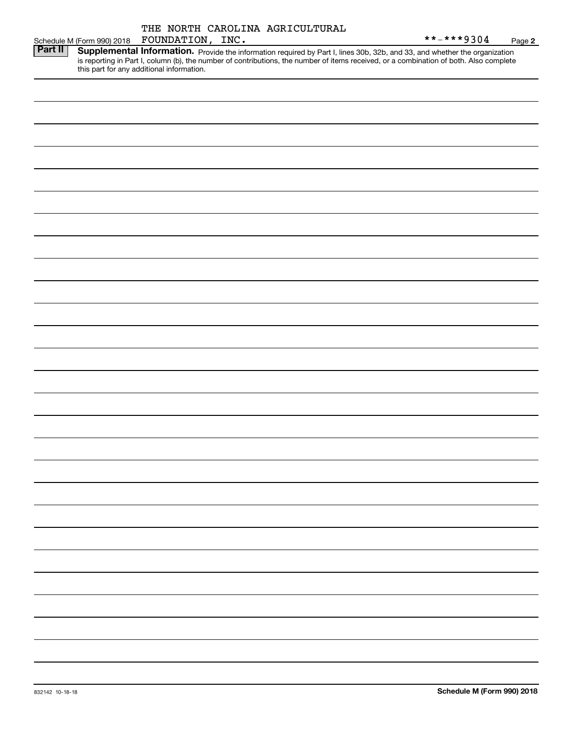**2**

|         |                                           | INC. |                                                                                                                                        | $***$ $***$ 9304 | Page |
|---------|-------------------------------------------|------|----------------------------------------------------------------------------------------------------------------------------------------|------------------|------|
| Part II |                                           |      | Supplemental Information. Provide the information required by Part I, lines 30b, 32b, and 33, and whether the organization             |                  |      |
|         | this part for any additional information. |      | is reporting in Part I, column (b), the number of contributions, the number of items received, or a combination of both. Also complete |                  |      |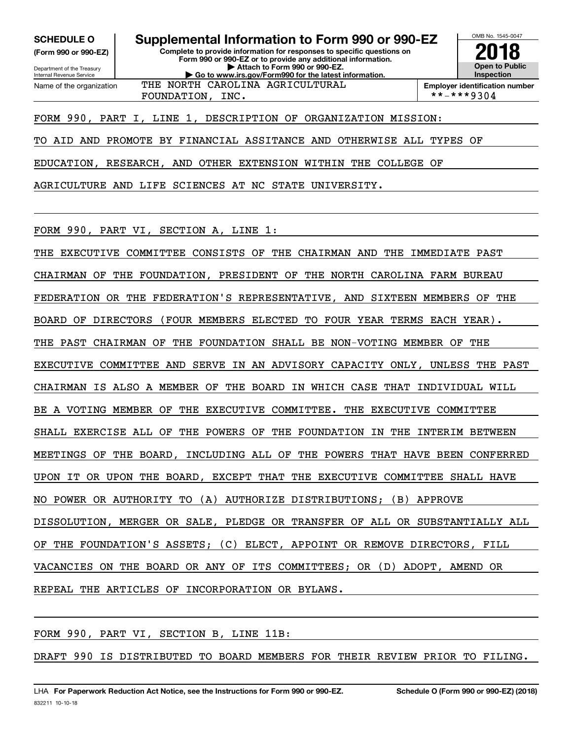**(Form 990 or 990-EZ)**

Department of the Treasury Internal Revenue Service Name of the organization

**Complete to provide information for responses to specific questions on Form 990 or 990-EZ or to provide any additional information. | Attach to Form 990 or 990-EZ. | Go to www.irs.gov/Form990 for the latest information. SCHEDULE O Supplemental Information to Form 990 or 990-EZ**



FOUNDATION, INC.  $|$  \*\*-\*\*\*9304

FORM 990, PART I, LINE 1, DESCRIPTION OF ORGANIZATION MISSION:

THE NORTH CAROLINA AGRICULTURAL

TO AID AND PROMOTE BY FINANCIAL ASSITANCE AND OTHERWISE ALL TYPES OF

EDUCATION, RESEARCH, AND OTHER EXTENSION WITHIN THE COLLEGE OF

AGRICULTURE AND LIFE SCIENCES AT NC STATE UNIVERSITY.

FORM 990, PART VI, SECTION A, LINE 1:

THE EXECUTIVE COMMITTEE CONSISTS OF THE CHAIRMAN AND THE IMMEDIATE PAST CHAIRMAN OF THE FOUNDATION, PRESIDENT OF THE NORTH CAROLINA FARM BUREAU FEDERATION OR THE FEDERATION'S REPRESENTATIVE, AND SIXTEEN MEMBERS OF THE BOARD OF DIRECTORS (FOUR MEMBERS ELECTED TO FOUR YEAR TERMS EACH YEAR). THE PAST CHAIRMAN OF THE FOUNDATION SHALL BE NON-VOTING MEMBER OF THE EXECUTIVE COMMITTEE AND SERVE IN AN ADVISORY CAPACITY ONLY, UNLESS THE PAST CHAIRMAN IS ALSO A MEMBER OF THE BOARD IN WHICH CASE THAT INDIVIDUAL WILL BE A VOTING MEMBER OF THE EXECUTIVE COMMITTEE. THE EXECUTIVE COMMITTEE SHALL EXERCISE ALL OF THE POWERS OF THE FOUNDATION IN THE INTERIM BETWEEN MEETINGS OF THE BOARD, INCLUDING ALL OF THE POWERS THAT HAVE BEEN CONFERRED UPON IT OR UPON THE BOARD, EXCEPT THAT THE EXECUTIVE COMMITTEE SHALL HAVE NO POWER OR AUTHORITY TO (A) AUTHORIZE DISTRIBUTIONS; (B) APPROVE DISSOLUTION, MERGER OR SALE, PLEDGE OR TRANSFER OF ALL OR SUBSTANTIALLY ALL OF THE FOUNDATION'S ASSETS; (C) ELECT, APPOINT OR REMOVE DIRECTORS, FILL VACANCIES ON THE BOARD OR ANY OF ITS COMMITTEES; OR (D) ADOPT, AMEND OR REPEAL THE ARTICLES OF INCORPORATION OR BYLAWS.

FORM 990, PART VI, SECTION B, LINE 11B:

DRAFT 990 IS DISTRIBUTED TO BOARD MEMBERS FOR THEIR REVIEW PRIOR TO FILING.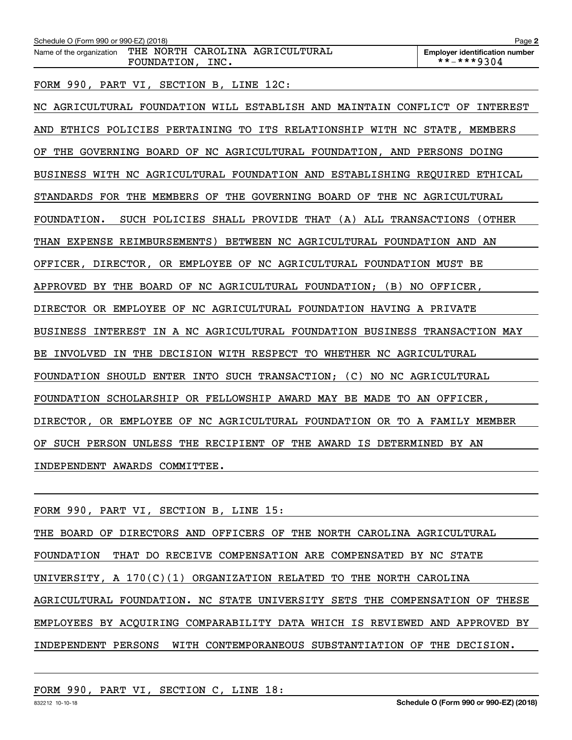| Schedule O (Form 990 or 990-EZ) (2018)                                          | Page 2                                              |
|---------------------------------------------------------------------------------|-----------------------------------------------------|
| THE NORTH CAROLINA AGRICULTURAL<br>Name of the organization<br>FOUNDATION, INC. | <b>Employer identification number</b><br>**-***9304 |
| FORM 990, PART VI, SECTION B, LINE 12C:                                         |                                                     |
| NC AGRICULTURAL FOUNDATION WILL ESTABLISH AND MAINTAIN CONFLICT OF              | INTEREST                                            |
| ETHICS POLICIES PERTAINING TO ITS RELATIONSHIP WITH NC STATE, MEMBERS<br>AND    |                                                     |
| GOVERNING BOARD OF NC AGRICULTURAL FOUNDATION, AND PERSONS DOING<br>ΟF<br>THE   |                                                     |
| BUSINESS WITH NC AGRICULTURAL FOUNDATION AND ESTABLISHING REQUIRED ETHICAL      |                                                     |
| STANDARDS FOR THE MEMBERS OF THE GOVERNING BOARD OF THE NC AGRICULTURAL         |                                                     |
| SUCH POLICIES SHALL PROVIDE THAT (A) ALL TRANSACTIONS (OTHER<br>FOUNDATION.     |                                                     |
| EXPENSE REIMBURSEMENTS)<br><b>BETWEEN</b><br>NC AGRICULTURAL FOUNDATION<br>THAN | AND<br>AN                                           |
| OFFICER, DIRECTOR, OR EMPLOYEE OF NC AGRICULTURAL FOUNDATION MUST BE            |                                                     |
| THE BOARD OF NC AGRICULTURAL FOUNDATION; (B) NO OFFICER,<br>APPROVED BY         |                                                     |

DIRECTOR OR EMPLOYEE OF NC AGRICULTURAL FOUNDATION HAVING A PRIVATE

BUSINESS INTEREST IN A NC AGRICULTURAL FOUNDATION BUSINESS TRANSACTION MAY

BE INVOLVED IN THE DECISION WITH RESPECT TO WHETHER NC AGRICULTURAL

FOUNDATION SHOULD ENTER INTO SUCH TRANSACTION; (C) NO NC AGRICULTURAL

FOUNDATION SCHOLARSHIP OR FELLOWSHIP AWARD MAY BE MADE TO AN OFFICER,

DIRECTOR, OR EMPLOYEE OF NC AGRICULTURAL FOUNDATION OR TO A FAMILY MEMBER

OF SUCH PERSON UNLESS THE RECIPIENT OF THE AWARD IS DETERMINED BY AN

INDEPENDENT AWARDS COMMITTEE.

|  |  | FORM 990, PART VI, SECTION B, LINE 15: |  |  |
|--|--|----------------------------------------|--|--|
|  |  |                                        |  |  |

THE BOARD OF DIRECTORS AND OFFICERS OF THE NORTH CAROLINA AGRICULTURAL FOUNDATION THAT DO RECEIVE COMPENSATION ARE COMPENSATED BY NC STATE UNIVERSITY, A 170(C)(1) ORGANIZATION RELATED TO THE NORTH CAROLINA AGRICULTURAL FOUNDATION. NC STATE UNIVERSITY SETS THE COMPENSATION OF THESE EMPLOYEES BY ACQUIRING COMPARABILITY DATA WHICH IS REVIEWED AND APPROVED BY INDEPENDENT PERSONS WITH CONTEMPORANEOUS SUBSTANTIATION OF THE DECISION.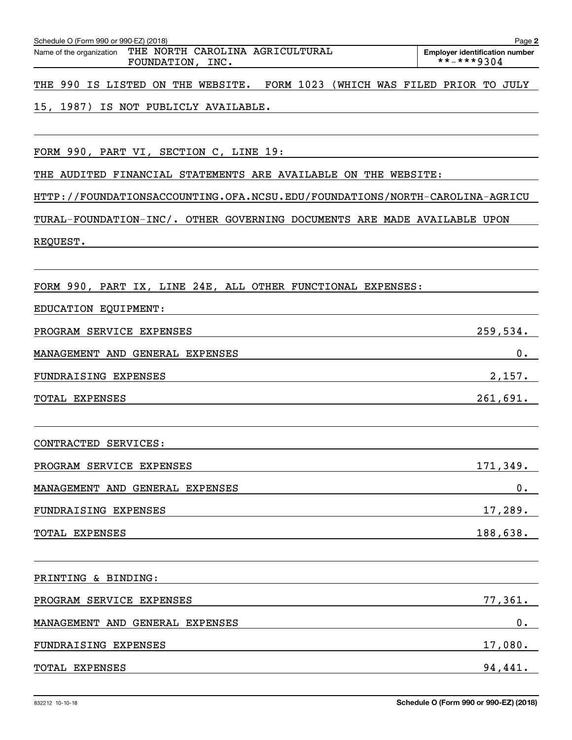| FOUNDATION,<br>INC.                                                           | **-***9304 |
|-------------------------------------------------------------------------------|------------|
| FORM 1023 (WHICH WAS FILED PRIOR TO JULY<br>THE 990 IS LISTED ON THE WEBSITE. |            |
| 15, 1987)<br>IS NOT PUBLICLY AVAILABLE.                                       |            |
|                                                                               |            |
| FORM 990, PART VI, SECTION C, LINE 19:                                        |            |
| THE AUDITED FINANCIAL STATEMENTS ARE AVAILABLE ON THE WEBSITE:                |            |
| HTTP://FOUNDATIONSACCOUNTING.OFA.NCSU.EDU/FOUNDATIONS/NORTH-CAROLINA-AGRICU   |            |
| TURAL-FOUNDATION-INC/. OTHER GOVERNING DOCUMENTS ARE MADE AVAILABLE UPON      |            |
| REQUEST.                                                                      |            |
|                                                                               |            |
| FORM 990, PART IX, LINE 24E, ALL OTHER FUNCTIONAL EXPENSES:                   |            |
| EDUCATION EQUIPMENT:                                                          |            |
| PROGRAM SERVICE EXPENSES                                                      | 259,534.   |
| MANAGEMENT AND GENERAL EXPENSES                                               | 0.         |
| FUNDRAISING EXPENSES                                                          | 2,157.     |
| TOTAL EXPENSES                                                                | 261,691.   |
|                                                                               |            |
| CONTRACTED SERVICES:                                                          |            |
| PROGRAM SERVICE EXPENSES                                                      | 171,349.   |
| MANAGEMENT AND GENERAL EXPENSES                                               | 0.         |
| FUNDRAISING EXPENSES                                                          | $17,289$ . |
| TOTAL EXPENSES                                                                | 188,638.   |
|                                                                               |            |
| PRINTING & BINDING:                                                           |            |
| PROGRAM SERVICE EXPENSES                                                      | 77,361.    |
| MANAGEMENT AND GENERAL EXPENSES                                               | $0$ .      |
| FUNDRAISING EXPENSES                                                          | 17,080.    |

**Employer identification number**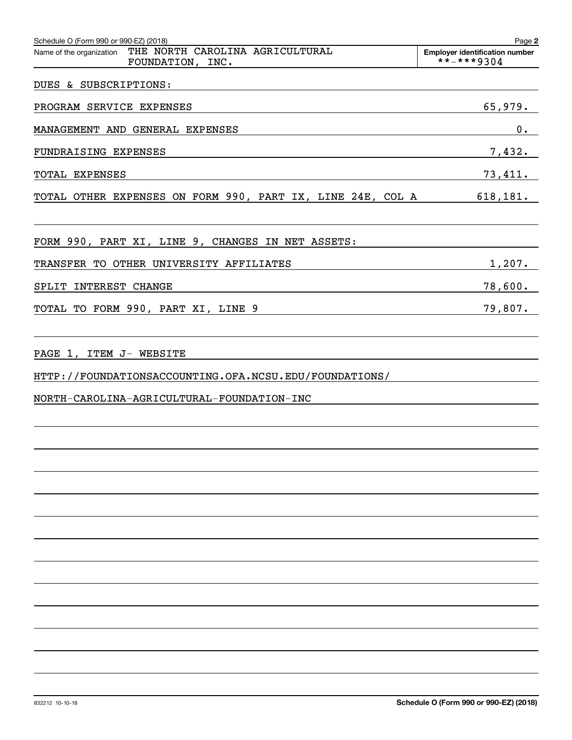| Schedule O (Form 990 or 990-EZ) (2018)                                          | Page 2                                              |
|---------------------------------------------------------------------------------|-----------------------------------------------------|
| THE NORTH CAROLINA AGRICULTURAL<br>Name of the organization<br>FOUNDATION, INC. | <b>Employer identification number</b><br>**-***9304 |
| DUES & SUBSCRIPTIONS:                                                           |                                                     |
| PROGRAM SERVICE EXPENSES                                                        | 65,979.                                             |
| MANAGEMENT AND GENERAL EXPENSES                                                 | $0$ .                                               |
| FUNDRAISING EXPENSES                                                            | 7,432.                                              |
| TOTAL EXPENSES                                                                  | 73,411.                                             |
| TOTAL OTHER EXPENSES ON FORM 990, PART IX, LINE 24E, COL A 618,181.             |                                                     |
| FORM 990, PART XI, LINE 9, CHANGES IN NET ASSETS:                               |                                                     |
| TRANSFER TO OTHER UNIVERSITY AFFILIATES                                         | 1,207.                                              |
| SPLIT INTEREST CHANGE                                                           | 78,600.                                             |
| TOTAL TO FORM 990, PART XI, LINE 9                                              | 79,807.                                             |
|                                                                                 |                                                     |
| PAGE 1, ITEM J- WEBSITE                                                         |                                                     |
| HTTP://FOUNDATIONSACCOUNTING.OFA.NCSU.EDU/FOUNDATIONS/                          |                                                     |
| NORTH-CAROLINA-AGRICULTURAL-FOUNDATION-INC                                      |                                                     |
|                                                                                 |                                                     |
|                                                                                 |                                                     |
|                                                                                 |                                                     |
|                                                                                 |                                                     |
|                                                                                 |                                                     |
|                                                                                 |                                                     |
|                                                                                 |                                                     |
|                                                                                 |                                                     |
|                                                                                 |                                                     |
|                                                                                 |                                                     |
|                                                                                 |                                                     |
|                                                                                 |                                                     |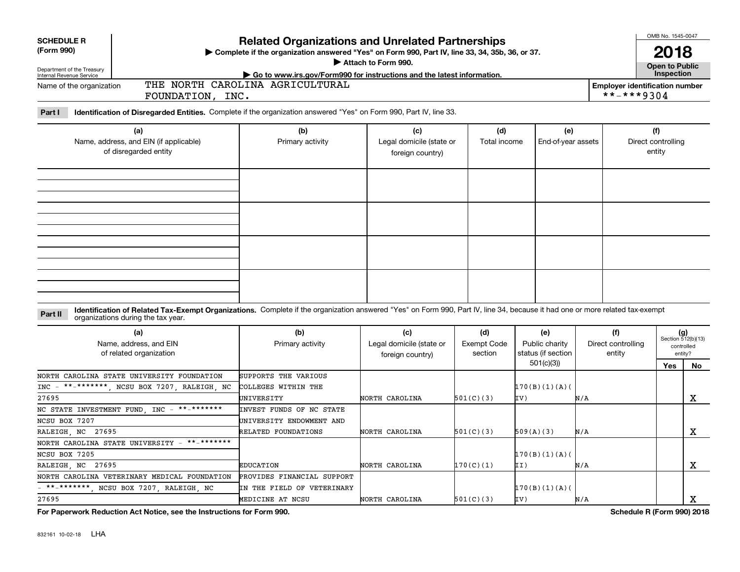| <b>SCHEDULE R</b>                                                                                                                                                              |                                                                                                                                                                                                                    |                          |                                              |                    |                    |                    | OMB No. 1545-0047            |                             |            |  |
|--------------------------------------------------------------------------------------------------------------------------------------------------------------------------------|--------------------------------------------------------------------------------------------------------------------------------------------------------------------------------------------------------------------|--------------------------|----------------------------------------------|--------------------|--------------------|--------------------|------------------------------|-----------------------------|------------|--|
| (Form 990)<br>Department of the Treasury<br>Internal Revenue Service                                                                                                           | <b>Related Organizations and Unrelated Partnerships</b><br>Complete if the organization answered "Yes" on Form 990, Part IV, line 33, 34, 35b, 36, or 37.<br>Attach to Form 990.                                   |                          |                                              |                    |                    |                    |                              |                             |            |  |
| Go to www.irs.gov/Form990 for instructions and the latest information.<br>THE NORTH CAROLINA AGRICULTURAL<br><b>Employer identification number</b><br>Name of the organization |                                                                                                                                                                                                                    |                          |                                              |                    |                    |                    |                              |                             | Inspection |  |
|                                                                                                                                                                                | FOUNDATION, INC.                                                                                                                                                                                                   |                          |                                              |                    |                    |                    | **-***9304                   |                             |            |  |
| Part I                                                                                                                                                                         | Identification of Disregarded Entities. Complete if the organization answered "Yes" on Form 990, Part IV, line 33.                                                                                                 |                          |                                              |                    |                    |                    |                              |                             |            |  |
|                                                                                                                                                                                | (a)                                                                                                                                                                                                                | (b)                      | (c)                                          | (d)                | (e)                |                    | (f)                          |                             |            |  |
|                                                                                                                                                                                | Name, address, and EIN (if applicable)<br>of disregarded entity                                                                                                                                                    | Primary activity         | Legal domicile (state or<br>foreign country) | Total income       | End-of-year assets |                    | Direct controlling<br>entity |                             |            |  |
|                                                                                                                                                                                |                                                                                                                                                                                                                    |                          |                                              |                    |                    |                    |                              |                             |            |  |
|                                                                                                                                                                                |                                                                                                                                                                                                                    |                          |                                              |                    |                    |                    |                              |                             |            |  |
|                                                                                                                                                                                |                                                                                                                                                                                                                    |                          |                                              |                    |                    |                    |                              |                             |            |  |
|                                                                                                                                                                                |                                                                                                                                                                                                                    |                          |                                              |                    |                    |                    |                              |                             |            |  |
|                                                                                                                                                                                |                                                                                                                                                                                                                    |                          |                                              |                    |                    |                    |                              |                             |            |  |
| Part II                                                                                                                                                                        | Identification of Related Tax-Exempt Organizations. Complete if the organization answered "Yes" on Form 990, Part IV, line 34, because it had one or more related tax-exempt<br>organizations during the tax year. |                          |                                              |                    |                    |                    |                              |                             |            |  |
|                                                                                                                                                                                | (a)                                                                                                                                                                                                                | (b)                      | (c)                                          | (d)                | (e)                | (f)                |                              | $(g)$<br>Section 512(b)(13) |            |  |
|                                                                                                                                                                                | Name, address, and EIN                                                                                                                                                                                             | Primary activity         | Legal domicile (state or                     | <b>Exempt Code</b> | Public charity     | Direct controlling |                              | controlled                  |            |  |
|                                                                                                                                                                                | of related organization<br>section<br>foreign country)                                                                                                                                                             |                          |                                              |                    | status (if section | entity             |                              | entity?                     |            |  |
|                                                                                                                                                                                |                                                                                                                                                                                                                    |                          |                                              |                    | 501(c)(3)          |                    | Yes                          |                             | No         |  |
|                                                                                                                                                                                | NORTH CAROLINA STATE UNIVERSITY FOUNDATION                                                                                                                                                                         | SUPPORTS THE VARIOUS     |                                              |                    |                    |                    |                              |                             |            |  |
| $INC -$                                                                                                                                                                        | **-*******, NCSU BOX 7207, RALEIGH, NC                                                                                                                                                                             | COLLEGES WITHIN THE      |                                              |                    | 170(B)(1)(A)       |                    |                              |                             |            |  |
| 27695                                                                                                                                                                          |                                                                                                                                                                                                                    | UNIVERSITY               | NORTH CAROLINA                               | 501(C)(3)          | IV)                | N/A                |                              |                             | x          |  |
|                                                                                                                                                                                | NC STATE INVESTMENT FUND, INC - **-*******                                                                                                                                                                         | INVEST FUNDS OF NC STATE |                                              |                    |                    |                    |                              |                             |            |  |
| NCSU BOX 7207                                                                                                                                                                  |                                                                                                                                                                                                                    | UNIVERSITY ENDOWMENT AND |                                              |                    |                    |                    |                              |                             |            |  |
| RALEIGH, NC 27695                                                                                                                                                              |                                                                                                                                                                                                                    | RELATED FOUNDATIONS      | NORTH CAROLINA                               | 501(C)(3)          | 509(A)(3)          | N/A                |                              |                             | х          |  |

NORTH CAROLINA

NORTH CAROLINA

**For Paperwork Reduction Act Notice, see the Instructions for Form 990. Schedule R (Form 990) 2018**

EDUCATION

MEDICINE AT NCSU

PROVIDES FINANCIAL SUPPORT IN THE FIELD OF VETERINARY

NORTH CAROLINA STATE UNIVERSITY - \*\*-\*\*\*\*\*\*\*

NORTH CAROLINA VETERINARY MEDICAL FOUNDATION

- \*\*-\*\*\*\*\*\*\*, NCSU BOX 7207, RALEIGH, NC

X

X

170(B)(1)(A)(

II)

IV)

170(C)(1)

501(C)(3)

N/A

N/A

170(B)(1)(A)(

RALEIGH, NC 27695

NCSU BOX 7205

27695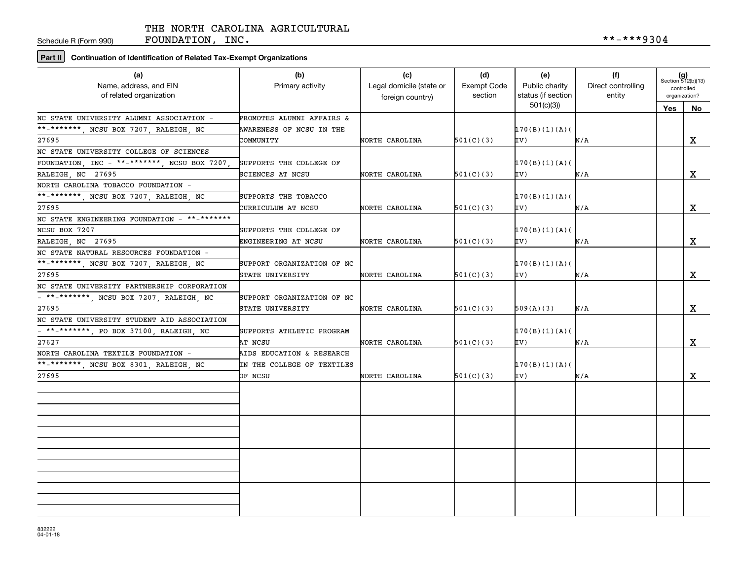Schedule R (Form 990)

FOUNDATION, INC.  $***-**9304$ 

**Part II Continuation of Identification of Related Tax-Exempt Organizations**

| (a)<br>Name, address, and EIN<br>of related organization              | (b)<br>Primary activity    | (c)<br>Legal domicile (state or<br>foreign country) | (d)<br><b>Exempt Code</b><br>section | (e)<br>Public charity<br>status (if section | (f)<br>Direct controlling<br>entity | $(g)$<br>Section 512(b)(13)<br>controlled<br>organization? |              |
|-----------------------------------------------------------------------|----------------------------|-----------------------------------------------------|--------------------------------------|---------------------------------------------|-------------------------------------|------------------------------------------------------------|--------------|
|                                                                       |                            |                                                     |                                      | 501(c)(3)                                   |                                     | Yes                                                        | $N_{0}$      |
| NC STATE UNIVERSITY ALUMNI ASSOCIATION =                              | PROMOTES ALUMNI AFFAIRS &  |                                                     |                                      |                                             |                                     |                                                            |              |
| **_*******, NCSU BOX 7207, RALEIGH, NC                                | AWARENESS OF NCSU IN THE   |                                                     |                                      | 170(B)(1)(A)                                |                                     |                                                            |              |
| 27695                                                                 | COMMUNITY                  | NORTH CAROLINA                                      | 501(C)(3)                            | IV)                                         | N/A                                 |                                                            | X            |
| NC STATE UNIVERSITY COLLEGE OF SCIENCES                               |                            |                                                     |                                      |                                             |                                     |                                                            |              |
| FOUNDATION, INC - **-*******, NCSU BOX 7207,                          | SUPPORTS THE COLLEGE OF    |                                                     |                                      | 170(B)(1)(A)                                |                                     |                                                            |              |
| RALEIGH, NC 27695                                                     | SCIENCES AT NCSU           | NORTH CAROLINA                                      | 501(C)(3)                            | IV)                                         | N/A                                 |                                                            | $\mathbf x$  |
| NORTH CAROLINA TOBACCO FOUNDATION -                                   |                            |                                                     |                                      |                                             |                                     |                                                            |              |
| **_*******, NCSU BOX 7207, RALEIGH, NC                                | SUPPORTS THE TOBACCO       |                                                     |                                      | 170(B)(1)(A)                                |                                     |                                                            |              |
| 27695                                                                 | CURRICULUM AT NCSU         | NORTH CAROLINA                                      | 501(C)(3)                            | IV)                                         | N/A                                 |                                                            | X            |
| NC STATE ENGINEERING FOUNDATION - $**-******$                         |                            |                                                     |                                      |                                             |                                     |                                                            |              |
| NCSU BOX 7207                                                         | SUPPORTS THE COLLEGE OF    |                                                     |                                      | 170(B)(1)(A)                                |                                     |                                                            |              |
| RALEIGH NC 27695                                                      | ENGINEERING AT NCSU        | NORTH CAROLINA                                      | 501(C)(3)                            | IV)                                         | N/A                                 |                                                            | $\mathbf{x}$ |
| NC STATE NATURAL RESOURCES FOUNDATION -                               |                            |                                                     |                                      |                                             |                                     |                                                            |              |
| **_*******, NCSU BOX 7207, RALEIGH, NC                                | SUPPORT ORGANIZATION OF NC |                                                     |                                      | 170(B)(1)(A)                                |                                     |                                                            |              |
| 27695                                                                 | STATE UNIVERSITY           | NORTH CAROLINA                                      | 501(C)(3)                            | IV)                                         | N/A                                 |                                                            | $\mathbf X$  |
| NC STATE UNIVERSITY PARTNERSHIP CORPORATION                           |                            |                                                     |                                      |                                             |                                     |                                                            |              |
| - **-*******, NCSU BOX 7207, RALEIGH, NC                              | SUPPORT ORGANIZATION OF NC |                                                     |                                      |                                             |                                     |                                                            |              |
| 27695                                                                 | STATE UNIVERSITY           | NORTH CAROLINA                                      | 501(C)(3)                            | 509(A)(3)                                   | N/A                                 |                                                            | X            |
| NC STATE UNIVERSITY STUDENT AID ASSOCIATION                           |                            |                                                     |                                      |                                             |                                     |                                                            |              |
| $\overline{1 + \cdots + \cdots + \cdots}$ , PO BOX 37100, RALEIGH, NC | SUPPORTS ATHLETIC PROGRAM  |                                                     |                                      | 170(B)(1)(A)                                |                                     |                                                            |              |
| 27627                                                                 | AT NCSU                    | NORTH CAROLINA                                      | 501(C)(3)                            | IV)                                         | N/A                                 |                                                            | $\mathbf{x}$ |
| NORTH CAROLINA TEXTILE FOUNDATION -                                   | AIDS EDUCATION & RESEARCH  |                                                     |                                      |                                             |                                     |                                                            |              |
| **-*******, NCSU BOX 8301, RALEIGH, NC                                | IN THE COLLEGE OF TEXTILES |                                                     |                                      | 170(B)(1)(A)                                |                                     |                                                            |              |
| 27695                                                                 | OF NCSU                    | NORTH CAROLINA                                      | 501(C)(3)                            | IV)                                         | N/A                                 |                                                            | $\mathbf{x}$ |
|                                                                       |                            |                                                     |                                      |                                             |                                     |                                                            |              |
|                                                                       |                            |                                                     |                                      |                                             |                                     |                                                            |              |
|                                                                       |                            |                                                     |                                      |                                             |                                     |                                                            |              |
|                                                                       |                            |                                                     |                                      |                                             |                                     |                                                            |              |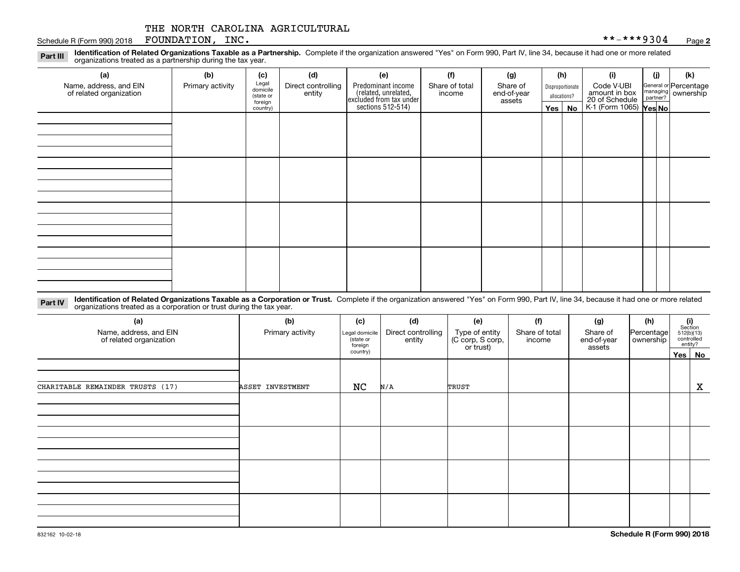#### Schedule R (Form 990) 2018 Page FOUNDATION, INC. \*\*-\*\*\*9304

**2**

**Identification of Related Organizations Taxable as a Partnership.** Complete if the organization answered "Yes" on Form 990, Part IV, line 34, because it had one or more related **Part III** organizations treated as a partnership during the tax year.

| (a)<br>Name, address, and EIN<br>of related organization | (b)<br>Primary activity | (c)<br>Legal<br>domicile         | (d)<br>Direct controlling | (e)                                                                                        | (f)<br>Share of total | (g)<br>Share of       |         | (h)<br>Disproportionate | (i)<br>Code V-UBI                                                | (i) | (k)<br>General or Percentage<br>managing<br>partner?<br>partner? |
|----------------------------------------------------------|-------------------------|----------------------------------|---------------------------|--------------------------------------------------------------------------------------------|-----------------------|-----------------------|---------|-------------------------|------------------------------------------------------------------|-----|------------------------------------------------------------------|
|                                                          |                         | (state or<br>foreign<br>country) | entity                    | Predominant income<br>(related, unrelated,<br>excluded from tax under<br>sections 512-514) | income                | end-of-year<br>assets | Yes $ $ | allocations?<br>No      | amount in box<br>20 of Schedule<br>K-1 (Form 1065) <b>Yes No</b> |     |                                                                  |
|                                                          |                         |                                  |                           |                                                                                            |                       |                       |         |                         |                                                                  |     |                                                                  |
|                                                          |                         |                                  |                           |                                                                                            |                       |                       |         |                         |                                                                  |     |                                                                  |
|                                                          |                         |                                  |                           |                                                                                            |                       |                       |         |                         |                                                                  |     |                                                                  |
|                                                          |                         |                                  |                           |                                                                                            |                       |                       |         |                         |                                                                  |     |                                                                  |
|                                                          |                         |                                  |                           |                                                                                            |                       |                       |         |                         |                                                                  |     |                                                                  |
|                                                          |                         |                                  |                           |                                                                                            |                       |                       |         |                         |                                                                  |     |                                                                  |
|                                                          |                         |                                  |                           |                                                                                            |                       |                       |         |                         |                                                                  |     |                                                                  |
|                                                          |                         |                                  |                           |                                                                                            |                       |                       |         |                         |                                                                  |     |                                                                  |
|                                                          |                         |                                  |                           |                                                                                            |                       |                       |         |                         |                                                                  |     |                                                                  |

**Identification of Related Organizations Taxable as a Corporation or Trust.** Complete if the organization answered "Yes" on Form 990, Part IV, line 34, because it had one or more related **Part IV** organizations treated as a corporation or trust during the tax year.

| (a)<br>Name, address, and EIN<br>of related organization | (b)<br>Primary activity | (c)<br>Legal domicile<br>state or<br>foreign | (d)<br>Direct controlling<br>entity | (e)<br>Type of entity<br>(C corp, S corp,<br>or trust) | (f)<br>Share of total<br>income | (g)<br>Share of<br>end-of-year<br>assets | (h)<br>Percentage<br>ownership | (i)<br>Section<br>512(b)(13)<br>controlled<br>entity? |
|----------------------------------------------------------|-------------------------|----------------------------------------------|-------------------------------------|--------------------------------------------------------|---------------------------------|------------------------------------------|--------------------------------|-------------------------------------------------------|
|                                                          |                         | country)                                     |                                     |                                                        |                                 |                                          |                                | Yes No                                                |
| CHARITABLE REMAINDER TRUSTS (17)                         | ASSET INVESTMENT        | NC                                           | N/A                                 | TRUST                                                  |                                 |                                          |                                | X                                                     |
|                                                          |                         |                                              |                                     |                                                        |                                 |                                          |                                |                                                       |
|                                                          |                         |                                              |                                     |                                                        |                                 |                                          |                                |                                                       |
|                                                          |                         |                                              |                                     |                                                        |                                 |                                          |                                |                                                       |
|                                                          |                         |                                              |                                     |                                                        |                                 |                                          |                                |                                                       |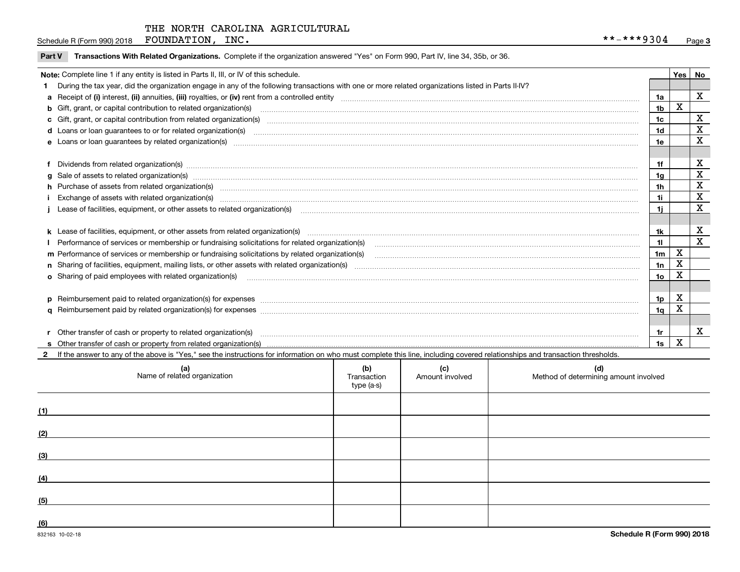Schedule R (Form 990) 2018 Page FOUNDATION, INC. \*\*-\*\*\*9304

|  | Part V Transactions With Related Organizations. Complete if the organization answered "Yes" on Form 990, Part IV, line 34, 35b, or 36 |  |  |
|--|---------------------------------------------------------------------------------------------------------------------------------------|--|--|
|--|---------------------------------------------------------------------------------------------------------------------------------------|--|--|

| Yes   No<br>Note: Complete line 1 if any entity is listed in Parts II, III, or IV of this schedule. |                                                                                                                                                                                                                                |                |   |   |  |
|-----------------------------------------------------------------------------------------------------|--------------------------------------------------------------------------------------------------------------------------------------------------------------------------------------------------------------------------------|----------------|---|---|--|
|                                                                                                     | During the tax year, did the organization engage in any of the following transactions with one or more related organizations listed in Parts II-IV?                                                                            |                |   |   |  |
| 1a                                                                                                  |                                                                                                                                                                                                                                |                |   |   |  |
|                                                                                                     | b Gift, grant, or capital contribution to related organization(s) manufactured and contribution to related organization(s)                                                                                                     | 1b             | X |   |  |
|                                                                                                     | c Gift, grant, or capital contribution from related organization(s) material content and contribution from related organization(s) material content and content and contribution from related organization(s) material content | 1c             |   | X |  |
|                                                                                                     |                                                                                                                                                                                                                                | 1d             |   | X |  |
|                                                                                                     |                                                                                                                                                                                                                                | 1e             |   | X |  |
|                                                                                                     |                                                                                                                                                                                                                                |                |   |   |  |
|                                                                                                     | f Dividends from related organization(s) manufactured contains and contained a state of the contact of the contact of the contact of the contact of the contact of the contact of the contact of the contact of the contact of | 1f             |   | х |  |
|                                                                                                     | g Sale of assets to related organization(s) www.assettion.com/www.assettion.com/www.assettion.com/www.assettion.com/www.assettion.com/www.assettion.com/www.assettion.com/www.assettion.com/www.assettion.com/www.assettion.co | 1g             |   | X |  |
|                                                                                                     | h Purchase of assets from related organization(s) manufactured and content to content the content of assets from related organization(s)                                                                                       | 1h             |   | X |  |
|                                                                                                     |                                                                                                                                                                                                                                | 1i             |   | X |  |
|                                                                                                     |                                                                                                                                                                                                                                | 1i             |   | X |  |
|                                                                                                     |                                                                                                                                                                                                                                |                |   |   |  |
|                                                                                                     | k Lease of facilities, equipment, or other assets from related organization(s) manufaction content and content to the assets from related organization(s) manufaction content and content and content and content and content  | 1k             |   | х |  |
|                                                                                                     | Performance of services or membership or fundraising solicitations for related organization(s)                                                                                                                                 | 11             |   | X |  |
|                                                                                                     | m Performance of services or membership or fundraising solicitations by related organization(s)                                                                                                                                | 1 <sub>m</sub> | X |   |  |
|                                                                                                     |                                                                                                                                                                                                                                | 1n             | х |   |  |
|                                                                                                     |                                                                                                                                                                                                                                | 1o             | X |   |  |
|                                                                                                     |                                                                                                                                                                                                                                |                |   |   |  |
|                                                                                                     |                                                                                                                                                                                                                                | 1 <sub>p</sub> | X |   |  |
|                                                                                                     |                                                                                                                                                                                                                                | 1q             | Χ |   |  |
|                                                                                                     |                                                                                                                                                                                                                                |                |   |   |  |
|                                                                                                     |                                                                                                                                                                                                                                | 1r             |   | х |  |
|                                                                                                     |                                                                                                                                                                                                                                | 1s             | X |   |  |

**2**If the answer to any of the above is "Yes," see the instructions for information on who must complete this line, including covered relationships and transaction thresholds.

|     | (a)<br>Name of related organization | (b)<br>Transaction<br>type (a-s) | (c)<br>Amount involved | (d)<br>Method of determining amount involved |
|-----|-------------------------------------|----------------------------------|------------------------|----------------------------------------------|
| (1) |                                     |                                  |                        |                                              |
| (2) |                                     |                                  |                        |                                              |
| (3) |                                     |                                  |                        |                                              |
| (4) |                                     |                                  |                        |                                              |
| (5) |                                     |                                  |                        |                                              |
| (6) |                                     |                                  |                        |                                              |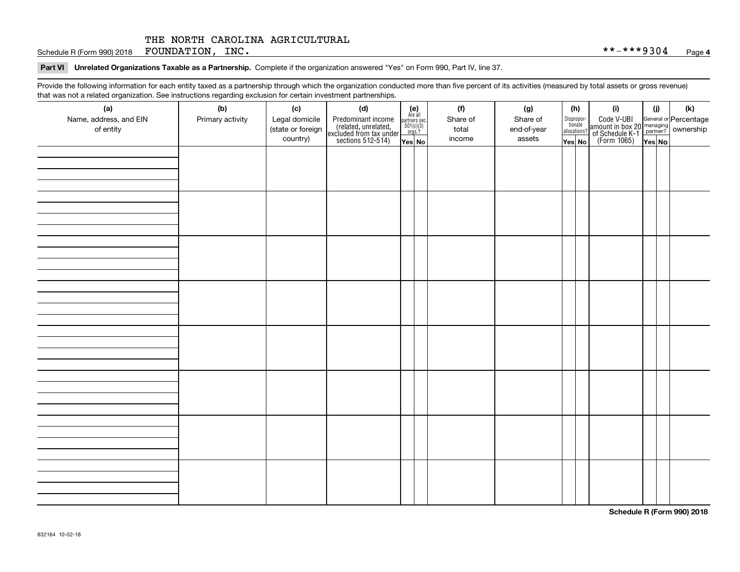Schedule R (Form 990) 2018  ${\hbox{FOUNDATION}}$  ,  ${\hbox{INC}}$  .  ${\hbox{INC}}$  ,  ${\hbox{INC}}$  ,  ${\hbox{Solvability}}$  ,  ${\hbox{N}}$  ,  ${\hbox{Solvability}}$  ,  ${\hbox{N}}$  ,  ${\hbox{N}}$  ,  ${\hbox{N}}$  ,  ${\hbox{N}}$  ,  ${\hbox{N}}$  ,  ${\hbox{N}}$  ,  ${\hbox{N}}$  ,  ${\hbox{N}}$ 

#### **Part VI Unrelated Organizations Taxable as a Partnership. Complete if the organization answered "Yes" on Form 990, Part IV, line 37.**

Provide the following information for each entity taxed as a partnership through which the organization conducted more than five percent of its activities (measured by total assets or gross revenue) that was not a related organization. See instructions regarding exclusion for certain investment partnerships.

| ັ                      | ັ<br>ັ           |                   |                                                                                            |                                      |          |             |                                       |                                                                                                                                       |        |     |
|------------------------|------------------|-------------------|--------------------------------------------------------------------------------------------|--------------------------------------|----------|-------------|---------------------------------------|---------------------------------------------------------------------------------------------------------------------------------------|--------|-----|
| (a)                    | (b)              | (c)               | (d)                                                                                        | (e)<br>Are all                       | (f)      | (g)         | (h)                                   | (i)                                                                                                                                   | (i)    | (k) |
| Name, address, and EIN | Primary activity | Legal domicile    | Predominant income<br>(related, unrelated,<br>excluded from tax under<br>sections 512-514) | partners sec.<br>501(c)(3)<br>orgs.? | Share of | Share of    | Dispropor-<br>tionate<br>allocations? | Code V-UBI<br>  amount in box 20 managing<br>  of Schedule K-1 partner? ownership<br>  of Schedule K-1 partner? ownership<br>  Yes No |        |     |
| of entity              |                  | (state or foreign |                                                                                            |                                      | total    | end-of-year |                                       |                                                                                                                                       |        |     |
|                        |                  | country)          |                                                                                            | Yes No                               | income   | assets      | Yes No                                |                                                                                                                                       | Yes No |     |
|                        |                  |                   |                                                                                            |                                      |          |             |                                       |                                                                                                                                       |        |     |
|                        |                  |                   |                                                                                            |                                      |          |             |                                       |                                                                                                                                       |        |     |
|                        |                  |                   |                                                                                            |                                      |          |             |                                       |                                                                                                                                       |        |     |
|                        |                  |                   |                                                                                            |                                      |          |             |                                       |                                                                                                                                       |        |     |
|                        |                  |                   |                                                                                            |                                      |          |             |                                       |                                                                                                                                       |        |     |
|                        |                  |                   |                                                                                            |                                      |          |             |                                       |                                                                                                                                       |        |     |
|                        |                  |                   |                                                                                            |                                      |          |             |                                       |                                                                                                                                       |        |     |
|                        |                  |                   |                                                                                            |                                      |          |             |                                       |                                                                                                                                       |        |     |
|                        |                  |                   |                                                                                            |                                      |          |             |                                       |                                                                                                                                       |        |     |
|                        |                  |                   |                                                                                            |                                      |          |             |                                       |                                                                                                                                       |        |     |
|                        |                  |                   |                                                                                            |                                      |          |             |                                       |                                                                                                                                       |        |     |
|                        |                  |                   |                                                                                            |                                      |          |             |                                       |                                                                                                                                       |        |     |
|                        |                  |                   |                                                                                            |                                      |          |             |                                       |                                                                                                                                       |        |     |
|                        |                  |                   |                                                                                            |                                      |          |             |                                       |                                                                                                                                       |        |     |
|                        |                  |                   |                                                                                            |                                      |          |             |                                       |                                                                                                                                       |        |     |
|                        |                  |                   |                                                                                            |                                      |          |             |                                       |                                                                                                                                       |        |     |
|                        |                  |                   |                                                                                            |                                      |          |             |                                       |                                                                                                                                       |        |     |
|                        |                  |                   |                                                                                            |                                      |          |             |                                       |                                                                                                                                       |        |     |
|                        |                  |                   |                                                                                            |                                      |          |             |                                       |                                                                                                                                       |        |     |
|                        |                  |                   |                                                                                            |                                      |          |             |                                       |                                                                                                                                       |        |     |
|                        |                  |                   |                                                                                            |                                      |          |             |                                       |                                                                                                                                       |        |     |
|                        |                  |                   |                                                                                            |                                      |          |             |                                       |                                                                                                                                       |        |     |
|                        |                  |                   |                                                                                            |                                      |          |             |                                       |                                                                                                                                       |        |     |
|                        |                  |                   |                                                                                            |                                      |          |             |                                       |                                                                                                                                       |        |     |
|                        |                  |                   |                                                                                            |                                      |          |             |                                       |                                                                                                                                       |        |     |
|                        |                  |                   |                                                                                            |                                      |          |             |                                       |                                                                                                                                       |        |     |
|                        |                  |                   |                                                                                            |                                      |          |             |                                       |                                                                                                                                       |        |     |
|                        |                  |                   |                                                                                            |                                      |          |             |                                       |                                                                                                                                       |        |     |
|                        |                  |                   |                                                                                            |                                      |          |             |                                       |                                                                                                                                       |        |     |
|                        |                  |                   |                                                                                            |                                      |          |             |                                       |                                                                                                                                       |        |     |
|                        |                  |                   |                                                                                            |                                      |          |             |                                       |                                                                                                                                       |        |     |
|                        |                  |                   |                                                                                            |                                      |          |             |                                       |                                                                                                                                       |        |     |
|                        |                  |                   |                                                                                            |                                      |          |             |                                       |                                                                                                                                       |        |     |
|                        |                  |                   |                                                                                            |                                      |          |             |                                       |                                                                                                                                       |        |     |
|                        |                  |                   |                                                                                            |                                      |          |             |                                       |                                                                                                                                       |        |     |

**Schedule R (Form 990) 2018**